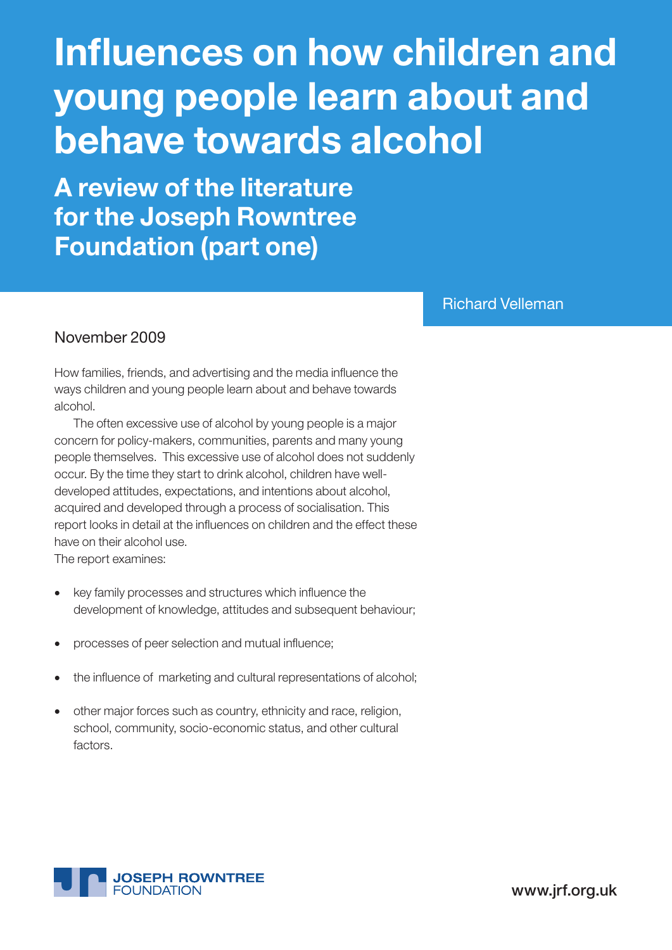# Influences on how children and young people learn about and behave towards alcohol

A review of the literature for the Joseph Rowntree Foundation (part one)

Richard Velleman

### November 2009

How families, friends, and advertising and the media influence the ways children and young people learn about and behave towards alcohol.

The often excessive use of alcohol by young people is a major concern for policy-makers, communities, parents and many young people themselves. This excessive use of alcohol does not suddenly occur. By the time they start to drink alcohol, children have welldeveloped attitudes, expectations, and intentions about alcohol, acquired and developed through a process of socialisation. This report looks in detail at the influences on children and the effect these have on their alcohol use.

The report examines:

- • key family processes and structures which influence the development of knowledge, attitudes and subsequent behaviour;
- processes of peer selection and mutual influence;
- the influence of marketing and cultural representations of alcohol;
- other major forces such as country, ethnicity and race, religion, school, community, socio-economic status, and other cultural factors.



www.jrf.org.uk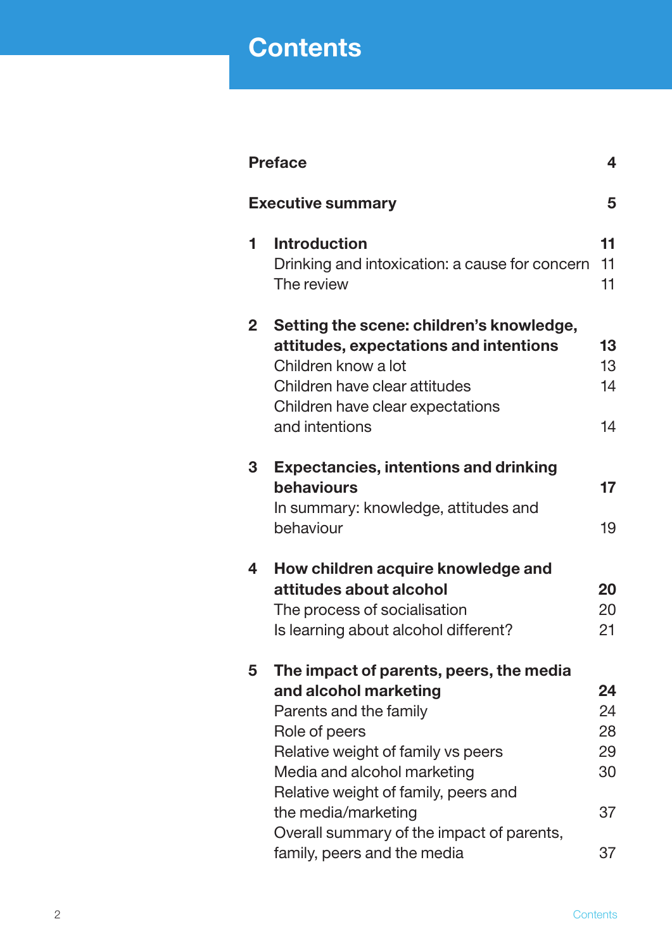## **Contents**

|              | <b>Preface</b>                                                                                                                                                                                                                                                                                                              | 4                                      |
|--------------|-----------------------------------------------------------------------------------------------------------------------------------------------------------------------------------------------------------------------------------------------------------------------------------------------------------------------------|----------------------------------------|
|              | <b>Executive summary</b>                                                                                                                                                                                                                                                                                                    | 5                                      |
| 1            | <b>Introduction</b><br>Drinking and intoxication: a cause for concern<br>The review                                                                                                                                                                                                                                         | 11<br>11<br>11                         |
| $\mathbf{2}$ | Setting the scene: children's knowledge,<br>attitudes, expectations and intentions<br>Children know a lot<br>Children have clear attitudes<br>Children have clear expectations<br>and intentions                                                                                                                            | 13<br>13<br>14<br>14                   |
| 3            | <b>Expectancies, intentions and drinking</b><br>behaviours<br>In summary: knowledge, attitudes and<br>behaviour                                                                                                                                                                                                             | 17<br>19                               |
| 4            | How children acquire knowledge and<br>attitudes about alcohol<br>The process of socialisation<br>Is learning about alcohol different?                                                                                                                                                                                       | 20<br>20<br>21                         |
| 5            | The impact of parents, peers, the media<br>and alcohol marketing<br>Parents and the family<br>Role of peers<br>Relative weight of family vs peers<br>Media and alcohol marketing<br>Relative weight of family, peers and<br>the media/marketing<br>Overall summary of the impact of parents,<br>family, peers and the media | 24<br>24<br>28<br>29<br>30<br>37<br>37 |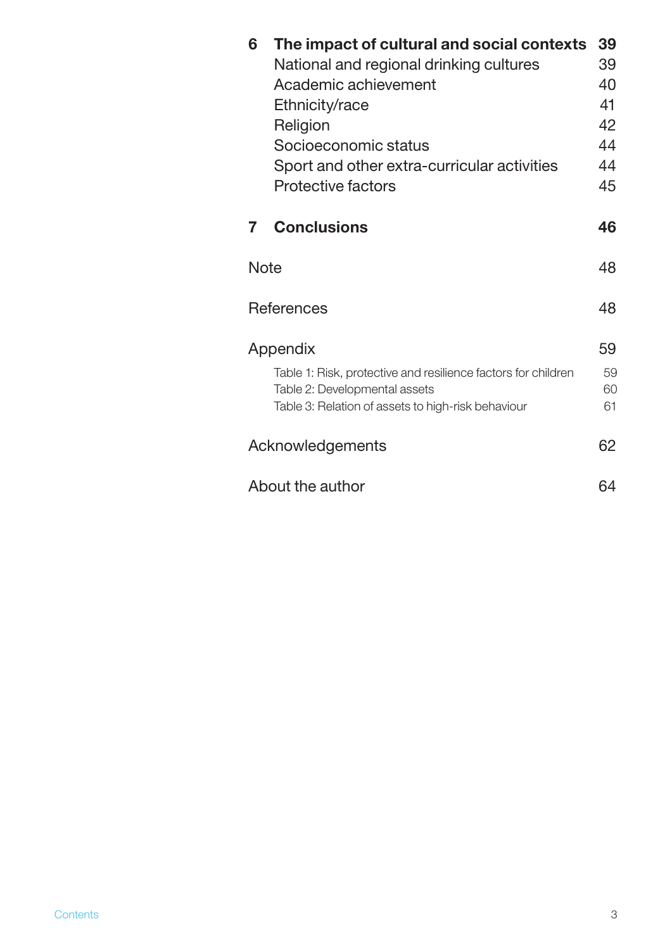| 6           | The impact of cultural and social contexts                    | 39 |
|-------------|---------------------------------------------------------------|----|
|             | National and regional drinking cultures                       | 39 |
|             | Academic achievement                                          | 40 |
|             | Ethnicity/race                                                | 41 |
|             | Religion                                                      | 42 |
|             | Socioeconomic status                                          | 44 |
|             | Sport and other extra-curricular activities                   | 44 |
|             | <b>Protective factors</b>                                     | 45 |
| 7           | <b>Conclusions</b>                                            | 46 |
| <b>Note</b> |                                                               | 48 |
|             | <b>References</b>                                             | 48 |
|             | Appendix                                                      | 59 |
|             | Table 1: Risk, protective and resilience factors for children | 59 |
|             | Table 2: Developmental assets                                 | 60 |
|             | Table 3: Relation of assets to high-risk behaviour            | 61 |
|             | Acknowledgements                                              | 62 |
|             | About the author                                              | 64 |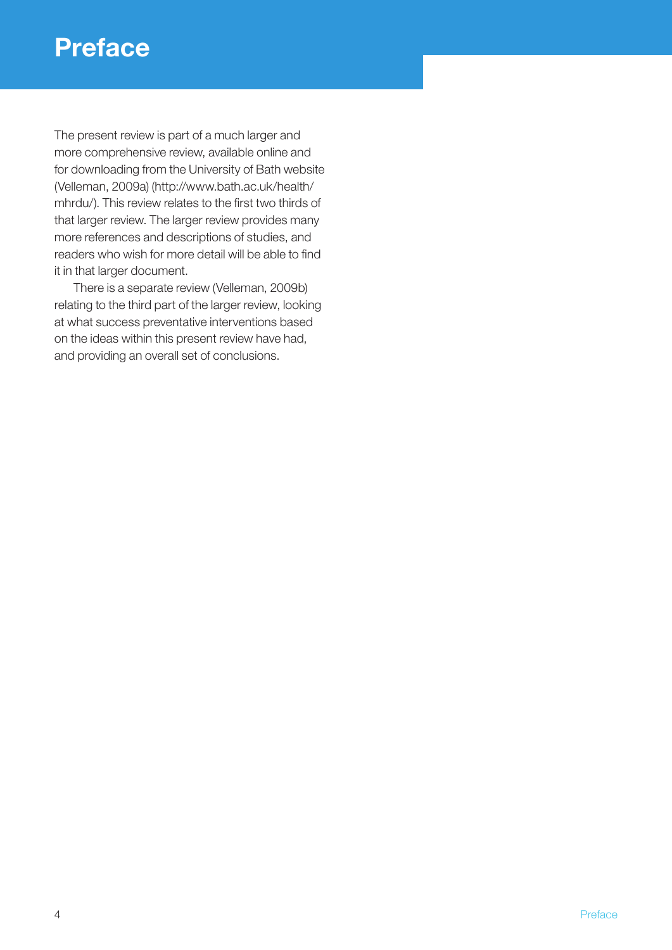## **Preface**

The present review is part of a much larger and more comprehensive review, available online and for downloading from the University of Bath website (Velleman, 2009a) (http://www.bath.ac.uk/health/ mhrdu/). This review relates to the first two thirds of that larger review. The larger review provides many more references and descriptions of studies, and readers who wish for more detail will be able to find it in that larger document.

There is a separate review (Velleman, 2009b) relating to the third part of the larger review, looking at what success preventative interventions based on the ideas within this present review have had, and providing an overall set of conclusions.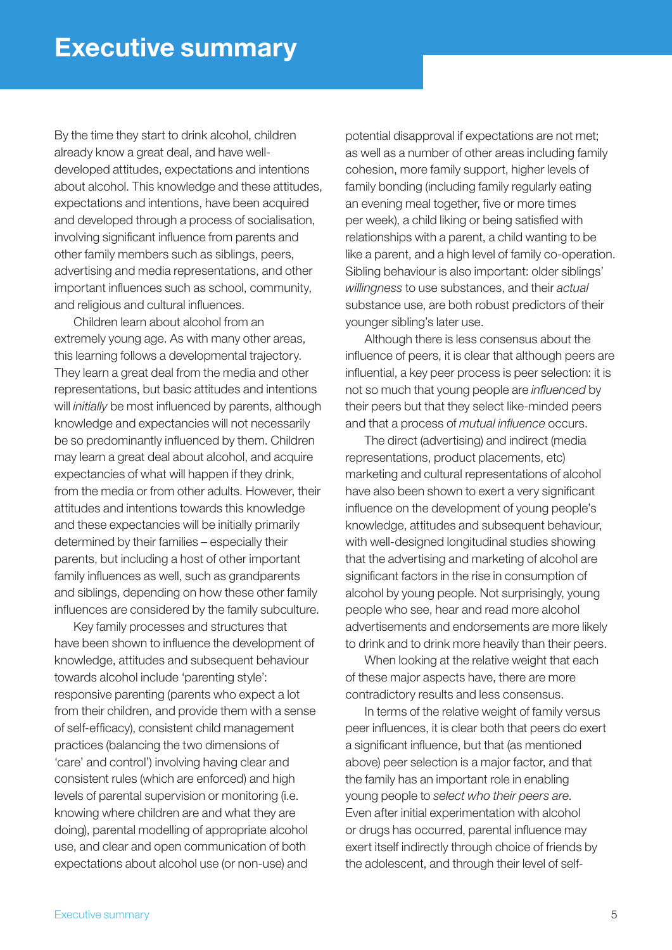By the time they start to drink alcohol, children already know a great deal, and have welldeveloped attitudes, expectations and intentions about alcohol. This knowledge and these attitudes, expectations and intentions, have been acquired and developed through a process of socialisation, involving significant influence from parents and other family members such as siblings, peers, advertising and media representations, and other important influences such as school, community, and religious and cultural influences.

Children learn about alcohol from an extremely young age. As with many other areas, this learning follows a developmental trajectory. They learn a great deal from the media and other representations, but basic attitudes and intentions will *initially* be most influenced by parents, although knowledge and expectancies will not necessarily be so predominantly influenced by them. Children may learn a great deal about alcohol, and acquire expectancies of what will happen if they drink, from the media or from other adults. However, their attitudes and intentions towards this knowledge and these expectancies will be initially primarily determined by their families – especially their parents, but including a host of other important family influences as well, such as grandparents and siblings, depending on how these other family influences are considered by the family subculture.

Key family processes and structures that have been shown to influence the development of knowledge, attitudes and subsequent behaviour towards alcohol include 'parenting style': responsive parenting (parents who expect a lot from their children, and provide them with a sense of self-efficacy), consistent child management practices (balancing the two dimensions of 'care' and control') involving having clear and consistent rules (which are enforced) and high levels of parental supervision or monitoring (i.e. knowing where children are and what they are doing), parental modelling of appropriate alcohol use, and clear and open communication of both expectations about alcohol use (or non-use) and

potential disapproval if expectations are not met; as well as a number of other areas including family cohesion, more family support, higher levels of family bonding (including family regularly eating an evening meal together, five or more times per week), a child liking or being satisfied with relationships with a parent, a child wanting to be like a parent, and a high level of family co-operation. Sibling behaviour is also important: older siblings' *willingness* to use substances, and their *actual* substance use, are both robust predictors of their younger sibling's later use.

Although there is less consensus about the influence of peers, it is clear that although peers are influential, a key peer process is peer selection: it is not so much that young people are *influenced* by their peers but that they select like-minded peers and that a process of *mutual influence* occurs.

The direct (advertising) and indirect (media representations, product placements, etc) marketing and cultural representations of alcohol have also been shown to exert a very significant influence on the development of young people's knowledge, attitudes and subsequent behaviour, with well-designed longitudinal studies showing that the advertising and marketing of alcohol are significant factors in the rise in consumption of alcohol by young people. Not surprisingly, young people who see, hear and read more alcohol advertisements and endorsements are more likely to drink and to drink more heavily than their peers.

When looking at the relative weight that each of these major aspects have, there are more contradictory results and less consensus.

In terms of the relative weight of family versus peer influences, it is clear both that peers do exert a significant influence, but that (as mentioned above) peer selection is a major factor, and that the family has an important role in enabling young people to *select who their peers are*. Even after initial experimentation with alcohol or drugs has occurred, parental influence may exert itself indirectly through choice of friends by the adolescent, and through their level of self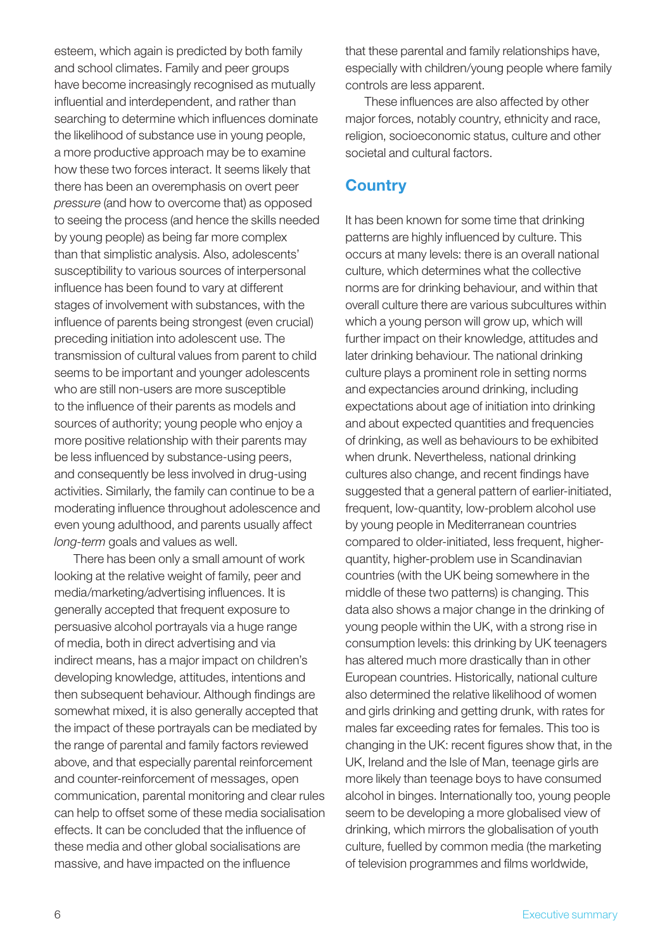esteem, which again is predicted by both family and school climates. Family and peer groups have become increasingly recognised as mutually influential and interdependent, and rather than searching to determine which influences dominate the likelihood of substance use in young people, a more productive approach may be to examine how these two forces interact. It seems likely that there has been an overemphasis on overt peer *pressure* (and how to overcome that) as opposed to seeing the process (and hence the skills needed by young people) as being far more complex than that simplistic analysis. Also, adolescents' susceptibility to various sources of interpersonal influence has been found to vary at different stages of involvement with substances, with the influence of parents being strongest (even crucial) preceding initiation into adolescent use. The transmission of cultural values from parent to child seems to be important and younger adolescents who are still non-users are more susceptible to the influence of their parents as models and sources of authority; young people who enjoy a more positive relationship with their parents may be less influenced by substance-using peers, and consequently be less involved in drug-using activities. Similarly, the family can continue to be a moderating influence throughout adolescence and even young adulthood, and parents usually affect *long-term* goals and values as well.

There has been only a small amount of work looking at the relative weight of family, peer and media/marketing/advertising influences. It is generally accepted that frequent exposure to persuasive alcohol portrayals via a huge range of media, both in direct advertising and via indirect means, has a major impact on children's developing knowledge, attitudes, intentions and then subsequent behaviour. Although findings are somewhat mixed, it is also generally accepted that the impact of these portrayals can be mediated by the range of parental and family factors reviewed above, and that especially parental reinforcement and counter-reinforcement of messages, open communication, parental monitoring and clear rules can help to offset some of these media socialisation effects. It can be concluded that the influence of these media and other global socialisations are massive, and have impacted on the influence

that these parental and family relationships have, especially with children/young people where family controls are less apparent.

These influences are also affected by other major forces, notably country, ethnicity and race, religion, socioeconomic status, culture and other societal and cultural factors.

### **Country**

It has been known for some time that drinking patterns are highly influenced by culture. This occurs at many levels: there is an overall national culture, which determines what the collective norms are for drinking behaviour, and within that overall culture there are various subcultures within which a young person will grow up, which will further impact on their knowledge, attitudes and later drinking behaviour. The national drinking culture plays a prominent role in setting norms and expectancies around drinking, including expectations about age of initiation into drinking and about expected quantities and frequencies of drinking, as well as behaviours to be exhibited when drunk. Nevertheless, national drinking cultures also change, and recent findings have suggested that a general pattern of earlier-initiated, frequent, low-quantity, low-problem alcohol use by young people in Mediterranean countries compared to older-initiated, less frequent, higherquantity, higher-problem use in Scandinavian countries (with the UK being somewhere in the middle of these two patterns) is changing. This data also shows a major change in the drinking of young people within the UK, with a strong rise in consumption levels: this drinking by UK teenagers has altered much more drastically than in other European countries. Historically, national culture also determined the relative likelihood of women and girls drinking and getting drunk, with rates for males far exceeding rates for females. This too is changing in the UK: recent figures show that, in the UK, Ireland and the Isle of Man, teenage girls are more likely than teenage boys to have consumed alcohol in binges. Internationally too, young people seem to be developing a more globalised view of drinking, which mirrors the globalisation of youth culture, fuelled by common media (the marketing of television programmes and films worldwide,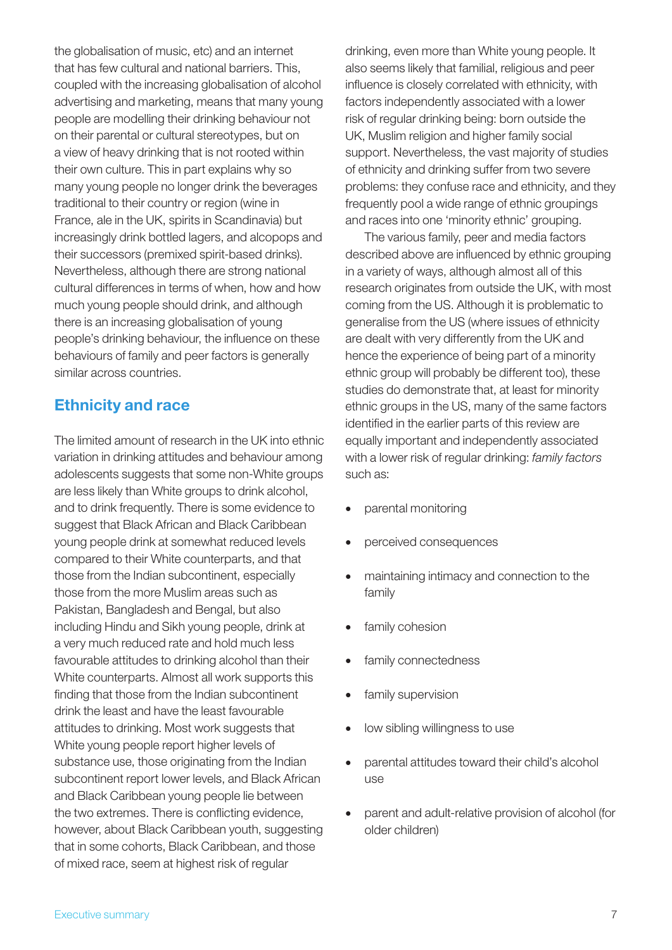the globalisation of music, etc) and an internet that has few cultural and national barriers. This, coupled with the increasing globalisation of alcohol advertising and marketing, means that many young people are modelling their drinking behaviour not on their parental or cultural stereotypes, but on a view of heavy drinking that is not rooted within their own culture. This in part explains why so many young people no longer drink the beverages traditional to their country or region (wine in France, ale in the UK, spirits in Scandinavia) but increasingly drink bottled lagers, and alcopops and their successors (premixed spirit-based drinks). Nevertheless, although there are strong national cultural differences in terms of when, how and how much young people should drink, and although there is an increasing globalisation of young people's drinking behaviour, the influence on these behaviours of family and peer factors is generally similar across countries.

## Ethnicity and race

The limited amount of research in the UK into ethnic variation in drinking attitudes and behaviour among adolescents suggests that some non-White groups are less likely than White groups to drink alcohol, and to drink frequently. There is some evidence to suggest that Black African and Black Caribbean young people drink at somewhat reduced levels compared to their White counterparts, and that those from the Indian subcontinent, especially those from the more Muslim areas such as Pakistan, Bangladesh and Bengal, but also including Hindu and Sikh young people, drink at a very much reduced rate and hold much less favourable attitudes to drinking alcohol than their White counterparts. Almost all work supports this finding that those from the Indian subcontinent drink the least and have the least favourable attitudes to drinking. Most work suggests that White young people report higher levels of substance use, those originating from the Indian subcontinent report lower levels, and Black African and Black Caribbean young people lie between the two extremes. There is conflicting evidence, however, about Black Caribbean youth, suggesting that in some cohorts, Black Caribbean, and those of mixed race, seem at highest risk of regular

drinking, even more than White young people. It also seems likely that familial, religious and peer influence is closely correlated with ethnicity, with factors independently associated with a lower risk of regular drinking being: born outside the UK, Muslim religion and higher family social support. Nevertheless, the vast majority of studies of ethnicity and drinking suffer from two severe problems: they confuse race and ethnicity, and they frequently pool a wide range of ethnic groupings and races into one 'minority ethnic' grouping.

The various family, peer and media factors described above are influenced by ethnic grouping in a variety of ways, although almost all of this research originates from outside the UK, with most coming from the US. Although it is problematic to generalise from the US (where issues of ethnicity are dealt with very differently from the UK and hence the experience of being part of a minority ethnic group will probably be different too), these studies do demonstrate that, at least for minority ethnic groups in the US, many of the same factors identified in the earlier parts of this review are equally important and independently associated with a lower risk of regular drinking: *family factors* such as:

- • parental monitoring
- perceived consequences
- maintaining intimacy and connection to the family
- family cohesion
- family connectedness
- family supervision
- low sibling willingness to use
- parental attitudes toward their child's alcohol use
- parent and adult-relative provision of alcohol (for older children)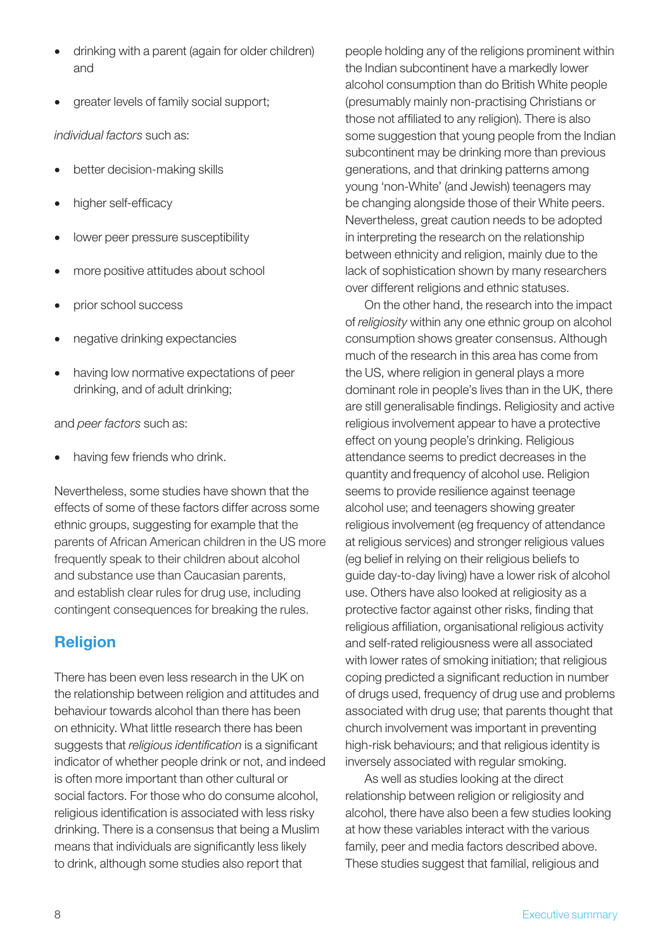- drinking with a parent (again for older children) and
- greater levels of family social support;

*individual factors* such as:

- better decision-making skills
- higher self-efficacy
- lower peer pressure susceptibility
- more positive attitudes about school
- prior school success
- negative drinking expectancies
- having low normative expectations of peer drinking, and of adult drinking;

and *peer factors* such as:

having few friends who drink.

Nevertheless, some studies have shown that the effects of some of these factors differ across some ethnic groups, suggesting for example that the parents of African American children in the US more frequently speak to their children about alcohol and substance use than Caucasian parents, and establish clear rules for drug use, including contingent consequences for breaking the rules.

## Religion

There has been even less research in the UK on the relationship between religion and attitudes and behaviour towards alcohol than there has been on ethnicity. What little research there has been suggests that *religious identification* is a significant indicator of whether people drink or not, and indeed is often more important than other cultural or social factors. For those who do consume alcohol, religious identification is associated with less risky drinking. There is a consensus that being a Muslim means that individuals are significantly less likely to drink, although some studies also report that

people holding any of the religions prominent within the Indian subcontinent have a markedly lower alcohol consumption than do British White people (presumably mainly non-practising Christians or those not affiliated to any religion). There is also some suggestion that young people from the Indian subcontinent may be drinking more than previous generations, and that drinking patterns among young 'non-White' (and Jewish) teenagers may be changing alongside those of their White peers. Nevertheless, great caution needs to be adopted in interpreting the research on the relationship between ethnicity and religion, mainly due to the lack of sophistication shown by many researchers over different religions and ethnic statuses.

On the other hand, the research into the impact of *religiosity* within any one ethnic group on alcohol consumption shows greater consensus. Although much of the research in this area has come from the US, where religion in general plays a more dominant role in people's lives than in the UK, there are still generalisable findings. Religiosity and active religious involvement appear to have a protective effect on young people's drinking. Religious attendance seems to predict decreases in the quantity and frequency of alcohol use. Religion seems to provide resilience against teenage alcohol use; and teenagers showing greater religious involvement (eg frequency of attendance at religious services) and stronger religious values (eg belief in relying on their religious beliefs to guide day-to-day living) have a lower risk of alcohol use. Others have also looked at religiosity as a protective factor against other risks, finding that religious affiliation, organisational religious activity and self-rated religiousness were all associated with lower rates of smoking initiation; that religious coping predicted a significant reduction in number of drugs used, frequency of drug use and problems associated with drug use; that parents thought that church involvement was important in preventing high-risk behaviours; and that religious identity is inversely associated with regular smoking.

As well as studies looking at the direct relationship between religion or religiosity and alcohol, there have also been a few studies looking at how these variables interact with the various family, peer and media factors described above. These studies suggest that familial, religious and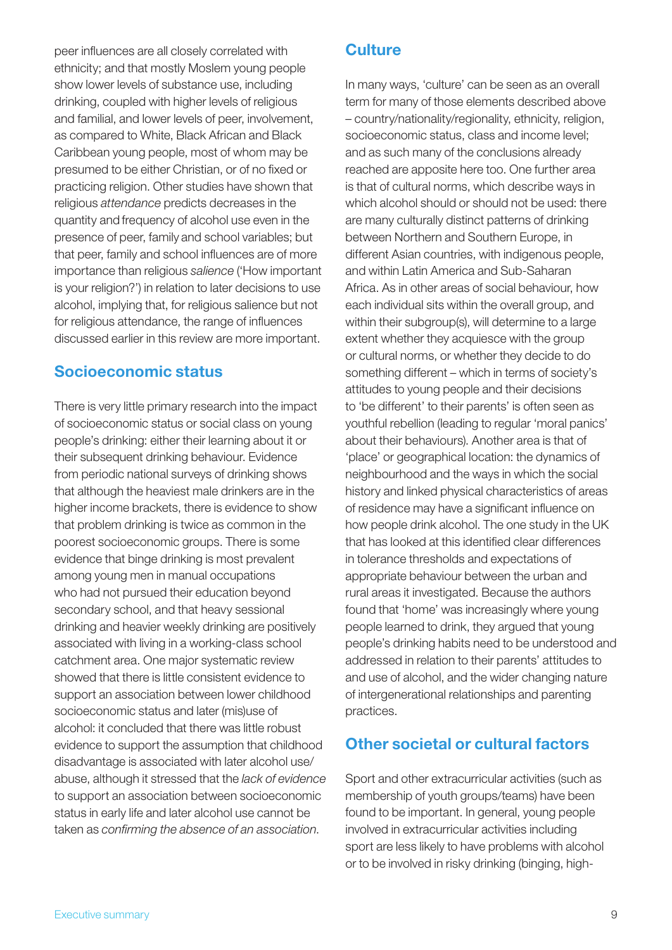peer influences are all closely correlated with ethnicity; and that mostly Moslem young people show lower levels of substance use, including drinking, coupled with higher levels of religious and familial, and lower levels of peer, involvement, as compared to White, Black African and Black Caribbean young people, most of whom may be presumed to be either Christian, or of no fixed or practicing religion. Other studies have shown that religious *attendance* predicts decreases in the quantity and frequency of alcohol use even in the presence of peer, family and school variables; but that peer, family and school influences are of more importance than religious *salience* ('How important is your religion?') in relation to later decisions to use alcohol, implying that, for religious salience but not for religious attendance, the range of influences discussed earlier in this review are more important.

## Socioeconomic status

There is very little primary research into the impact of socioeconomic status or social class on young people's drinking: either their learning about it or their subsequent drinking behaviour. Evidence from periodic national surveys of drinking shows that although the heaviest male drinkers are in the higher income brackets, there is evidence to show that problem drinking is twice as common in the poorest socioeconomic groups. There is some evidence that binge drinking is most prevalent among young men in manual occupations who had not pursued their education beyond secondary school, and that heavy sessional drinking and heavier weekly drinking are positively associated with living in a working-class school catchment area. One major systematic review showed that there is little consistent evidence to support an association between lower childhood socioeconomic status and later (mis)use of alcohol: it concluded that there was little robust evidence to support the assumption that childhood disadvantage is associated with later alcohol use/ abuse, although it stressed that the *lack of evidence* to support an association between socioeconomic status in early life and later alcohol use cannot be taken as *confirming the absence of an association*.

## **Culture**

In many ways, 'culture' can be seen as an overall term for many of those elements described above – country/nationality/regionality, ethnicity, religion, socioeconomic status, class and income level; and as such many of the conclusions already reached are apposite here too. One further area is that of cultural norms, which describe ways in which alcohol should or should not be used: there are many culturally distinct patterns of drinking between Northern and Southern Europe, in different Asian countries, with indigenous people, and within Latin America and Sub-Saharan Africa. As in other areas of social behaviour, how each individual sits within the overall group, and within their subgroup(s), will determine to a large extent whether they acquiesce with the group or cultural norms, or whether they decide to do something different – which in terms of society's attitudes to young people and their decisions to 'be different' to their parents' is often seen as youthful rebellion (leading to regular 'moral panics' about their behaviours). Another area is that of 'place' or geographical location: the dynamics of neighbourhood and the ways in which the social history and linked physical characteristics of areas of residence may have a significant influence on how people drink alcohol. The one study in the UK that has looked at this identified clear differences in tolerance thresholds and expectations of appropriate behaviour between the urban and rural areas it investigated. Because the authors found that 'home' was increasingly where young people learned to drink, they argued that young people's drinking habits need to be understood and addressed in relation to their parents' attitudes to and use of alcohol, and the wider changing nature of intergenerational relationships and parenting practices.

## Other societal or cultural factors

Sport and other extracurricular activities (such as membership of youth groups/teams) have been found to be important. In general, young people involved in extracurricular activities including sport are less likely to have problems with alcohol or to be involved in risky drinking (binging, high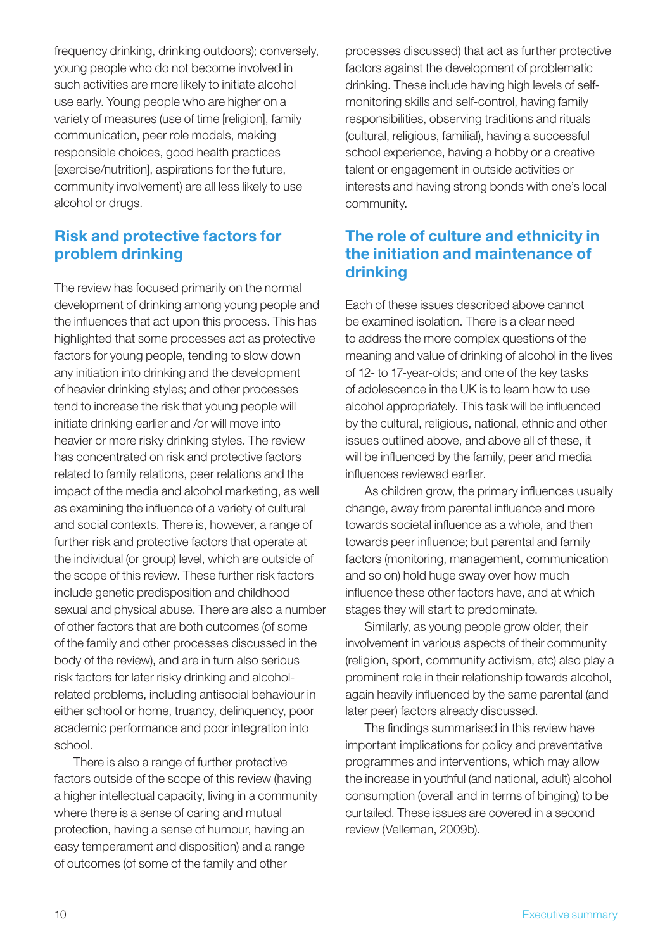frequency drinking, drinking outdoors); conversely, young people who do not become involved in such activities are more likely to initiate alcohol use early. Young people who are higher on a variety of measures (use of time [religion], family communication, peer role models, making responsible choices, good health practices [exercise/nutrition], aspirations for the future, community involvement) are all less likely to use alcohol or drugs.

## Risk and protective factors for problem drinking

The review has focused primarily on the normal development of drinking among young people and the influences that act upon this process. This has highlighted that some processes act as protective factors for young people, tending to slow down any initiation into drinking and the development of heavier drinking styles; and other processes tend to increase the risk that young people will initiate drinking earlier and /or will move into heavier or more risky drinking styles. The review has concentrated on risk and protective factors related to family relations, peer relations and the impact of the media and alcohol marketing, as well as examining the influence of a variety of cultural and social contexts. There is, however, a range of further risk and protective factors that operate at the individual (or group) level, which are outside of the scope of this review. These further risk factors include genetic predisposition and childhood sexual and physical abuse. There are also a number of other factors that are both outcomes (of some of the family and other processes discussed in the body of the review), and are in turn also serious risk factors for later risky drinking and alcoholrelated problems, including antisocial behaviour in either school or home, truancy, delinquency, poor academic performance and poor integration into school.

There is also a range of further protective factors outside of the scope of this review (having a higher intellectual capacity, living in a community where there is a sense of caring and mutual protection, having a sense of humour, having an easy temperament and disposition) and a range of outcomes (of some of the family and other

processes discussed) that act as further protective factors against the development of problematic drinking. These include having high levels of selfmonitoring skills and self-control, having family responsibilities, observing traditions and rituals (cultural, religious, familial), having a successful school experience, having a hobby or a creative talent or engagement in outside activities or interests and having strong bonds with one's local community.

## The role of culture and ethnicity in the initiation and maintenance of drinking

Each of these issues described above cannot be examined isolation. There is a clear need to address the more complex questions of the meaning and value of drinking of alcohol in the lives of 12- to 17-year-olds; and one of the key tasks of adolescence in the UK is to learn how to use alcohol appropriately. This task will be influenced by the cultural, religious, national, ethnic and other issues outlined above, and above all of these, it will be influenced by the family, peer and media influences reviewed earlier.

As children grow, the primary influences usually change, away from parental influence and more towards societal influence as a whole, and then towards peer influence; but parental and family factors (monitoring, management, communication and so on) hold huge sway over how much influence these other factors have, and at which stages they will start to predominate.

Similarly, as young people grow older, their involvement in various aspects of their community (religion, sport, community activism, etc) also play a prominent role in their relationship towards alcohol, again heavily influenced by the same parental (and later peer) factors already discussed.

The findings summarised in this review have important implications for policy and preventative programmes and interventions, which may allow the increase in youthful (and national, adult) alcohol consumption (overall and in terms of binging) to be curtailed. These issues are covered in a second review (Velleman, 2009b).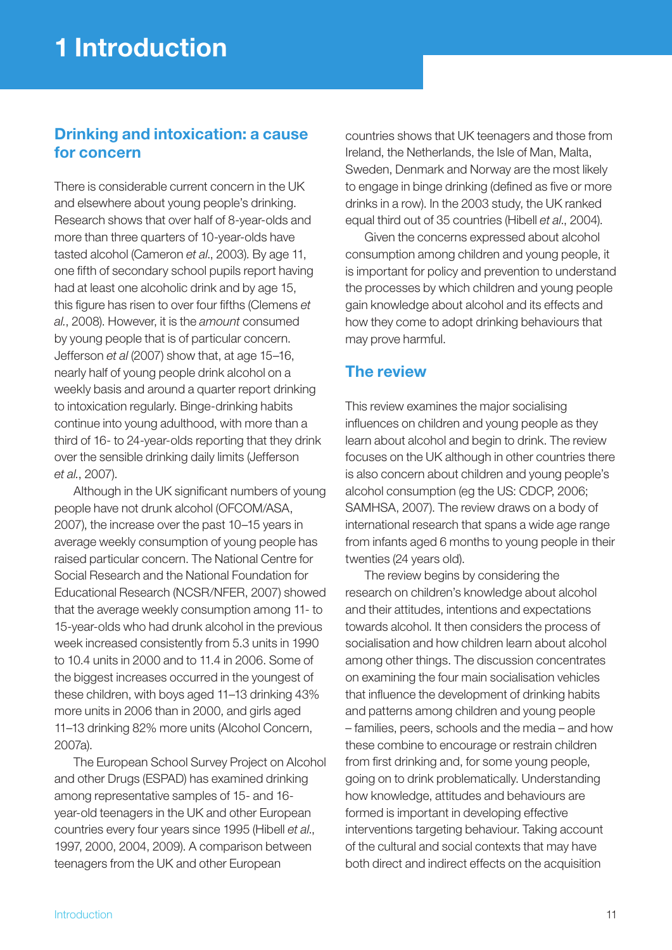## Drinking and intoxication: a cause for concern

There is considerable current concern in the UK and elsewhere about young people's drinking. Research shows that over half of 8-year-olds and more than three quarters of 10-year-olds have tasted alcohol (Cameron *et al*., 2003). By age 11, one fifth of secondary school pupils report having had at least one alcoholic drink and by age 15, this figure has risen to over four fifths (Clemens *et al.*, 2008). However, it is the *amount* consumed by young people that is of particular concern. Jefferson *et al* (2007) show that, at age 15–16, nearly half of young people drink alcohol on a weekly basis and around a quarter report drinking to intoxication regularly. Binge-drinking habits continue into young adulthood, with more than a third of 16- to 24-year-olds reporting that they drink over the sensible drinking daily limits (Jefferson *et al.*, 2007).

Although in the UK significant numbers of young people have not drunk alcohol (OFCOM/ASA, 2007), the increase over the past 10–15 years in average weekly consumption of young people has raised particular concern. The National Centre for Social Research and the National Foundation for Educational Research (NCSR/NFER, 2007) showed that the average weekly consumption among 11- to 15-year-olds who had drunk alcohol in the previous week increased consistently from 5.3 units in 1990 to 10.4 units in 2000 and to 11.4 in 2006. Some of the biggest increases occurred in the youngest of these children, with boys aged 11–13 drinking 43% more units in 2006 than in 2000, and girls aged 11–13 drinking 82% more units (Alcohol Concern, 2007a).

The European School Survey Project on Alcohol and other Drugs (ESPAD) has examined drinking among representative samples of 15- and 16 year-old teenagers in the UK and other European countries every four years since 1995 (Hibell *et al*., 1997, 2000, 2004, 2009). A comparison between teenagers from the UK and other European

countries shows that UK teenagers and those from Ireland, the Netherlands, the Isle of Man, Malta, Sweden, Denmark and Norway are the most likely to engage in binge drinking (defined as five or more drinks in a row). In the 2003 study, the UK ranked equal third out of 35 countries (Hibell *et al*., 2004).

Given the concerns expressed about alcohol consumption among children and young people, it is important for policy and prevention to understand the processes by which children and young people gain knowledge about alcohol and its effects and how they come to adopt drinking behaviours that may prove harmful.

## The review

This review examines the major socialising influences on children and young people as they learn about alcohol and begin to drink. The review focuses on the UK although in other countries there is also concern about children and young people's alcohol consumption (eg the US: CDCP, 2006; SAMHSA, 2007). The review draws on a body of international research that spans a wide age range from infants aged 6 months to young people in their twenties (24 years old).

The review begins by considering the research on children's knowledge about alcohol and their attitudes, intentions and expectations towards alcohol. It then considers the process of socialisation and how children learn about alcohol among other things. The discussion concentrates on examining the four main socialisation vehicles that influence the development of drinking habits and patterns among children and young people – families, peers, schools and the media – and how these combine to encourage or restrain children from first drinking and, for some young people, going on to drink problematically. Understanding how knowledge, attitudes and behaviours are formed is important in developing effective interventions targeting behaviour. Taking account of the cultural and social contexts that may have both direct and indirect effects on the acquisition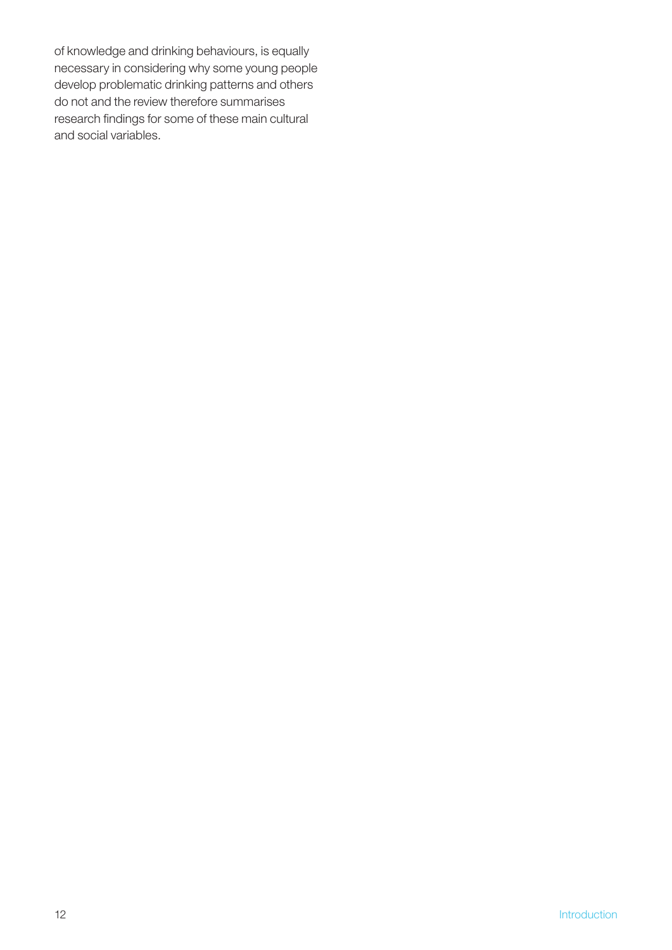of knowledge and drinking behaviours, is equally necessary in considering why some young people develop problematic drinking patterns and others do not and the review therefore summarises research findings for some of these main cultural and social variables.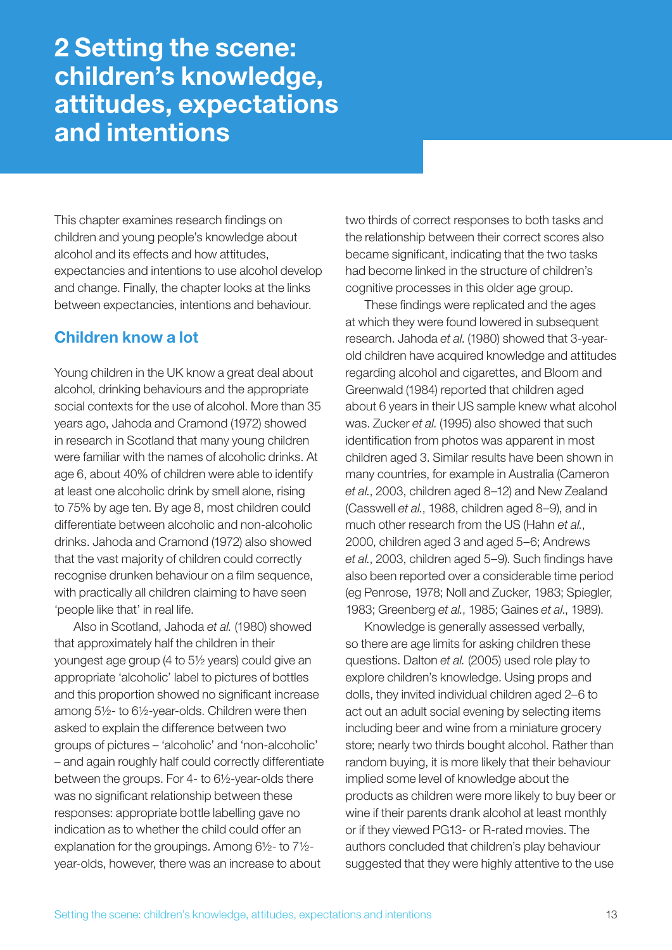## 2 Setting the scene: children's knowledge, attitudes, expectations and intentions

This chapter examines research findings on children and young people's knowledge about alcohol and its effects and how attitudes, expectancies and intentions to use alcohol develop and change. Finally, the chapter looks at the links between expectancies, intentions and behaviour.

### Children know a lot

Young children in the UK know a great deal about alcohol, drinking behaviours and the appropriate social contexts for the use of alcohol. More than 35 years ago, Jahoda and Cramond (1972) showed in research in Scotland that many young children were familiar with the names of alcoholic drinks. At age 6, about 40% of children were able to identify at least one alcoholic drink by smell alone, rising to 75% by age ten. By age 8, most children could differentiate between alcoholic and non-alcoholic drinks. Jahoda and Cramond (1972) also showed that the vast majority of children could correctly recognise drunken behaviour on a film sequence, with practically all children claiming to have seen 'people like that' in real life.

Also in Scotland, Jahoda *et al.* (1980) showed that approximately half the children in their youngest age group (4 to 5½ years) could give an appropriate 'alcoholic' label to pictures of bottles and this proportion showed no significant increase among 5½- to 6½-year-olds. Children were then asked to explain the difference between two groups of pictures – 'alcoholic' and 'non-alcoholic' – and again roughly half could correctly differentiate between the groups. For 4- to 6½-year-olds there was no significant relationship between these responses: appropriate bottle labelling gave no indication as to whether the child could offer an explanation for the groupings. Among 6½- to 7½ year-olds, however, there was an increase to about

two thirds of correct responses to both tasks and the relationship between their correct scores also became significant, indicating that the two tasks had become linked in the structure of children's cognitive processes in this older age group.

These findings were replicated and the ages at which they were found lowered in subsequent research. Jahoda *et al*. (1980) showed that 3-yearold children have acquired knowledge and attitudes regarding alcohol and cigarettes, and Bloom and Greenwald (1984) reported that children aged about 6 years in their US sample knew what alcohol was. Zucker *et al*. (1995) also showed that such identification from photos was apparent in most children aged 3. Similar results have been shown in many countries, for example in Australia (Cameron *et al.*, 2003, children aged 8–12) and New Zealand (Casswell *et al.*, 1988, children aged 8–9), and in much other research from the US (Hahn *et al.*, 2000, children aged 3 and aged 5–6; Andrews *et al.*, 2003, children aged 5–9). Such findings have also been reported over a considerable time period (eg Penrose, 1978; Noll and Zucker, 1983; Spiegler, 1983; Greenberg *et al.*, 1985; Gaines *et al*., 1989).

Knowledge is generally assessed verbally, so there are age limits for asking children these questions. Dalton *et al.* (2005) used role play to explore children's knowledge. Using props and dolls, they invited individual children aged 2–6 to act out an adult social evening by selecting items including beer and wine from a miniature grocery store; nearly two thirds bought alcohol. Rather than random buying, it is more likely that their behaviour implied some level of knowledge about the products as children were more likely to buy beer or wine if their parents drank alcohol at least monthly or if they viewed PG13- or R-rated movies. The authors concluded that children's play behaviour suggested that they were highly attentive to the use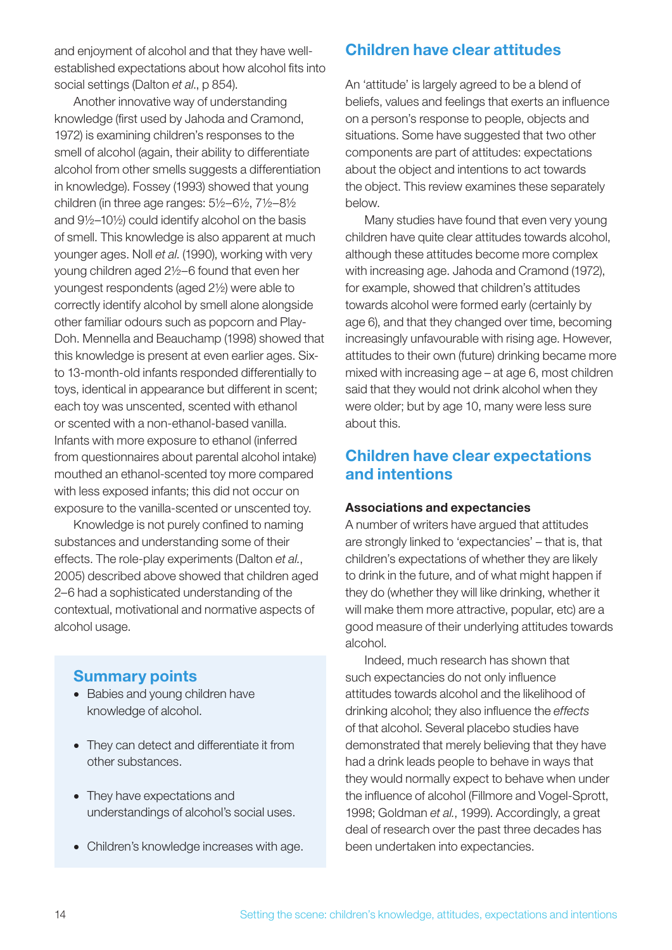and enjoyment of alcohol and that they have wellestablished expectations about how alcohol fits into social settings (Dalton *et al*., p 854).

Another innovative way of understanding knowledge (first used by Jahoda and Cramond, 1972) is examining children's responses to the smell of alcohol (again, their ability to differentiate alcohol from other smells suggests a differentiation in knowledge). Fossey (1993) showed that young children (in three age ranges: 5½–6½, 7½–8½ and 9½–10½) could identify alcohol on the basis of smell. This knowledge is also apparent at much younger ages. Noll *et al*. (1990), working with very young children aged 2½–6 found that even her youngest respondents (aged 2½) were able to correctly identify alcohol by smell alone alongside other familiar odours such as popcorn and Play-Doh. Mennella and Beauchamp (1998) showed that this knowledge is present at even earlier ages. Sixto 13-month-old infants responded differentially to toys, identical in appearance but different in scent; each toy was unscented, scented with ethanol or scented with a non-ethanol-based vanilla. Infants with more exposure to ethanol (inferred from questionnaires about parental alcohol intake) mouthed an ethanol-scented toy more compared with less exposed infants; this did not occur on exposure to the vanilla-scented or unscented toy.

Knowledge is not purely confined to naming substances and understanding some of their effects. The role-play experiments (Dalton *et al.*, 2005) described above showed that children aged 2–6 had a sophisticated understanding of the contextual, motivational and normative aspects of alcohol usage.

### Summary points

- Babies and young children have knowledge of alcohol.
- They can detect and differentiate it from other substances.
- They have expectations and understandings of alcohol's social uses.
- Children's knowledge increases with age.

## Children have clear attitudes

An 'attitude' is largely agreed to be a blend of beliefs, values and feelings that exerts an influence on a person's response to people, objects and situations. Some have suggested that two other components are part of attitudes: expectations about the object and intentions to act towards the object. This review examines these separately below.

Many studies have found that even very young children have quite clear attitudes towards alcohol, although these attitudes become more complex with increasing age. Jahoda and Cramond (1972), for example, showed that children's attitudes towards alcohol were formed early (certainly by age 6), and that they changed over time, becoming increasingly unfavourable with rising age. However, attitudes to their own (future) drinking became more mixed with increasing age – at age 6, most children said that they would not drink alcohol when they were older; but by age 10, many were less sure about this.

### Children have clear expectations and intentions

#### Associations and expectancies

A number of writers have argued that attitudes are strongly linked to 'expectancies' – that is, that children's expectations of whether they are likely to drink in the future, and of what might happen if they do (whether they will like drinking, whether it will make them more attractive, popular, etc) are a good measure of their underlying attitudes towards alcohol.

Indeed, much research has shown that such expectancies do not only influence attitudes towards alcohol and the likelihood of drinking alcohol; they also influence the *effects* of that alcohol. Several placebo studies have demonstrated that merely believing that they have had a drink leads people to behave in ways that they would normally expect to behave when under the influence of alcohol (Fillmore and Vogel-Sprott, 1998; Goldman *et al.*, 1999). Accordingly, a great deal of research over the past three decades has been undertaken into expectancies.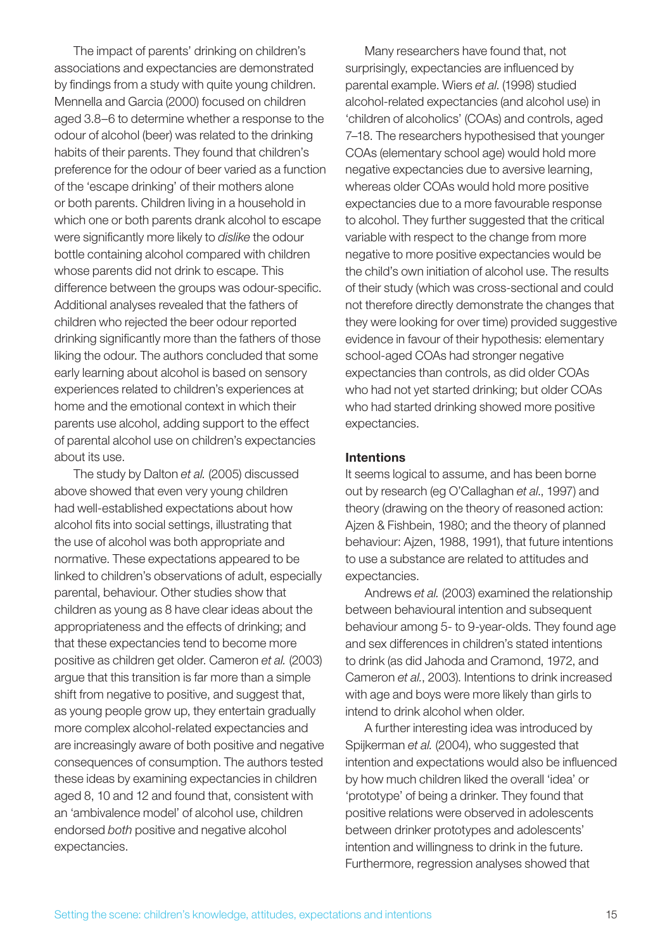The impact of parents' drinking on children's associations and expectancies are demonstrated by findings from a study with quite young children. Mennella and Garcia (2000) focused on children aged 3.8–6 to determine whether a response to the odour of alcohol (beer) was related to the drinking habits of their parents. They found that children's preference for the odour of beer varied as a function of the 'escape drinking' of their mothers alone or both parents. Children living in a household in which one or both parents drank alcohol to escape were significantly more likely to *dislike* the odour bottle containing alcohol compared with children whose parents did not drink to escape. This difference between the groups was odour-specific. Additional analyses revealed that the fathers of children who rejected the beer odour reported drinking significantly more than the fathers of those liking the odour. The authors concluded that some early learning about alcohol is based on sensory experiences related to children's experiences at home and the emotional context in which their parents use alcohol, adding support to the effect of parental alcohol use on children's expectancies about its use.

The study by Dalton *et al.* (2005) discussed above showed that even very young children had well-established expectations about how alcohol fits into social settings, illustrating that the use of alcohol was both appropriate and normative. These expectations appeared to be linked to children's observations of adult, especially parental, behaviour. Other studies show that children as young as 8 have clear ideas about the appropriateness and the effects of drinking; and that these expectancies tend to become more positive as children get older. Cameron *et al.* (2003) argue that this transition is far more than a simple shift from negative to positive, and suggest that, as young people grow up, they entertain gradually more complex alcohol-related expectancies and are increasingly aware of both positive and negative consequences of consumption. The authors tested these ideas by examining expectancies in children aged 8, 10 and 12 and found that, consistent with an 'ambivalence model' of alcohol use, children endorsed *both* positive and negative alcohol expectancies.

Many researchers have found that, not surprisingly, expectancies are influenced by parental example. Wiers *et al*. (1998) studied alcohol-related expectancies (and alcohol use) in 'children of alcoholics' (COAs) and controls, aged 7–18. The researchers hypothesised that younger COAs (elementary school age) would hold more negative expectancies due to aversive learning, whereas older COAs would hold more positive expectancies due to a more favourable response to alcohol. They further suggested that the critical variable with respect to the change from more negative to more positive expectancies would be the child's own initiation of alcohol use. The results of their study (which was cross-sectional and could not therefore directly demonstrate the changes that they were looking for over time) provided suggestive evidence in favour of their hypothesis: elementary school-aged COAs had stronger negative expectancies than controls, as did older COAs who had not yet started drinking; but older COAs who had started drinking showed more positive expectancies.

#### Intentions

It seems logical to assume, and has been borne out by research (eg O'Callaghan *et al*., 1997) and theory (drawing on the theory of reasoned action: Ajzen & Fishbein, 1980; and the theory of planned behaviour: Ajzen, 1988, 1991), that future intentions to use a substance are related to attitudes and expectancies.

Andrews *et al.* (2003) examined the relationship between behavioural intention and subsequent behaviour among 5- to 9-year-olds. They found age and sex differences in children's stated intentions to drink (as did Jahoda and Cramond, 1972, and Cameron *et al.*, 2003). Intentions to drink increased with age and boys were more likely than girls to intend to drink alcohol when older.

A further interesting idea was introduced by Spijkerman *et al.* (2004), who suggested that intention and expectations would also be influenced by how much children liked the overall 'idea' or 'prototype' of being a drinker. They found that positive relations were observed in adolescents between drinker prototypes and adolescents' intention and willingness to drink in the future. Furthermore, regression analyses showed that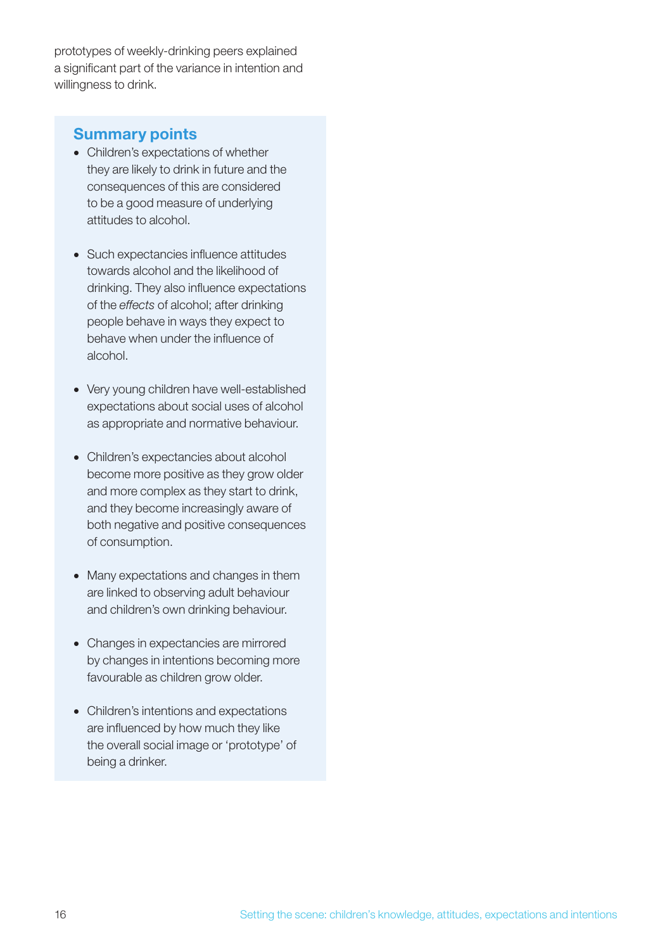prototypes of weekly-drinking peers explained a significant part of the variance in intention and willingness to drink.

### Summary points

- Children's expectations of whether they are likely to drink in future and the consequences of this are considered to be a good measure of underlying attitudes to alcohol.
- Such expectancies influence attitudes towards alcohol and the likelihood of drinking. They also influence expectations of the *effects* of alcohol; after drinking people behave in ways they expect to behave when under the influence of alcohol.
- Very young children have well-established expectations about social uses of alcohol as appropriate and normative behaviour.
- • Children's expectancies about alcohol become more positive as they grow older and more complex as they start to drink, and they become increasingly aware of both negative and positive consequences of consumption.
- Many expectations and changes in them are linked to observing adult behaviour and children's own drinking behaviour.
- Changes in expectancies are mirrored by changes in intentions becoming more favourable as children grow older.
- Children's intentions and expectations are influenced by how much they like the overall social image or 'prototype' of being a drinker.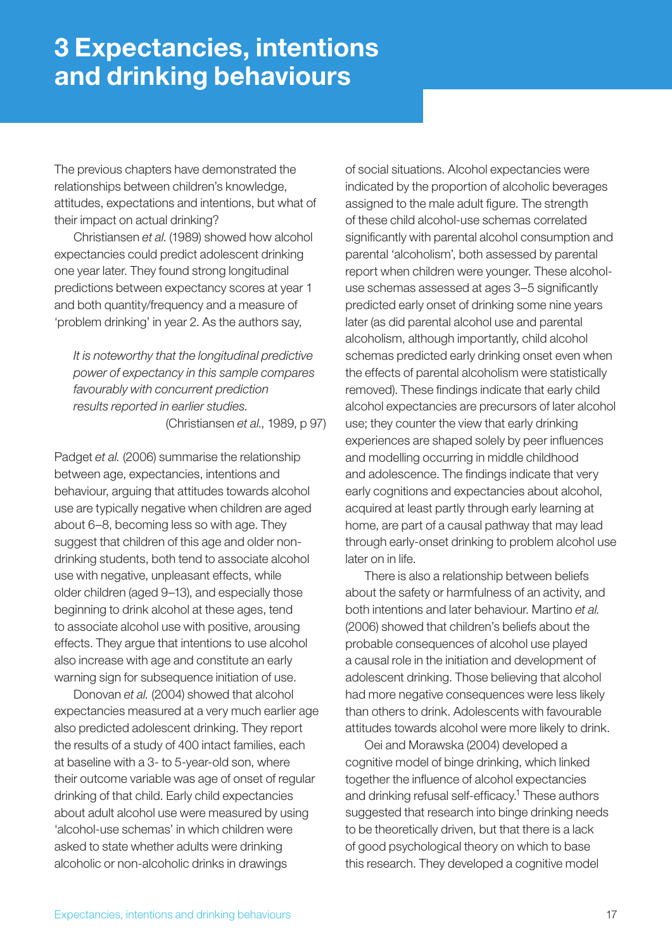The previous chapters have demonstrated the relationships between children's knowledge, attitudes, expectations and intentions, but what of their impact on actual drinking?

Christiansen *et al*. (1989) showed how alcohol expectancies could predict adolescent drinking one year later. They found strong longitudinal predictions between expectancy scores at year 1 and both quantity/frequency and a measure of 'problem drinking' in year 2. As the authors say,

*It is noteworthy that the longitudinal predictive power of expectancy in this sample compares favourably with concurrent prediction results reported in earlier studies.*

(Christiansen *et al*., 1989, p 97)

Padget *et al.* (2006) summarise the relationship between age, expectancies, intentions and behaviour, arguing that attitudes towards alcohol use are typically negative when children are aged about 6–8, becoming less so with age. They suggest that children of this age and older nondrinking students, both tend to associate alcohol use with negative, unpleasant effects, while older children (aged 9–13), and especially those beginning to drink alcohol at these ages, tend to associate alcohol use with positive, arousing effects. They argue that intentions to use alcohol also increase with age and constitute an early warning sign for subsequence initiation of use.

Donovan *et al.* (2004) showed that alcohol expectancies measured at a very much earlier age also predicted adolescent drinking. They report the results of a study of 400 intact families, each at baseline with a 3- to 5-year-old son, where their outcome variable was age of onset of regular drinking of that child. Early child expectancies about adult alcohol use were measured by using 'alcohol-use schemas' in which children were asked to state whether adults were drinking alcoholic or non-alcoholic drinks in drawings

of social situations. Alcohol expectancies were indicated by the proportion of alcoholic beverages assigned to the male adult figure. The strength of these child alcohol-use schemas correlated significantly with parental alcohol consumption and parental 'alcoholism', both assessed by parental report when children were younger. These alcoholuse schemas assessed at ages 3–5 significantly predicted early onset of drinking some nine years later (as did parental alcohol use and parental alcoholism, although importantly, child alcohol schemas predicted early drinking onset even when the effects of parental alcoholism were statistically removed). These findings indicate that early child alcohol expectancies are precursors of later alcohol use; they counter the view that early drinking experiences are shaped solely by peer influences and modelling occurring in middle childhood and adolescence. The findings indicate that very early cognitions and expectancies about alcohol, acquired at least partly through early learning at home, are part of a causal pathway that may lead through early-onset drinking to problem alcohol use later on in life.

There is also a relationship between beliefs about the safety or harmfulness of an activity, and both intentions and later behaviour. Martino *et al.* (2006) showed that children's beliefs about the probable consequences of alcohol use played a causal role in the initiation and development of adolescent drinking. Those believing that alcohol had more negative consequences were less likely than others to drink. Adolescents with favourable attitudes towards alcohol were more likely to drink.

Oei and Morawska (2004) developed a cognitive model of binge drinking, which linked together the influence of alcohol expectancies and drinking refusal self-efficacy.1 These authors suggested that research into binge drinking needs to be theoretically driven, but that there is a lack of good psychological theory on which to base this research. They developed a cognitive model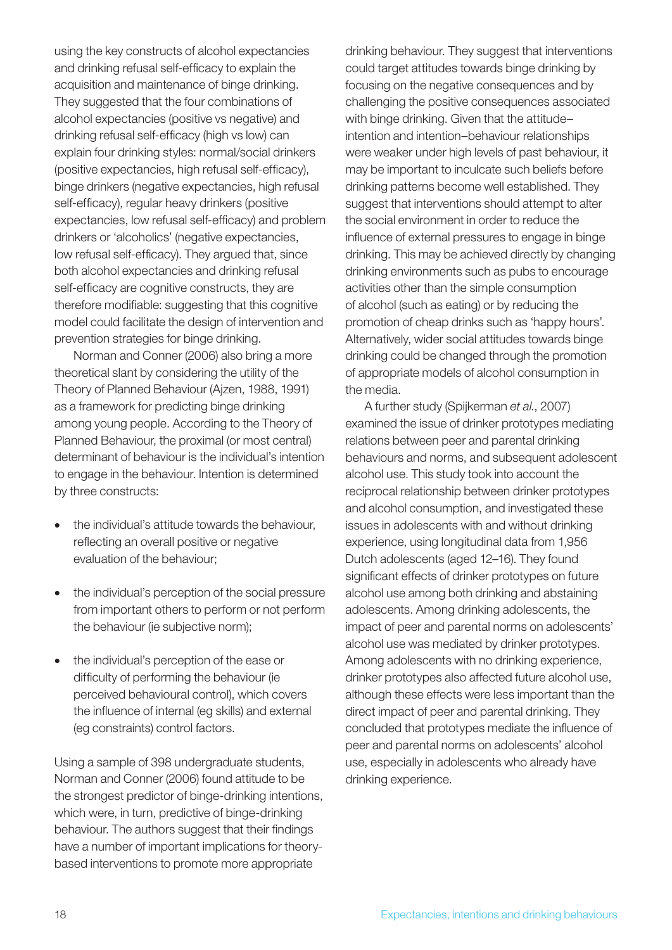using the key constructs of alcohol expectancies and drinking refusal self-efficacy to explain the acquisition and maintenance of binge drinking. They suggested that the four combinations of alcohol expectancies (positive vs negative) and drinking refusal self-efficacy (high vs low) can explain four drinking styles: normal/social drinkers (positive expectancies, high refusal self-efficacy), binge drinkers (negative expectancies, high refusal self-efficacy), regular heavy drinkers (positive expectancies, low refusal self-efficacy) and problem drinkers or 'alcoholics' (negative expectancies, low refusal self-efficacy). They argued that, since both alcohol expectancies and drinking refusal self-efficacy are cognitive constructs, they are therefore modifiable: suggesting that this cognitive model could facilitate the design of intervention and prevention strategies for binge drinking.

Norman and Conner (2006) also bring a more theoretical slant by considering the utility of the Theory of Planned Behaviour (Ajzen, 1988, 1991) as a framework for predicting binge drinking among young people. According to the Theory of Planned Behaviour, the proximal (or most central) determinant of behaviour is the individual's intention to engage in the behaviour. Intention is determined by three constructs:

- the individual's attitude towards the behaviour, reflecting an overall positive or negative evaluation of the behaviour;
- the individual's perception of the social pressure from important others to perform or not perform the behaviour (ie subjective norm);
- the individual's perception of the ease or difficulty of performing the behaviour (ie perceived behavioural control), which covers the influence of internal (eg skills) and external (eg constraints) control factors.

Using a sample of 398 undergraduate students, Norman and Conner (2006) found attitude to be the strongest predictor of binge-drinking intentions, which were, in turn, predictive of binge-drinking behaviour. The authors suggest that their findings have a number of important implications for theorybased interventions to promote more appropriate

drinking behaviour. They suggest that interventions could target attitudes towards binge drinking by focusing on the negative consequences and by challenging the positive consequences associated with binge drinking. Given that the attitude– intention and intention–behaviour relationships were weaker under high levels of past behaviour, it may be important to inculcate such beliefs before drinking patterns become well established. They suggest that interventions should attempt to alter the social environment in order to reduce the influence of external pressures to engage in binge drinking. This may be achieved directly by changing drinking environments such as pubs to encourage activities other than the simple consumption of alcohol (such as eating) or by reducing the promotion of cheap drinks such as 'happy hours'. Alternatively, wider social attitudes towards binge drinking could be changed through the promotion of appropriate models of alcohol consumption in the media.

A further study (Spijkerman *et al.*, 2007) examined the issue of drinker prototypes mediating relations between peer and parental drinking behaviours and norms, and subsequent adolescent alcohol use. This study took into account the reciprocal relationship between drinker prototypes and alcohol consumption, and investigated these issues in adolescents with and without drinking experience, using longitudinal data from 1,956 Dutch adolescents (aged 12–16). They found significant effects of drinker prototypes on future alcohol use among both drinking and abstaining adolescents. Among drinking adolescents, the impact of peer and parental norms on adolescents' alcohol use was mediated by drinker prototypes. Among adolescents with no drinking experience, drinker prototypes also affected future alcohol use, although these effects were less important than the direct impact of peer and parental drinking. They concluded that prototypes mediate the influence of peer and parental norms on adolescents' alcohol use, especially in adolescents who already have drinking experience.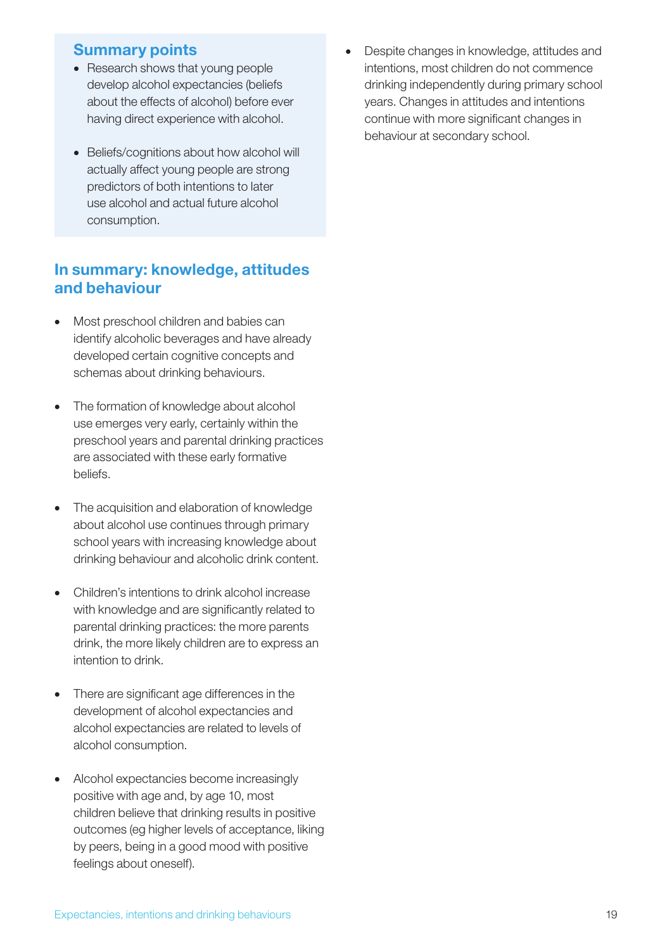### Summary points

- Research shows that young people develop alcohol expectancies (beliefs about the effects of alcohol) before ever having direct experience with alcohol.
- Beliefs/cognitions about how alcohol will actually affect young people are strong predictors of both intentions to later use alcohol and actual future alcohol consumption.

## In summary: knowledge, attitudes and behaviour

- Most preschool children and babies can identify alcoholic beverages and have already developed certain cognitive concepts and schemas about drinking behaviours.
- The formation of knowledge about alcohol use emerges very early, certainly within the preschool years and parental drinking practices are associated with these early formative beliefs.
- The acquisition and elaboration of knowledge about alcohol use continues through primary school years with increasing knowledge about drinking behaviour and alcoholic drink content.
- Children's intentions to drink alcohol increase with knowledge and are significantly related to parental drinking practices: the more parents drink, the more likely children are to express an intention to drink.
- There are significant age differences in the development of alcohol expectancies and alcohol expectancies are related to levels of alcohol consumption.
- Alcohol expectancies become increasingly positive with age and, by age 10, most children believe that drinking results in positive outcomes (eg higher levels of acceptance, liking by peers, being in a good mood with positive feelings about oneself).

Despite changes in knowledge, attitudes and intentions, most children do not commence drinking independently during primary school years. Changes in attitudes and intentions continue with more significant changes in behaviour at secondary school.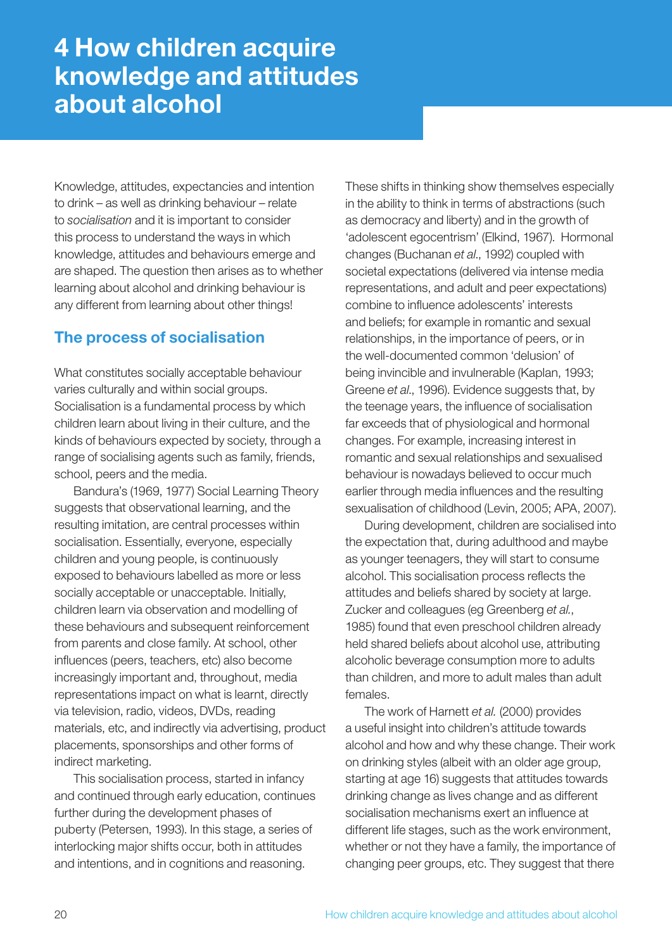## 4 How children acquire knowledge and attitudes about alcohol

Knowledge, attitudes, expectancies and intention to drink – as well as drinking behaviour – relate to *socialisation* and it is important to consider this process to understand the ways in which knowledge, attitudes and behaviours emerge and are shaped. The question then arises as to whether learning about alcohol and drinking behaviour is any different from learning about other things!

## The process of socialisation

What constitutes socially acceptable behaviour varies culturally and within social groups. Socialisation is a fundamental process by which children learn about living in their culture, and the kinds of behaviours expected by society, through a range of socialising agents such as family, friends, school, peers and the media.

Bandura's (1969, 1977) Social Learning Theory suggests that observational learning, and the resulting imitation, are central processes within socialisation. Essentially, everyone, especially children and young people, is continuously exposed to behaviours labelled as more or less socially acceptable or unacceptable. Initially, children learn via observation and modelling of these behaviours and subsequent reinforcement from parents and close family. At school, other influences (peers, teachers, etc) also become increasingly important and, throughout, media representations impact on what is learnt, directly via television, radio, videos, DVDs, reading materials, etc, and indirectly via advertising, product placements, sponsorships and other forms of indirect marketing.

This socialisation process, started in infancy and continued through early education, continues further during the development phases of puberty (Petersen, 1993). In this stage, a series of interlocking major shifts occur, both in attitudes and intentions, and in cognitions and reasoning.

These shifts in thinking show themselves especially in the ability to think in terms of abstractions (such as democracy and liberty) and in the growth of 'adolescent egocentrism' (Elkind, 1967). Hormonal changes (Buchanan *et al*., 1992) coupled with societal expectations (delivered via intense media representations, and adult and peer expectations) combine to influence adolescents' interests and beliefs; for example in romantic and sexual relationships, in the importance of peers, or in the well-documented common 'delusion' of being invincible and invulnerable (Kaplan, 1993; Greene *et al*., 1996). Evidence suggests that, by the teenage years, the influence of socialisation far exceeds that of physiological and hormonal changes. For example, increasing interest in romantic and sexual relationships and sexualised behaviour is nowadays believed to occur much earlier through media influences and the resulting sexualisation of childhood (Levin, 2005; APA, 2007).

During development, children are socialised into the expectation that, during adulthood and maybe as younger teenagers, they will start to consume alcohol. This socialisation process reflects the attitudes and beliefs shared by society at large. Zucker and colleagues (eg Greenberg *et al.*, 1985) found that even preschool children already held shared beliefs about alcohol use, attributing alcoholic beverage consumption more to adults than children, and more to adult males than adult females.

The work of Harnett *et al.* (2000) provides a useful insight into children's attitude towards alcohol and how and why these change. Their work on drinking styles (albeit with an older age group, starting at age 16) suggests that attitudes towards drinking change as lives change and as different socialisation mechanisms exert an influence at different life stages, such as the work environment, whether or not they have a family, the importance of changing peer groups, etc. They suggest that there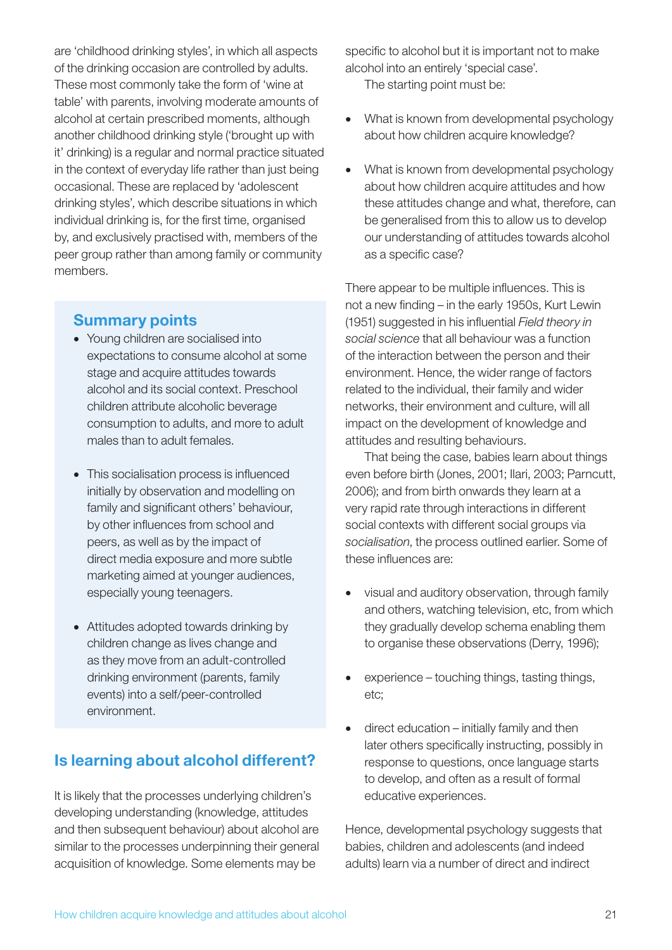are 'childhood drinking styles', in which all aspects of the drinking occasion are controlled by adults. These most commonly take the form of 'wine at table' with parents, involving moderate amounts of alcohol at certain prescribed moments, although another childhood drinking style ('brought up with it' drinking) is a regular and normal practice situated in the context of everyday life rather than just being occasional. These are replaced by 'adolescent drinking styles', which describe situations in which individual drinking is, for the first time, organised by, and exclusively practised with, members of the peer group rather than among family or community members.

## Summary points

- Young children are socialised into expectations to consume alcohol at some stage and acquire attitudes towards alcohol and its social context. Preschool children attribute alcoholic beverage consumption to adults, and more to adult males than to adult females.
- This socialisation process is influenced initially by observation and modelling on family and significant others' behaviour, by other influences from school and peers, as well as by the impact of direct media exposure and more subtle marketing aimed at younger audiences, especially young teenagers.
- Attitudes adopted towards drinking by children change as lives change and as they move from an adult-controlled drinking environment (parents, family events) into a self/peer-controlled environment.

## Is learning about alcohol different?

It is likely that the processes underlying children's developing understanding (knowledge, attitudes and then subsequent behaviour) about alcohol are similar to the processes underpinning their general acquisition of knowledge. Some elements may be

specific to alcohol but it is important not to make alcohol into an entirely 'special case'. The starting point must be:

- What is known from developmental psychology about how children acquire knowledge?
- What is known from developmental psychology about how children acquire attitudes and how these attitudes change and what, therefore, can be generalised from this to allow us to develop our understanding of attitudes towards alcohol as a specific case?

There appear to be multiple influences. This is not a new finding – in the early 1950s, Kurt Lewin (1951) suggested in his influential *Field theory in social science* that all behaviour was a function of the interaction between the person and their environment. Hence, the wider range of factors related to the individual, their family and wider networks, their environment and culture, will all impact on the development of knowledge and attitudes and resulting behaviours.

That being the case, babies learn about things even before birth (Jones, 2001; Ilari, 2003; Parncutt, 2006); and from birth onwards they learn at a very rapid rate through interactions in different social contexts with different social groups via *socialisation*, the process outlined earlier. Some of these influences are:

- visual and auditory observation, through family and others, watching television, etc, from which they gradually develop schema enabling them to organise these observations (Derry, 1996);
- experience touching things, tasting things, etc;
- $direct education initially family$  and then later others specifically instructing, possibly in response to questions, once language starts to develop, and often as a result of formal educative experiences.

Hence, developmental psychology suggests that babies, children and adolescents (and indeed adults) learn via a number of direct and indirect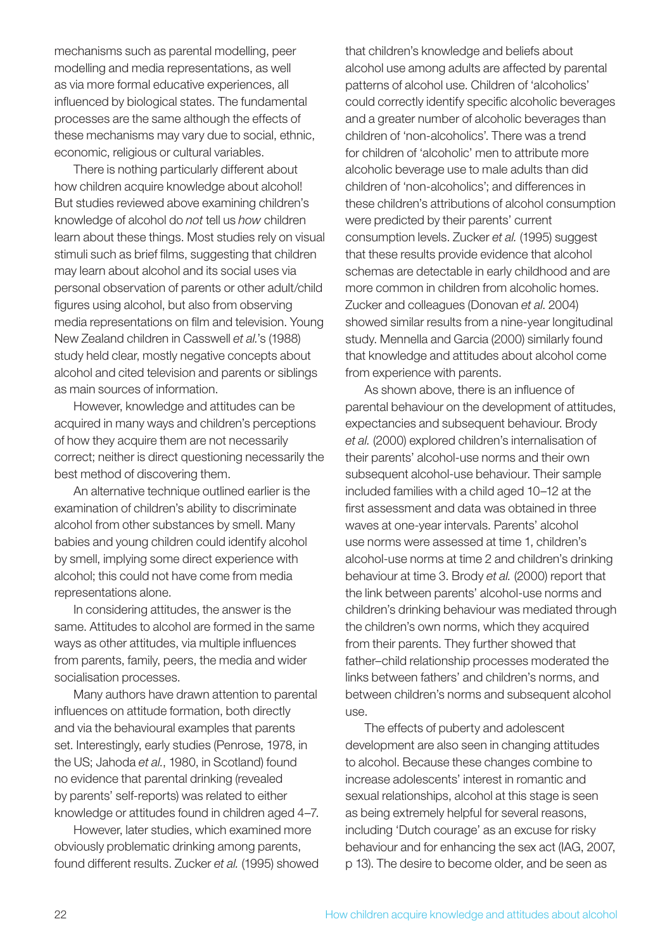mechanisms such as parental modelling, peer modelling and media representations, as well as via more formal educative experiences, all influenced by biological states. The fundamental processes are the same although the effects of these mechanisms may vary due to social, ethnic, economic, religious or cultural variables.

There is nothing particularly different about how children acquire knowledge about alcohol! But studies reviewed above examining children's knowledge of alcohol do *not* tell us *how* children learn about these things. Most studies rely on visual stimuli such as brief films, suggesting that children may learn about alcohol and its social uses via personal observation of parents or other adult/child figures using alcohol, but also from observing media representations on film and television. Young New Zealand children in Casswell *et al.*'s (1988) study held clear, mostly negative concepts about alcohol and cited television and parents or siblings as main sources of information.

However, knowledge and attitudes can be acquired in many ways and children's perceptions of how they acquire them are not necessarily correct; neither is direct questioning necessarily the best method of discovering them.

An alternative technique outlined earlier is the examination of children's ability to discriminate alcohol from other substances by smell. Many babies and young children could identify alcohol by smell, implying some direct experience with alcohol; this could not have come from media representations alone.

In considering attitudes, the answer is the same. Attitudes to alcohol are formed in the same ways as other attitudes, via multiple influences from parents, family, peers, the media and wider socialisation processes.

Many authors have drawn attention to parental influences on attitude formation, both directly and via the behavioural examples that parents set. Interestingly, early studies (Penrose, 1978, in the US; Jahoda *et al.*, 1980, in Scotland) found no evidence that parental drinking (revealed by parents' self-reports) was related to either knowledge or attitudes found in children aged 4–7.

However, later studies, which examined more obviously problematic drinking among parents, found different results. Zucker *et al.* (1995) showed that children's knowledge and beliefs about alcohol use among adults are affected by parental patterns of alcohol use. Children of 'alcoholics' could correctly identify specific alcoholic beverages and a greater number of alcoholic beverages than children of 'non-alcoholics'. There was a trend for children of 'alcoholic' men to attribute more alcoholic beverage use to male adults than did children of 'non-alcoholics'; and differences in these children's attributions of alcohol consumption were predicted by their parents' current consumption levels. Zucker *et al.* (1995) suggest that these results provide evidence that alcohol schemas are detectable in early childhood and are more common in children from alcoholic homes. Zucker and colleagues (Donovan *et al*. 2004) showed similar results from a nine-year longitudinal study. Mennella and Garcia (2000) similarly found that knowledge and attitudes about alcohol come from experience with parents.

As shown above, there is an influence of parental behaviour on the development of attitudes, expectancies and subsequent behaviour. Brody *et al.* (2000) explored children's internalisation of their parents' alcohol-use norms and their own subsequent alcohol-use behaviour. Their sample included families with a child aged 10–12 at the first assessment and data was obtained in three waves at one-year intervals. Parents' alcohol use norms were assessed at time 1, children's alcohol-use norms at time 2 and children's drinking behaviour at time 3. Brody *et al.* (2000) report that the link between parents' alcohol-use norms and children's drinking behaviour was mediated through the children's own norms, which they acquired from their parents. They further showed that father–child relationship processes moderated the links between fathers' and children's norms, and between children's norms and subsequent alcohol use.

The effects of puberty and adolescent development are also seen in changing attitudes to alcohol. Because these changes combine to increase adolescents' interest in romantic and sexual relationships, alcohol at this stage is seen as being extremely helpful for several reasons, including 'Dutch courage' as an excuse for risky behaviour and for enhancing the sex act (IAG, 2007, p 13). The desire to become older, and be seen as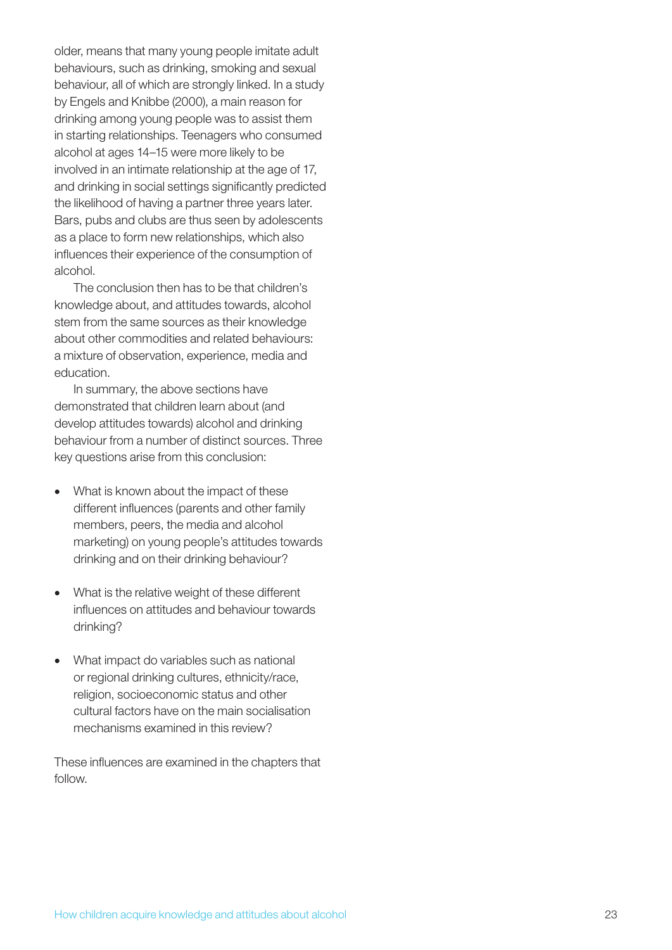older, means that many young people imitate adult behaviours, such as drinking, smoking and sexual behaviour, all of which are strongly linked. In a study by Engels and Knibbe (2000), a main reason for drinking among young people was to assist them in starting relationships. Teenagers who consumed alcohol at ages 14–15 were more likely to be involved in an intimate relationship at the age of 17, and drinking in social settings significantly predicted the likelihood of having a partner three years later. Bars, pubs and clubs are thus seen by adolescents as a place to form new relationships, which also influences their experience of the consumption of alcohol.

The conclusion then has to be that children's knowledge about, and attitudes towards, alcohol stem from the same sources as their knowledge about other commodities and related behaviours: a mixture of observation, experience, media and education.

In summary, the above sections have demonstrated that children learn about (and develop attitudes towards) alcohol and drinking behaviour from a number of distinct sources. Three key questions arise from this conclusion:

- What is known about the impact of these different influences (parents and other family members, peers, the media and alcohol marketing) on young people's attitudes towards drinking and on their drinking behaviour?
- What is the relative weight of these different influences on attitudes and behaviour towards drinking?
- What impact do variables such as national or regional drinking cultures, ethnicity/race, religion, socioeconomic status and other cultural factors have on the main socialisation mechanisms examined in this review?

These influences are examined in the chapters that follow.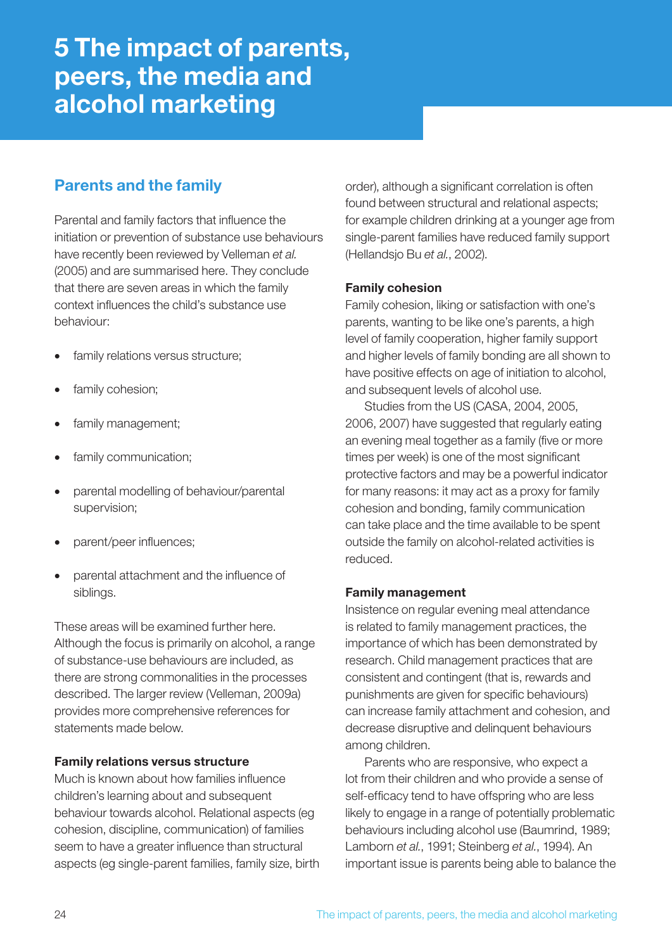## 5 The impact of parents, peers, the media and alcohol marketing

## Parents and the family

Parental and family factors that influence the initiation or prevention of substance use behaviours have recently been reviewed by Velleman *et al.* (2005) and are summarised here. They conclude that there are seven areas in which the family context influences the child's substance use behaviour:

- family relations versus structure;
- family cohesion;
- family management;
- family communication;
- parental modelling of behaviour/parental supervision;
- parent/peer influences;
- parental attachment and the influence of siblings.

These areas will be examined further here. Although the focus is primarily on alcohol, a range of substance-use behaviours are included, as there are strong commonalities in the processes described. The larger review (Velleman, 2009a) provides more comprehensive references for statements made below.

#### Family relations versus structure

Much is known about how families influence children's learning about and subsequent behaviour towards alcohol. Relational aspects (eg cohesion, discipline, communication) of families seem to have a greater influence than structural aspects (eg single-parent families, family size, birth order), although a significant correlation is often found between structural and relational aspects; for example children drinking at a younger age from single-parent families have reduced family support (Hellandsjo Bu *et al.*, 2002).

#### Family cohesion

Family cohesion, liking or satisfaction with one's parents, wanting to be like one's parents, a high level of family cooperation, higher family support and higher levels of family bonding are all shown to have positive effects on age of initiation to alcohol, and subsequent levels of alcohol use.

Studies from the US (CASA, 2004, 2005, 2006, 2007) have suggested that regularly eating an evening meal together as a family (five or more times per week) is one of the most significant protective factors and may be a powerful indicator for many reasons: it may act as a proxy for family cohesion and bonding, family communication can take place and the time available to be spent outside the family on alcohol-related activities is reduced.

#### Family management

Insistence on regular evening meal attendance is related to family management practices, the importance of which has been demonstrated by research. Child management practices that are consistent and contingent (that is, rewards and punishments are given for specific behaviours) can increase family attachment and cohesion, and decrease disruptive and delinquent behaviours among children.

Parents who are responsive, who expect a lot from their children and who provide a sense of self-efficacy tend to have offspring who are less likely to engage in a range of potentially problematic behaviours including alcohol use (Baumrind, 1989; Lamborn *et al.*, 1991; Steinberg *et al.*, 1994). An important issue is parents being able to balance the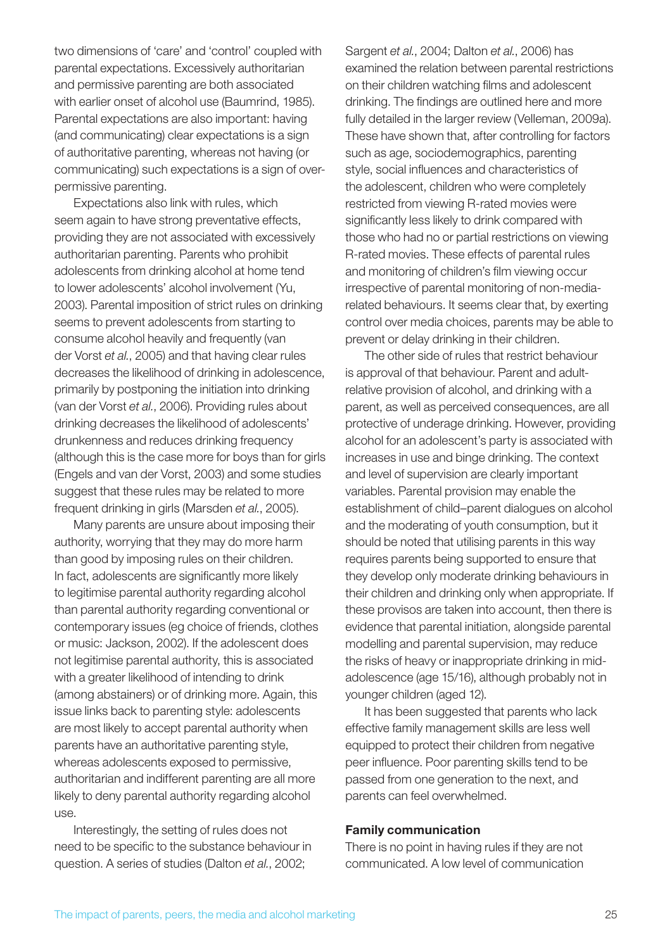two dimensions of 'care' and 'control' coupled with parental expectations. Excessively authoritarian and permissive parenting are both associated with earlier onset of alcohol use (Baumrind, 1985). Parental expectations are also important: having (and communicating) clear expectations is a sign of authoritative parenting, whereas not having (or communicating) such expectations is a sign of overpermissive parenting.

Expectations also link with rules, which seem again to have strong preventative effects, providing they are not associated with excessively authoritarian parenting. Parents who prohibit adolescents from drinking alcohol at home tend to lower adolescents' alcohol involvement (Yu, 2003). Parental imposition of strict rules on drinking seems to prevent adolescents from starting to consume alcohol heavily and frequently (van der Vorst *et al.*, 2005) and that having clear rules decreases the likelihood of drinking in adolescence, primarily by postponing the initiation into drinking (van der Vorst *et al.*, 2006). Providing rules about drinking decreases the likelihood of adolescents' drunkenness and reduces drinking frequency (although this is the case more for boys than for girls (Engels and van der Vorst, 2003) and some studies suggest that these rules may be related to more frequent drinking in girls (Marsden *et al.*, 2005).

Many parents are unsure about imposing their authority, worrying that they may do more harm than good by imposing rules on their children. In fact, adolescents are significantly more likely to legitimise parental authority regarding alcohol than parental authority regarding conventional or contemporary issues (eg choice of friends, clothes or music: Jackson, 2002). If the adolescent does not legitimise parental authority, this is associated with a greater likelihood of intending to drink (among abstainers) or of drinking more. Again, this issue links back to parenting style: adolescents are most likely to accept parental authority when parents have an authoritative parenting style, whereas adolescents exposed to permissive, authoritarian and indifferent parenting are all more likely to deny parental authority regarding alcohol use.

Interestingly, the setting of rules does not need to be specific to the substance behaviour in question. A series of studies (Dalton *et al.*, 2002;

Sargent *et al.*, 2004; Dalton *et al.*, 2006) has examined the relation between parental restrictions on their children watching films and adolescent drinking. The findings are outlined here and more fully detailed in the larger review (Velleman, 2009a). These have shown that, after controlling for factors such as age, sociodemographics, parenting style, social influences and characteristics of the adolescent, children who were completely restricted from viewing R-rated movies were significantly less likely to drink compared with those who had no or partial restrictions on viewing R-rated movies. These effects of parental rules and monitoring of children's film viewing occur irrespective of parental monitoring of non-mediarelated behaviours. It seems clear that, by exerting control over media choices, parents may be able to prevent or delay drinking in their children.

The other side of rules that restrict behaviour is approval of that behaviour. Parent and adultrelative provision of alcohol, and drinking with a parent, as well as perceived consequences, are all protective of underage drinking. However, providing alcohol for an adolescent's party is associated with increases in use and binge drinking. The context and level of supervision are clearly important variables. Parental provision may enable the establishment of child–parent dialogues on alcohol and the moderating of youth consumption, but it should be noted that utilising parents in this way requires parents being supported to ensure that they develop only moderate drinking behaviours in their children and drinking only when appropriate. If these provisos are taken into account, then there is evidence that parental initiation, alongside parental modelling and parental supervision, may reduce the risks of heavy or inappropriate drinking in midadolescence (age 15/16), although probably not in younger children (aged 12).

It has been suggested that parents who lack effective family management skills are less well equipped to protect their children from negative peer influence. Poor parenting skills tend to be passed from one generation to the next, and parents can feel overwhelmed.

#### Family communication

There is no point in having rules if they are not communicated. A low level of communication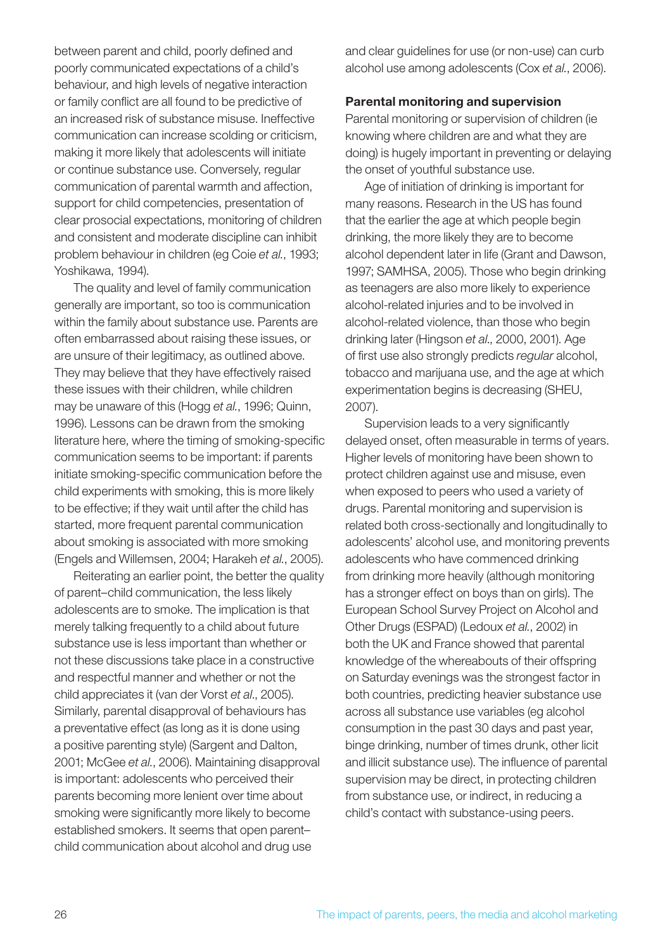between parent and child, poorly defined and poorly communicated expectations of a child's behaviour, and high levels of negative interaction or family conflict are all found to be predictive of an increased risk of substance misuse. Ineffective communication can increase scolding or criticism, making it more likely that adolescents will initiate or continue substance use. Conversely, regular communication of parental warmth and affection, support for child competencies, presentation of clear prosocial expectations, monitoring of children and consistent and moderate discipline can inhibit problem behaviour in children (eg Coie *et al.*, 1993; Yoshikawa, 1994).

The quality and level of family communication generally are important, so too is communication within the family about substance use. Parents are often embarrassed about raising these issues, or are unsure of their legitimacy, as outlined above. They may believe that they have effectively raised these issues with their children, while children may be unaware of this (Hogg *et al.*, 1996; Quinn, 1996). Lessons can be drawn from the smoking literature here, where the timing of smoking-specific communication seems to be important: if parents initiate smoking-specific communication before the child experiments with smoking, this is more likely to be effective; if they wait until after the child has started, more frequent parental communication about smoking is associated with more smoking (Engels and Willemsen, 2004; Harakeh *et al.*, 2005).

Reiterating an earlier point, the better the quality of parent–child communication, the less likely adolescents are to smoke. The implication is that merely talking frequently to a child about future substance use is less important than whether or not these discussions take place in a constructive and respectful manner and whether or not the child appreciates it (van der Vorst *et al*., 2005). Similarly, parental disapproval of behaviours has a preventative effect (as long as it is done using a positive parenting style) (Sargent and Dalton, 2001; McGee *et al.*, 2006). Maintaining disapproval is important: adolescents who perceived their parents becoming more lenient over time about smoking were significantly more likely to become established smokers. It seems that open parent– child communication about alcohol and drug use

and clear guidelines for use (or non-use) can curb alcohol use among adolescents (Cox *et al.*, 2006).

#### Parental monitoring and supervision

Parental monitoring or supervision of children (ie knowing where children are and what they are doing) is hugely important in preventing or delaying the onset of youthful substance use.

Age of initiation of drinking is important for many reasons. Research in the US has found that the earlier the age at which people begin drinking, the more likely they are to become alcohol dependent later in life (Grant and Dawson, 1997; SAMHSA, 2005). Those who begin drinking as teenagers are also more likely to experience alcohol-related injuries and to be involved in alcohol-related violence, than those who begin drinking later (Hingson *et al*., 2000, 2001). Age of first use also strongly predicts *regular* alcohol, tobacco and marijuana use, and the age at which experimentation begins is decreasing (SHEU, 2007).

Supervision leads to a very significantly delayed onset, often measurable in terms of years. Higher levels of monitoring have been shown to protect children against use and misuse, even when exposed to peers who used a variety of drugs. Parental monitoring and supervision is related both cross-sectionally and longitudinally to adolescents' alcohol use, and monitoring prevents adolescents who have commenced drinking from drinking more heavily (although monitoring has a stronger effect on boys than on girls). The European School Survey Project on Alcohol and Other Drugs (ESPAD) (Ledoux *et al.*, 2002) in both the UK and France showed that parental knowledge of the whereabouts of their offspring on Saturday evenings was the strongest factor in both countries, predicting heavier substance use across all substance use variables (eg alcohol consumption in the past 30 days and past year, binge drinking, number of times drunk, other licit and illicit substance use). The influence of parental supervision may be direct, in protecting children from substance use, or indirect, in reducing a child's contact with substance-using peers.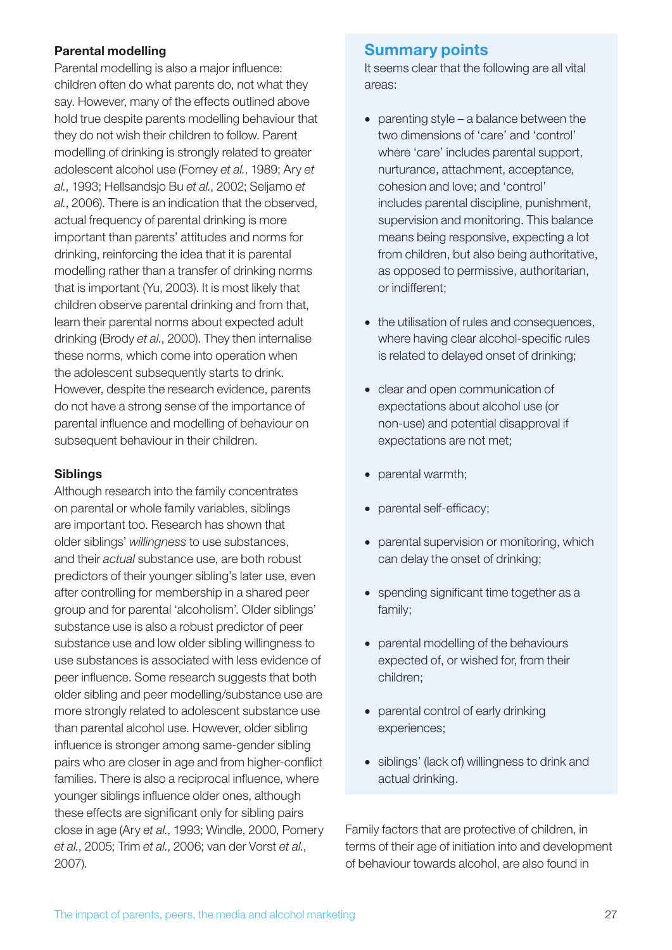#### Parental modelling

Parental modelling is also a major influence: children often do what parents do, not what they say. However, many of the effects outlined above hold true despite parents modelling behaviour that they do not wish their children to follow. Parent modelling of drinking is strongly related to greater adolescent alcohol use (Forney *et al.*, 1989; Ary *et al.*, 1993; Hellsandsjo Bu *et al.*, 2002; Seljamo *et al.*, 2006). There is an indication that the observed, actual frequency of parental drinking is more important than parents' attitudes and norms for drinking, reinforcing the idea that it is parental modelling rather than a transfer of drinking norms that is important (Yu, 2003). It is most likely that children observe parental drinking and from that, learn their parental norms about expected adult drinking (Brody *et al.*, 2000). They then internalise these norms, which come into operation when the adolescent subsequently starts to drink. However, despite the research evidence, parents do not have a strong sense of the importance of parental influence and modelling of behaviour on subsequent behaviour in their children.

#### Siblings

Although research into the family concentrates on parental or whole family variables, siblings are important too. Research has shown that older siblings' *willingness* to use substances, and their *actual* substance use, are both robust predictors of their younger sibling's later use, even after controlling for membership in a shared peer group and for parental 'alcoholism'. Older siblings' substance use is also a robust predictor of peer substance use and low older sibling willingness to use substances is associated with less evidence of peer influence. Some research suggests that both older sibling and peer modelling/substance use are more strongly related to adolescent substance use than parental alcohol use. However, older sibling influence is stronger among same-gender sibling pairs who are closer in age and from higher-conflict families. There is also a reciprocal influence, where younger siblings influence older ones, although these effects are significant only for sibling pairs close in age (Ary *et al.*, 1993; Windle, 2000, Pomery *et al.*, 2005; Trim *et al.*, 2006; van der Vorst *et al.*, 2007).

### Summary points

It seems clear that the following are all vital areas:

- parenting style a balance between the two dimensions of 'care' and 'control' where 'care' includes parental support, nurturance, attachment, acceptance, cohesion and love; and 'control' includes parental discipline, punishment, supervision and monitoring. This balance means being responsive, expecting a lot from children, but also being authoritative, as opposed to permissive, authoritarian, or indifferent;
- the utilisation of rules and consequences, where having clear alcohol-specific rules is related to delayed onset of drinking;
- clear and open communication of expectations about alcohol use (or non-use) and potential disapproval if expectations are not met;
- parental warmth;
- parental self-efficacy;
- parental supervision or monitoring, which can delay the onset of drinking;
- spending significant time together as a family;
- parental modelling of the behaviours expected of, or wished for, from their children;
- parental control of early drinking experiences;
- siblings' (lack of) willingness to drink and actual drinking.

Family factors that are protective of children, in terms of their age of initiation into and development of behaviour towards alcohol, are also found in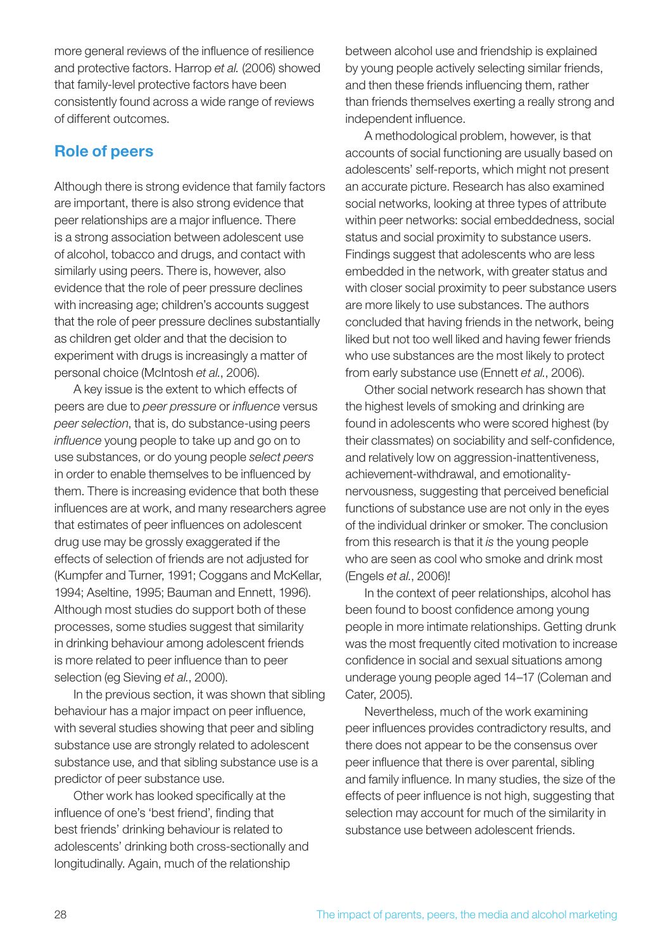more general reviews of the influence of resilience and protective factors. Harrop *et al.* (2006) showed that family-level protective factors have been consistently found across a wide range of reviews of different outcomes.

## Role of peers

Although there is strong evidence that family factors are important, there is also strong evidence that peer relationships are a major influence. There is a strong association between adolescent use of alcohol, tobacco and drugs, and contact with similarly using peers. There is, however, also evidence that the role of peer pressure declines with increasing age; children's accounts suggest that the role of peer pressure declines substantially as children get older and that the decision to experiment with drugs is increasingly a matter of personal choice (McIntosh *et al.*, 2006).

A key issue is the extent to which effects of peers are due to *peer pressure* or *influence* versus *peer selection*, that is, do substance-using peers *influence* young people to take up and go on to use substances, or do young people *select peers* in order to enable themselves to be influenced by them. There is increasing evidence that both these influences are at work, and many researchers agree that estimates of peer influences on adolescent drug use may be grossly exaggerated if the effects of selection of friends are not adjusted for (Kumpfer and Turner, 1991; Coggans and McKellar, 1994; Aseltine, 1995; Bauman and Ennett, 1996). Although most studies do support both of these processes, some studies suggest that similarity in drinking behaviour among adolescent friends is more related to peer influence than to peer selection (eg Sieving *et al.*, 2000).

In the previous section, it was shown that sibling behaviour has a major impact on peer influence, with several studies showing that peer and sibling substance use are strongly related to adolescent substance use, and that sibling substance use is a predictor of peer substance use.

Other work has looked specifically at the influence of one's 'best friend', finding that best friends' drinking behaviour is related to adolescents' drinking both cross-sectionally and longitudinally. Again, much of the relationship

between alcohol use and friendship is explained by young people actively selecting similar friends, and then these friends influencing them, rather than friends themselves exerting a really strong and independent influence.

A methodological problem, however, is that accounts of social functioning are usually based on adolescents' self-reports, which might not present an accurate picture. Research has also examined social networks, looking at three types of attribute within peer networks: social embeddedness, social status and social proximity to substance users. Findings suggest that adolescents who are less embedded in the network, with greater status and with closer social proximity to peer substance users are more likely to use substances. The authors concluded that having friends in the network, being liked but not too well liked and having fewer friends who use substances are the most likely to protect from early substance use (Ennett *et al.*, 2006).

Other social network research has shown that the highest levels of smoking and drinking are found in adolescents who were scored highest (by their classmates) on sociability and self-confidence, and relatively low on aggression-inattentiveness, achievement-withdrawal, and emotionalitynervousness, suggesting that perceived beneficial functions of substance use are not only in the eyes of the individual drinker or smoker. The conclusion from this research is that it *is* the young people who are seen as cool who smoke and drink most (Engels *et al.*, 2006)!

In the context of peer relationships, alcohol has been found to boost confidence among young people in more intimate relationships. Getting drunk was the most frequently cited motivation to increase confidence in social and sexual situations among underage young people aged 14–17 (Coleman and Cater, 2005).

Nevertheless, much of the work examining peer influences provides contradictory results, and there does not appear to be the consensus over peer influence that there is over parental, sibling and family influence. In many studies, the size of the effects of peer influence is not high, suggesting that selection may account for much of the similarity in substance use between adolescent friends.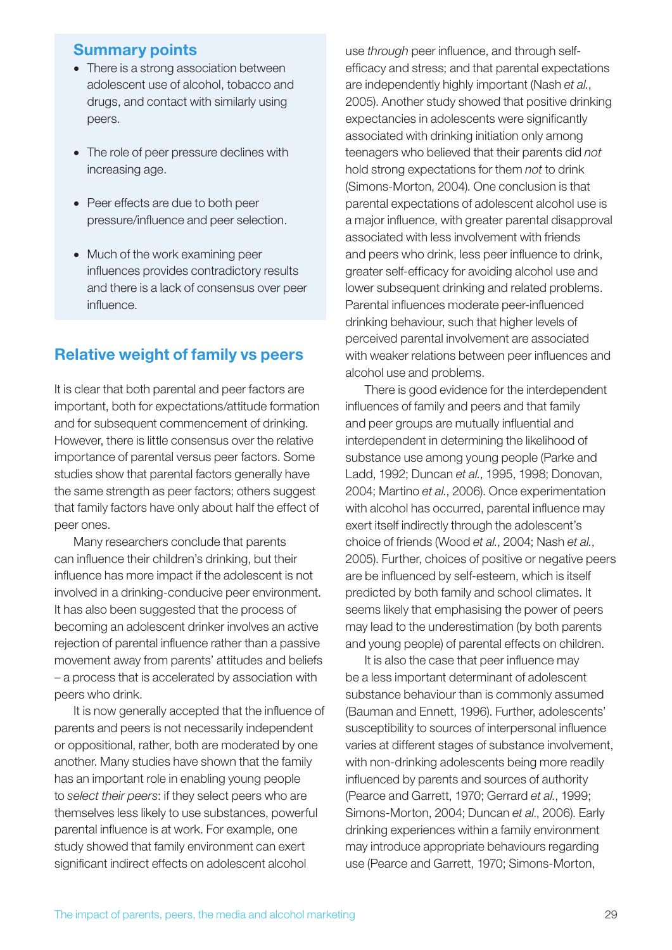#### Summary points

- There is a strong association between adolescent use of alcohol, tobacco and drugs, and contact with similarly using peers.
- The role of peer pressure declines with increasing age.
- Peer effects are due to both peer pressure/influence and peer selection.
- Much of the work examining peer influences provides contradictory results and there is a lack of consensus over peer influence.

## Relative weight of family vs peers

It is clear that both parental and peer factors are important, both for expectations/attitude formation and for subsequent commencement of drinking. However, there is little consensus over the relative importance of parental versus peer factors. Some studies show that parental factors generally have the same strength as peer factors; others suggest that family factors have only about half the effect of peer ones.

Many researchers conclude that parents can influence their children's drinking, but their influence has more impact if the adolescent is not involved in a drinking-conducive peer environment. It has also been suggested that the process of becoming an adolescent drinker involves an active rejection of parental influence rather than a passive movement away from parents' attitudes and beliefs – a process that is accelerated by association with peers who drink.

It is now generally accepted that the influence of parents and peers is not necessarily independent or oppositional, rather, both are moderated by one another. Many studies have shown that the family has an important role in enabling young people to *select their peers*: if they select peers who are themselves less likely to use substances, powerful parental influence is at work. For example, one study showed that family environment can exert significant indirect effects on adolescent alcohol

use *through* peer influence, and through selfefficacy and stress; and that parental expectations are independently highly important (Nash *et al.*, 2005). Another study showed that positive drinking expectancies in adolescents were significantly associated with drinking initiation only among teenagers who believed that their parents did *not* hold strong expectations for them *not* to drink (Simons-Morton, 2004). One conclusion is that parental expectations of adolescent alcohol use is a major influence, with greater parental disapproval associated with less involvement with friends and peers who drink, less peer influence to drink, greater self-efficacy for avoiding alcohol use and lower subsequent drinking and related problems. Parental influences moderate peer-influenced drinking behaviour, such that higher levels of perceived parental involvement are associated with weaker relations between peer influences and alcohol use and problems.

There is good evidence for the interdependent influences of family and peers and that family and peer groups are mutually influential and interdependent in determining the likelihood of substance use among young people (Parke and Ladd, 1992; Duncan *et al.*, 1995, 1998; Donovan, 2004; Martino *et al.*, 2006). Once experimentation with alcohol has occurred, parental influence may exert itself indirectly through the adolescent's choice of friends (Wood *et al.*, 2004; Nash *et al.*, 2005). Further, choices of positive or negative peers are be influenced by self-esteem, which is itself predicted by both family and school climates. It seems likely that emphasising the power of peers may lead to the underestimation (by both parents and young people) of parental effects on children.

It is also the case that peer influence may be a less important determinant of adolescent substance behaviour than is commonly assumed (Bauman and Ennett, 1996). Further, adolescents' susceptibility to sources of interpersonal influence varies at different stages of substance involvement, with non-drinking adolescents being more readily influenced by parents and sources of authority (Pearce and Garrett, 1970; Gerrard *et al.*, 1999; Simons-Morton, 2004; Duncan *et al*., 2006). Early drinking experiences within a family environment may introduce appropriate behaviours regarding use (Pearce and Garrett, 1970; Simons-Morton,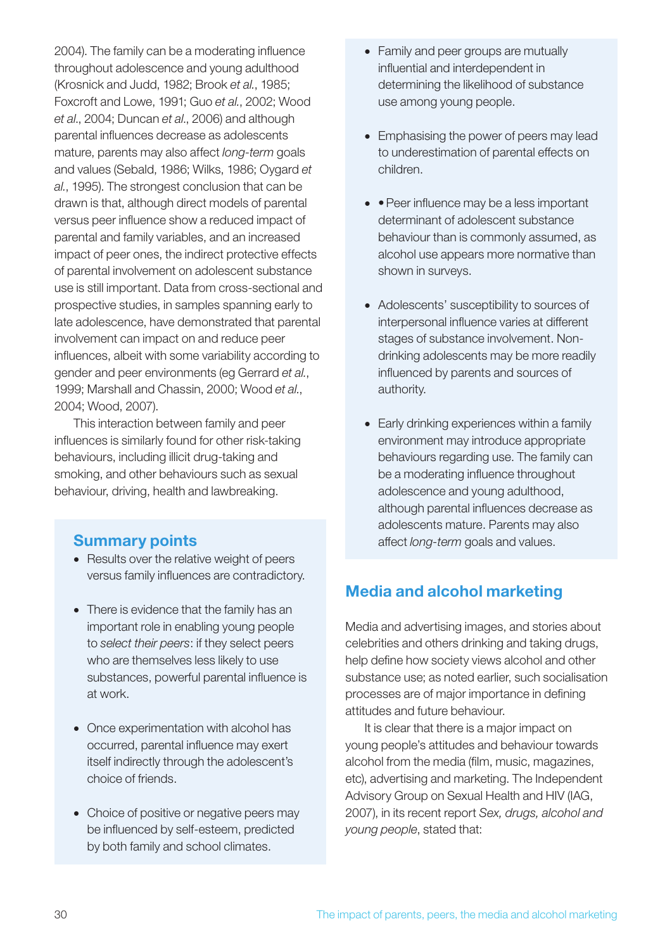2004). The family can be a moderating influence throughout adolescence and young adulthood (Krosnick and Judd, 1982; Brook *et al.*, 1985; Foxcroft and Lowe, 1991; Guo *et al.*, 2002; Wood *et al*., 2004; Duncan *et al*., 2006) and although parental influences decrease as adolescents mature, parents may also affect *long-term* goals and values (Sebald, 1986; Wilks, 1986; Oygard *et al.*, 1995). The strongest conclusion that can be drawn is that, although direct models of parental versus peer influence show a reduced impact of parental and family variables, and an increased impact of peer ones, the indirect protective effects of parental involvement on adolescent substance use is still important. Data from cross-sectional and prospective studies, in samples spanning early to late adolescence, have demonstrated that parental involvement can impact on and reduce peer influences, albeit with some variability according to gender and peer environments (eg Gerrard *et al.*, 1999; Marshall and Chassin, 2000; Wood *et al.*, 2004; Wood, 2007).

This interaction between family and peer influences is similarly found for other risk-taking behaviours, including illicit drug-taking and smoking, and other behaviours such as sexual behaviour, driving, health and lawbreaking.

### Summary points

- Results over the relative weight of peers versus family influences are contradictory.
- There is evidence that the family has an important role in enabling young people to *select their peers*: if they select peers who are themselves less likely to use substances, powerful parental influence is at work.
- Once experimentation with alcohol has occurred, parental influence may exert itself indirectly through the adolescent's choice of friends.
- Choice of positive or negative peers may be influenced by self-esteem, predicted by both family and school climates.
- Family and peer groups are mutually influential and interdependent in determining the likelihood of substance use among young people.
- Emphasising the power of peers may lead to underestimation of parental effects on children.
- • Peer influence may be a less important determinant of adolescent substance behaviour than is commonly assumed, as alcohol use appears more normative than shown in surveys.
- Adolescents' susceptibility to sources of interpersonal influence varies at different stages of substance involvement. Nondrinking adolescents may be more readily influenced by parents and sources of authority.
- Early drinking experiences within a family environment may introduce appropriate behaviours regarding use. The family can be a moderating influence throughout adolescence and young adulthood, although parental influences decrease as adolescents mature. Parents may also affect *long-term* goals and values.

## Media and alcohol marketing

Media and advertising images, and stories about celebrities and others drinking and taking drugs, help define how society views alcohol and other substance use; as noted earlier, such socialisation processes are of major importance in defining attitudes and future behaviour.

It is clear that there is a major impact on young people's attitudes and behaviour towards alcohol from the media (film, music, magazines, etc), advertising and marketing. The Independent Advisory Group on Sexual Health and HIV (IAG, 2007), in its recent report *Sex, drugs, alcohol and young people*, stated that: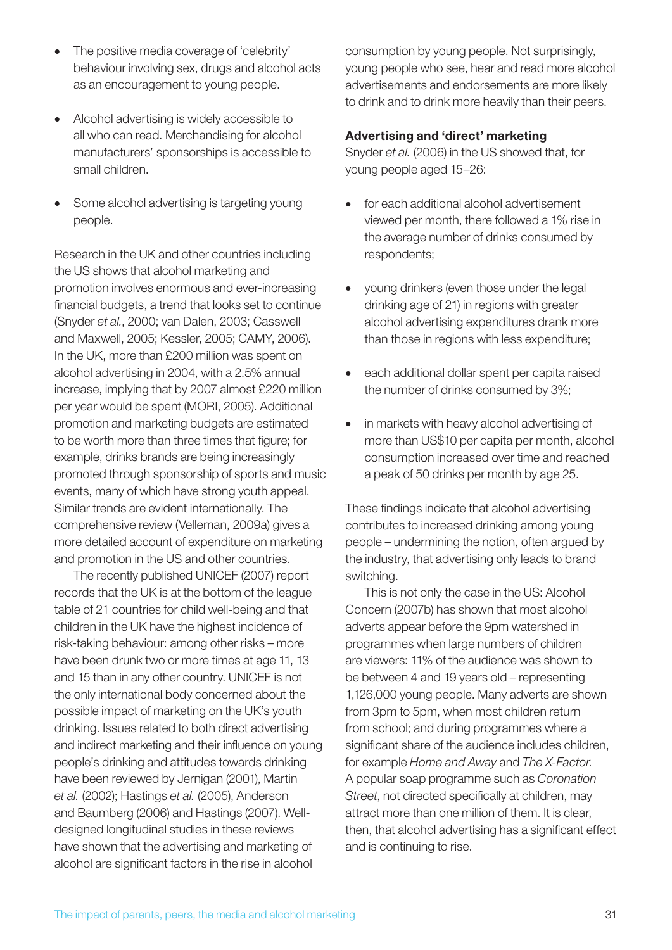- The positive media coverage of 'celebrity' behaviour involving sex, drugs and alcohol acts as an encouragement to young people.
- Alcohol advertising is widely accessible to all who can read. Merchandising for alcohol manufacturers' sponsorships is accessible to small children.
- Some alcohol advertising is targeting young people.

Research in the UK and other countries including the US shows that alcohol marketing and promotion involves enormous and ever-increasing financial budgets, a trend that looks set to continue (Snyder *et al.*, 2000; van Dalen, 2003; Casswell and Maxwell, 2005; Kessler, 2005; CAMY, 2006). In the UK, more than £200 million was spent on alcohol advertising in 2004, with a 2.5% annual increase, implying that by 2007 almost £220 million per year would be spent (MORI, 2005). Additional promotion and marketing budgets are estimated to be worth more than three times that figure; for example, drinks brands are being increasingly promoted through sponsorship of sports and music events, many of which have strong youth appeal. Similar trends are evident internationally. The comprehensive review (Velleman, 2009a) gives a more detailed account of expenditure on marketing and promotion in the US and other countries.

The recently published UNICEF (2007) report records that the UK is at the bottom of the league table of 21 countries for child well-being and that children in the UK have the highest incidence of risk-taking behaviour: among other risks – more have been drunk two or more times at age 11, 13 and 15 than in any other country. UNICEF is not the only international body concerned about the possible impact of marketing on the UK's youth drinking. Issues related to both direct advertising and indirect marketing and their influence on young people's drinking and attitudes towards drinking have been reviewed by Jernigan (2001), Martin *et al.* (2002); Hastings *et al.* (2005), Anderson and Baumberg (2006) and Hastings (2007). Welldesigned longitudinal studies in these reviews have shown that the advertising and marketing of alcohol are significant factors in the rise in alcohol

consumption by young people. Not surprisingly, young people who see, hear and read more alcohol advertisements and endorsements are more likely to drink and to drink more heavily than their peers.

#### Advertising and 'direct' marketing

Snyder *et al.* (2006) in the US showed that, for young people aged 15–26:

- for each additional alcohol advertisement viewed per month, there followed a 1% rise in the average number of drinks consumed by respondents;
- • young drinkers (even those under the legal drinking age of 21) in regions with greater alcohol advertising expenditures drank more than those in regions with less expenditure;
- each additional dollar spent per capita raised the number of drinks consumed by 3%;
- in markets with heavy alcohol advertising of more than US\$10 per capita per month, alcohol consumption increased over time and reached a peak of 50 drinks per month by age 25.

These findings indicate that alcohol advertising contributes to increased drinking among young people – undermining the notion, often argued by the industry, that advertising only leads to brand switching.

This is not only the case in the US: Alcohol Concern (2007b) has shown that most alcohol adverts appear before the 9pm watershed in programmes when large numbers of children are viewers: 11% of the audience was shown to be between 4 and 19 years old – representing 1,126,000 young people. Many adverts are shown from 3pm to 5pm, when most children return from school; and during programmes where a significant share of the audience includes children, for example *Home and Away* and *The X-Factor*. A popular soap programme such as *Coronation Street*, not directed specifically at children, may attract more than one million of them. It is clear, then, that alcohol advertising has a significant effect and is continuing to rise.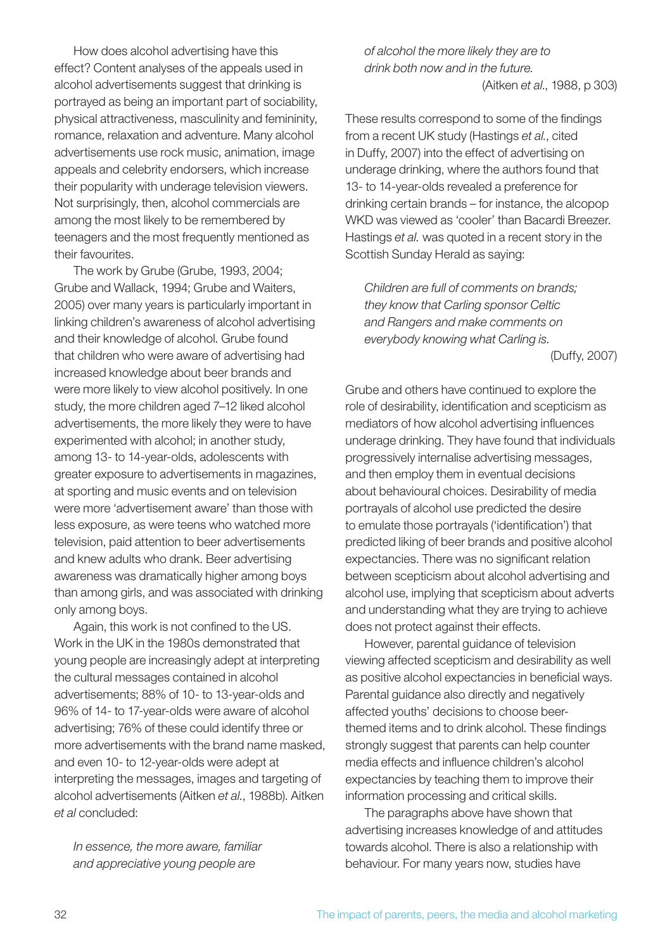How does alcohol advertising have this effect? Content analyses of the appeals used in alcohol advertisements suggest that drinking is portrayed as being an important part of sociability, physical attractiveness, masculinity and femininity, romance, relaxation and adventure. Many alcohol advertisements use rock music, animation, image appeals and celebrity endorsers, which increase their popularity with underage television viewers. Not surprisingly, then, alcohol commercials are among the most likely to be remembered by teenagers and the most frequently mentioned as their favourites.

The work by Grube (Grube, 1993, 2004; Grube and Wallack, 1994; Grube and Waiters, 2005) over many years is particularly important in linking children's awareness of alcohol advertising and their knowledge of alcohol. Grube found that children who were aware of advertising had increased knowledge about beer brands and were more likely to view alcohol positively. In one study, the more children aged 7–12 liked alcohol advertisements, the more likely they were to have experimented with alcohol; in another study, among 13- to 14-year-olds, adolescents with greater exposure to advertisements in magazines, at sporting and music events and on television were more 'advertisement aware' than those with less exposure, as were teens who watched more television, paid attention to beer advertisements and knew adults who drank. Beer advertising awareness was dramatically higher among boys than among girls, and was associated with drinking only among boys.

Again, this work is not confined to the US. Work in the UK in the 1980s demonstrated that young people are increasingly adept at interpreting the cultural messages contained in alcohol advertisements; 88% of 10- to 13-year-olds and 96% of 14- to 17-year-olds were aware of alcohol advertising; 76% of these could identify three or more advertisements with the brand name masked, and even 10- to 12-year-olds were adept at interpreting the messages, images and targeting of alcohol advertisements (Aitken *et al.*, 1988b). Aitken *et al* concluded:

*In essence, the more aware, familiar and appreciative young people are* 

*of alcohol the more likely they are to drink both now and in the future.* (Aitken *et al*., 1988, p 303)

These results correspond to some of the findings from a recent UK study (Hastings *et al.*, cited in Duffy, 2007) into the effect of advertising on underage drinking, where the authors found that 13- to 14-year-olds revealed a preference for drinking certain brands – for instance, the alcopop WKD was viewed as 'cooler' than Bacardi Breezer. Hastings *et al.* was quoted in a recent story in the Scottish Sunday Herald as saying:

*Children are full of comments on brands; they know that Carling sponsor Celtic and Rangers and make comments on everybody knowing what Carling is.* (Duffy, 2007)

Grube and others have continued to explore the role of desirability, identification and scepticism as mediators of how alcohol advertising influences underage drinking. They have found that individuals progressively internalise advertising messages, and then employ them in eventual decisions about behavioural choices. Desirability of media portrayals of alcohol use predicted the desire to emulate those portrayals ('identification') that predicted liking of beer brands and positive alcohol expectancies. There was no significant relation between scepticism about alcohol advertising and alcohol use, implying that scepticism about adverts and understanding what they are trying to achieve does not protect against their effects.

However, parental guidance of television viewing affected scepticism and desirability as well as positive alcohol expectancies in beneficial ways. Parental guidance also directly and negatively affected youths' decisions to choose beerthemed items and to drink alcohol. These findings strongly suggest that parents can help counter media effects and influence children's alcohol expectancies by teaching them to improve their information processing and critical skills.

The paragraphs above have shown that advertising increases knowledge of and attitudes towards alcohol. There is also a relationship with behaviour. For many years now, studies have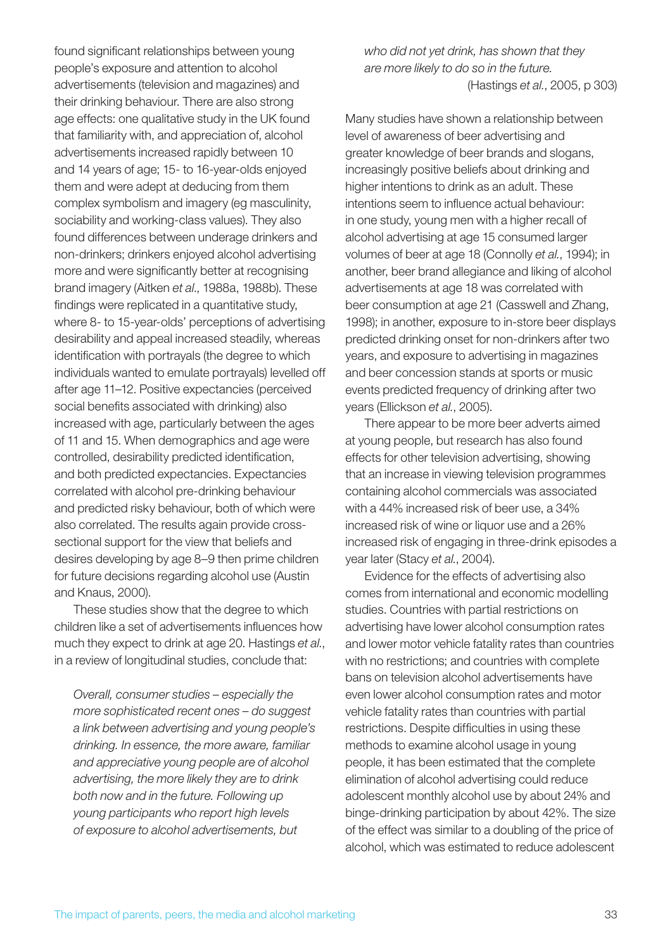found significant relationships between young people's exposure and attention to alcohol advertisements (television and magazines) and their drinking behaviour. There are also strong age effects: one qualitative study in the UK found that familiarity with, and appreciation of, alcohol advertisements increased rapidly between 10 and 14 years of age; 15- to 16-year-olds enjoyed them and were adept at deducing from them complex symbolism and imagery (eg masculinity, sociability and working-class values). They also found differences between underage drinkers and non-drinkers; drinkers enjoyed alcohol advertising more and were significantly better at recognising brand imagery (Aitken *et al*., 1988a, 1988b). These findings were replicated in a quantitative study, where 8- to 15-year-olds' perceptions of advertising desirability and appeal increased steadily, whereas identification with portrayals (the degree to which individuals wanted to emulate portrayals) levelled off after age 11–12. Positive expectancies (perceived social benefits associated with drinking) also increased with age, particularly between the ages of 11 and 15. When demographics and age were controlled, desirability predicted identification, and both predicted expectancies. Expectancies correlated with alcohol pre-drinking behaviour and predicted risky behaviour, both of which were also correlated. The results again provide crosssectional support for the view that beliefs and desires developing by age 8–9 then prime children for future decisions regarding alcohol use (Austin and Knaus, 2000).

These studies show that the degree to which children like a set of advertisements influences how much they expect to drink at age 20. Hastings *et al.*, in a review of longitudinal studies, conclude that:

*Overall, consumer studies – especially the more sophisticated recent ones – do suggest a link between advertising and young people's drinking. In essence, the more aware, familiar and appreciative young people are of alcohol advertising, the more likely they are to drink both now and in the future. Following up young participants who report high levels of exposure to alcohol advertisements, but* 

*who did not yet drink, has shown that they are more likely to do so in the future.* (Hastings *et al.*, 2005, p 303)

Many studies have shown a relationship between level of awareness of beer advertising and greater knowledge of beer brands and slogans, increasingly positive beliefs about drinking and higher intentions to drink as an adult. These intentions seem to influence actual behaviour: in one study, young men with a higher recall of alcohol advertising at age 15 consumed larger volumes of beer at age 18 (Connolly *et al.*, 1994); in another, beer brand allegiance and liking of alcohol advertisements at age 18 was correlated with beer consumption at age 21 (Casswell and Zhang, 1998); in another, exposure to in-store beer displays predicted drinking onset for non-drinkers after two years, and exposure to advertising in magazines and beer concession stands at sports or music events predicted frequency of drinking after two years (Ellickson *et al.*, 2005).

There appear to be more beer adverts aimed at young people, but research has also found effects for other television advertising, showing that an increase in viewing television programmes containing alcohol commercials was associated with a 44% increased risk of beer use, a 34% increased risk of wine or liquor use and a 26% increased risk of engaging in three-drink episodes a year later (Stacy *et al.*, 2004).

Evidence for the effects of advertising also comes from international and economic modelling studies. Countries with partial restrictions on advertising have lower alcohol consumption rates and lower motor vehicle fatality rates than countries with no restrictions; and countries with complete bans on television alcohol advertisements have even lower alcohol consumption rates and motor vehicle fatality rates than countries with partial restrictions. Despite difficulties in using these methods to examine alcohol usage in young people, it has been estimated that the complete elimination of alcohol advertising could reduce adolescent monthly alcohol use by about 24% and binge-drinking participation by about 42%. The size of the effect was similar to a doubling of the price of alcohol, which was estimated to reduce adolescent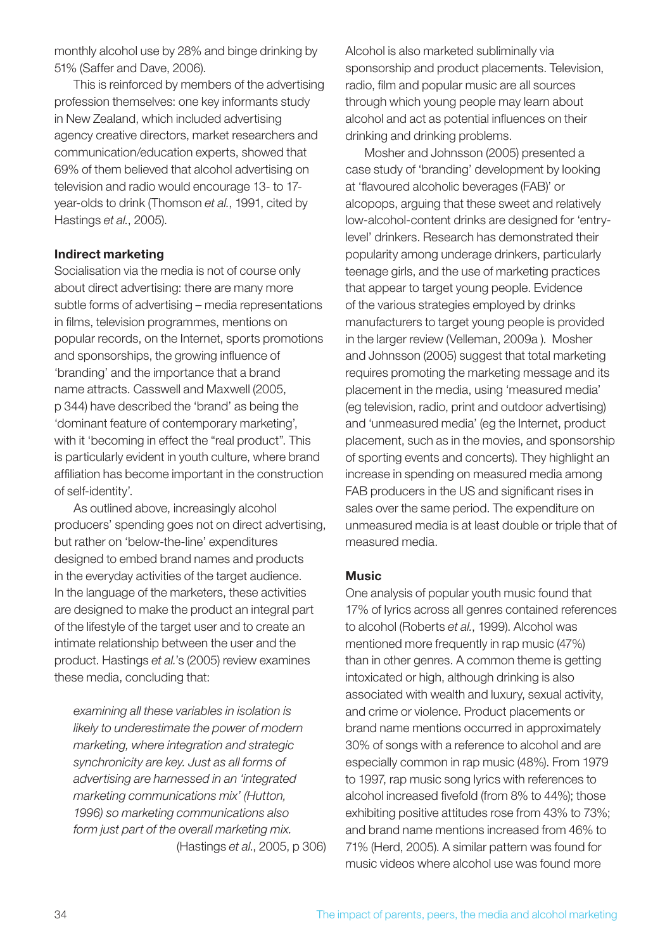monthly alcohol use by 28% and binge drinking by 51% (Saffer and Dave, 2006).

This is reinforced by members of the advertising profession themselves: one key informants study in New Zealand, which included advertising agency creative directors, market researchers and communication/education experts, showed that 69% of them believed that alcohol advertising on television and radio would encourage 13- to 17 year-olds to drink (Thomson *et al.*, 1991, cited by Hastings *et al.*, 2005).

#### Indirect marketing

Socialisation via the media is not of course only about direct advertising: there are many more subtle forms of advertising – media representations in films, television programmes, mentions on popular records, on the Internet, sports promotions and sponsorships, the growing influence of 'branding' and the importance that a brand name attracts. Casswell and Maxwell (2005, p 344) have described the 'brand' as being the 'dominant feature of contemporary marketing', with it 'becoming in effect the "real product". This is particularly evident in youth culture, where brand affiliation has become important in the construction of self-identity'.

As outlined above, increasingly alcohol producers' spending goes not on direct advertising, but rather on 'below-the-line' expenditures designed to embed brand names and products in the everyday activities of the target audience. In the language of the marketers, these activities are designed to make the product an integral part of the lifestyle of the target user and to create an intimate relationship between the user and the product. Hastings *et al.*'s (2005) review examines these media, concluding that:

*examining all these variables in isolation is likely to underestimate the power of modern marketing, where integration and strategic synchronicity are key. Just as all forms of advertising are harnessed in an 'integrated marketing communications mix' (Hutton, 1996) so marketing communications also form just part of the overall marketing mix.*  (Hastings *et al*., 2005, p 306) Alcohol is also marketed subliminally via sponsorship and product placements. Television, radio, film and popular music are all sources through which young people may learn about alcohol and act as potential influences on their drinking and drinking problems.

Mosher and Johnsson (2005) presented a case study of 'branding' development by looking at 'flavoured alcoholic beverages (FAB)' or alcopops, arguing that these sweet and relatively low-alcohol-content drinks are designed for 'entrylevel' drinkers. Research has demonstrated their popularity among underage drinkers, particularly teenage girls, and the use of marketing practices that appear to target young people. Evidence of the various strategies employed by drinks manufacturers to target young people is provided in the larger review (Velleman, 2009a ). Mosher and Johnsson (2005) suggest that total marketing requires promoting the marketing message and its placement in the media, using 'measured media' (eg television, radio, print and outdoor advertising) and 'unmeasured media' (eg the Internet, product placement, such as in the movies, and sponsorship of sporting events and concerts). They highlight an increase in spending on measured media among FAB producers in the US and significant rises in sales over the same period. The expenditure on unmeasured media is at least double or triple that of measured media.

#### **Music**

One analysis of popular youth music found that 17% of lyrics across all genres contained references to alcohol (Roberts *et al.*, 1999). Alcohol was mentioned more frequently in rap music (47%) than in other genres. A common theme is getting intoxicated or high, although drinking is also associated with wealth and luxury, sexual activity, and crime or violence. Product placements or brand name mentions occurred in approximately 30% of songs with a reference to alcohol and are especially common in rap music (48%). From 1979 to 1997, rap music song lyrics with references to alcohol increased fivefold (from 8% to 44%); those exhibiting positive attitudes rose from 43% to 73%; and brand name mentions increased from 46% to 71% (Herd, 2005). A similar pattern was found for music videos where alcohol use was found more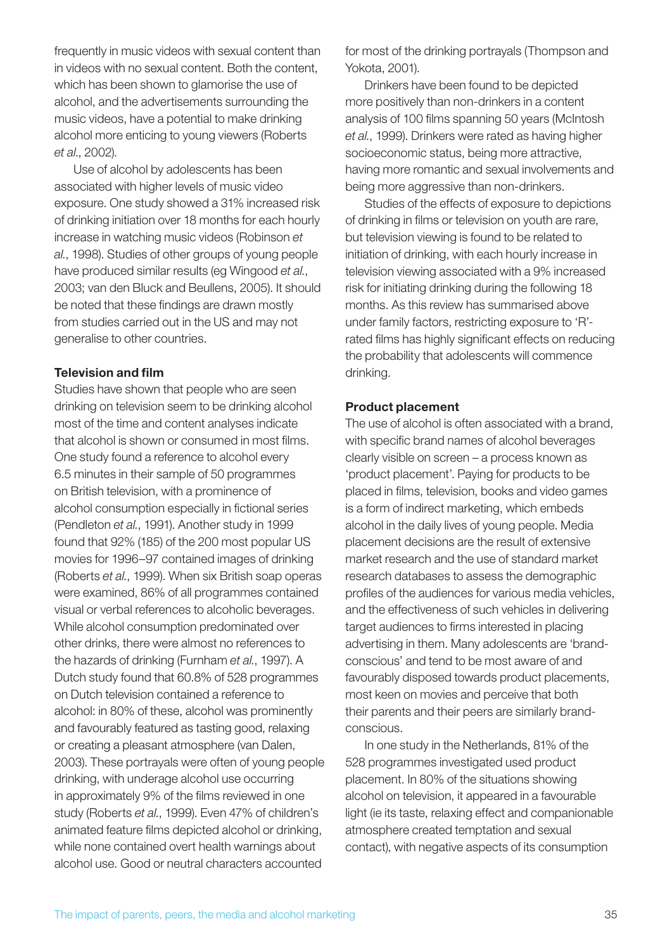frequently in music videos with sexual content than in videos with no sexual content. Both the content, which has been shown to glamorise the use of alcohol, and the advertisements surrounding the music videos, have a potential to make drinking alcohol more enticing to young viewers (Roberts *et al*., 2002).

Use of alcohol by adolescents has been associated with higher levels of music video exposure. One study showed a 31% increased risk of drinking initiation over 18 months for each hourly increase in watching music videos (Robinson *et al.*, 1998). Studies of other groups of young people have produced similar results (eg Wingood *et al.*, 2003; van den Bluck and Beullens, 2005). It should be noted that these findings are drawn mostly from studies carried out in the US and may not generalise to other countries.

#### Television and film

Studies have shown that people who are seen drinking on television seem to be drinking alcohol most of the time and content analyses indicate that alcohol is shown or consumed in most films. One study found a reference to alcohol every 6.5 minutes in their sample of 50 programmes on British television, with a prominence of alcohol consumption especially in fictional series (Pendleton *et al.*, 1991). Another study in 1999 found that 92% (185) of the 200 most popular US movies for 1996–97 contained images of drinking (Roberts *et al.*, 1999). When six British soap operas were examined, 86% of all programmes contained visual or verbal references to alcoholic beverages. While alcohol consumption predominated over other drinks, there were almost no references to the hazards of drinking (Furnham *et al.*, 1997). A Dutch study found that 60.8% of 528 programmes on Dutch television contained a reference to alcohol: in 80% of these, alcohol was prominently and favourably featured as tasting good, relaxing or creating a pleasant atmosphere (van Dalen, 2003). These portrayals were often of young people drinking, with underage alcohol use occurring in approximately 9% of the films reviewed in one study (Roberts *et al.*, 1999). Even 47% of children's animated feature films depicted alcohol or drinking, while none contained overt health warnings about alcohol use. Good or neutral characters accounted

for most of the drinking portrayals (Thompson and Yokota, 2001).

Drinkers have been found to be depicted more positively than non-drinkers in a content analysis of 100 films spanning 50 years (McIntosh *et al.*, 1999). Drinkers were rated as having higher socioeconomic status, being more attractive, having more romantic and sexual involvements and being more aggressive than non-drinkers.

Studies of the effects of exposure to depictions of drinking in films or television on youth are rare, but television viewing is found to be related to initiation of drinking, with each hourly increase in television viewing associated with a 9% increased risk for initiating drinking during the following 18 months. As this review has summarised above under family factors, restricting exposure to 'R' rated films has highly significant effects on reducing the probability that adolescents will commence drinking.

#### Product placement

The use of alcohol is often associated with a brand, with specific brand names of alcohol beverages clearly visible on screen – a process known as 'product placement'. Paying for products to be placed in films, television, books and video games is a form of indirect marketing, which embeds alcohol in the daily lives of young people. Media placement decisions are the result of extensive market research and the use of standard market research databases to assess the demographic profiles of the audiences for various media vehicles, and the effectiveness of such vehicles in delivering target audiences to firms interested in placing advertising in them. Many adolescents are 'brandconscious' and tend to be most aware of and favourably disposed towards product placements, most keen on movies and perceive that both their parents and their peers are similarly brandconscious.

In one study in the Netherlands, 81% of the 528 programmes investigated used product placement. In 80% of the situations showing alcohol on television, it appeared in a favourable light (ie its taste, relaxing effect and companionable atmosphere created temptation and sexual contact), with negative aspects of its consumption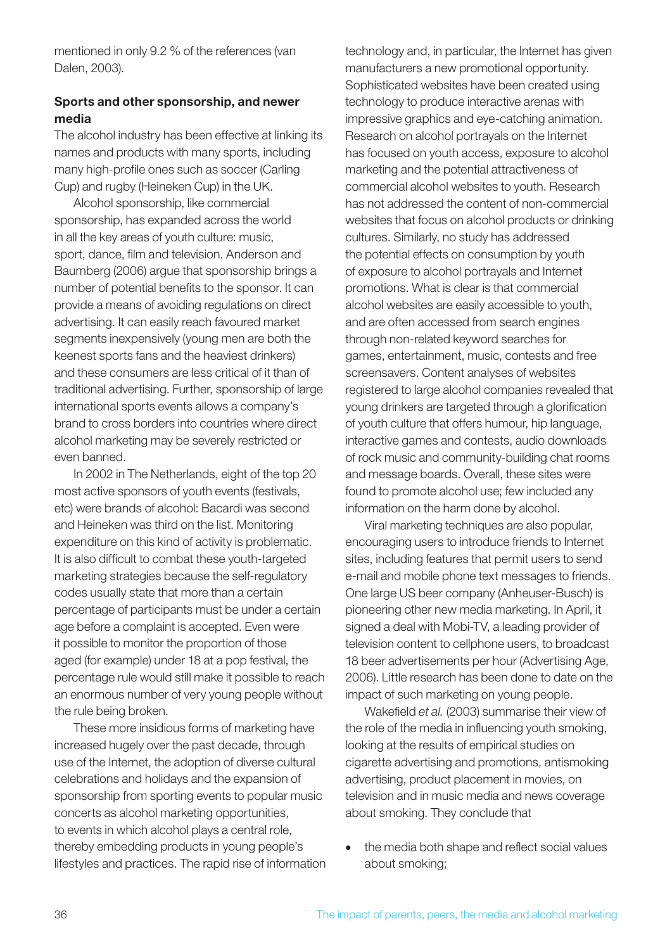mentioned in only 9.2 % of the references (van Dalen, 2003).

#### Sports and other sponsorship, and newer media

The alcohol industry has been effective at linking its names and products with many sports, including many high-profile ones such as soccer (Carling Cup) and rugby (Heineken Cup) in the UK.

Alcohol sponsorship, like commercial sponsorship, has expanded across the world in all the key areas of youth culture: music, sport, dance, film and television. Anderson and Baumberg (2006) argue that sponsorship brings a number of potential benefits to the sponsor. It can provide a means of avoiding regulations on direct advertising. It can easily reach favoured market segments inexpensively (young men are both the keenest sports fans and the heaviest drinkers) and these consumers are less critical of it than of traditional advertising. Further, sponsorship of large international sports events allows a company's brand to cross borders into countries where direct alcohol marketing may be severely restricted or even banned.

In 2002 in The Netherlands, eight of the top 20 most active sponsors of youth events (festivals, etc) were brands of alcohol: Bacardi was second and Heineken was third on the list. Monitoring expenditure on this kind of activity is problematic. It is also difficult to combat these youth-targeted marketing strategies because the self-regulatory codes usually state that more than a certain percentage of participants must be under a certain age before a complaint is accepted. Even were it possible to monitor the proportion of those aged (for example) under 18 at a pop festival, the percentage rule would still make it possible to reach an enormous number of very young people without the rule being broken.

These more insidious forms of marketing have increased hugely over the past decade, through use of the Internet, the adoption of diverse cultural celebrations and holidays and the expansion of sponsorship from sporting events to popular music concerts as alcohol marketing opportunities, to events in which alcohol plays a central role, thereby embedding products in young people's lifestyles and practices. The rapid rise of information technology and, in particular, the Internet has given manufacturers a new promotional opportunity. Sophisticated websites have been created using technology to produce interactive arenas with impressive graphics and eye-catching animation. Research on alcohol portrayals on the Internet has focused on youth access, exposure to alcohol marketing and the potential attractiveness of commercial alcohol websites to youth. Research has not addressed the content of non-commercial websites that focus on alcohol products or drinking cultures. Similarly, no study has addressed the potential effects on consumption by youth of exposure to alcohol portrayals and Internet promotions. What is clear is that commercial alcohol websites are easily accessible to youth, and are often accessed from search engines through non-related keyword searches for games, entertainment, music, contests and free screensavers. Content analyses of websites registered to large alcohol companies revealed that young drinkers are targeted through a glorification of youth culture that offers humour, hip language, interactive games and contests, audio downloads of rock music and community-building chat rooms and message boards. Overall, these sites were found to promote alcohol use; few included any information on the harm done by alcohol.

Viral marketing techniques are also popular, encouraging users to introduce friends to Internet sites, including features that permit users to send e-mail and mobile phone text messages to friends. One large US beer company (Anheuser-Busch) is pioneering other new media marketing. In April, it signed a deal with Mobi-TV, a leading provider of television content to cellphone users, to broadcast 18 beer advertisements per hour (Advertising Age, 2006). Little research has been done to date on the impact of such marketing on young people.

Wakefield *et al.* (2003) summarise their view of the role of the media in influencing youth smoking, looking at the results of empirical studies on cigarette advertising and promotions, antismoking advertising, product placement in movies, on television and in music media and news coverage about smoking. They conclude that

• the media both shape and reflect social values about smoking;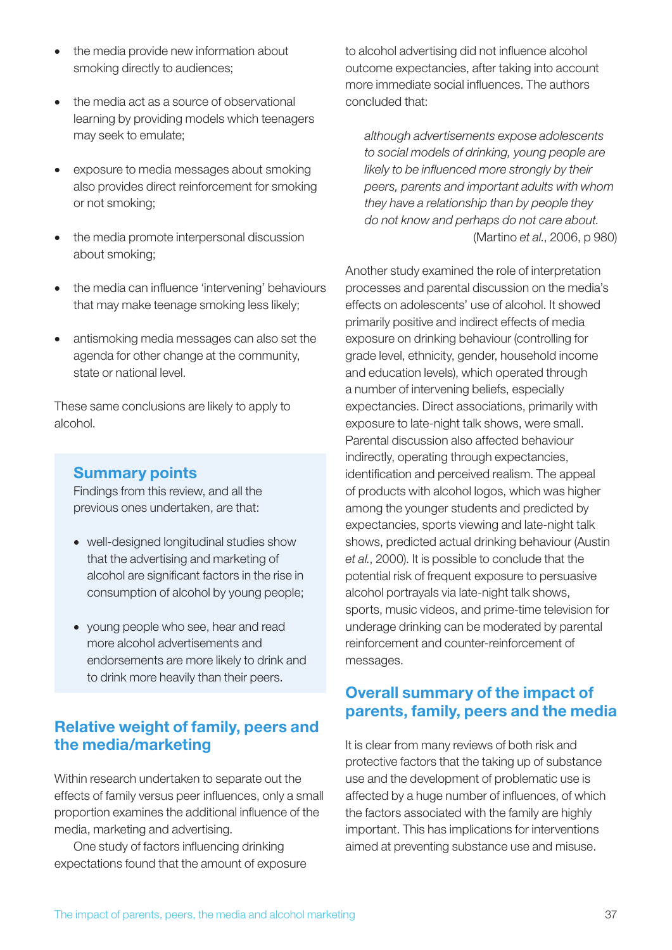- the media provide new information about smoking directly to audiences;
- the media act as a source of observational learning by providing models which teenagers may seek to emulate;
- exposure to media messages about smoking also provides direct reinforcement for smoking or not smoking;
- the media promote interpersonal discussion about smoking;
- the media can influence 'intervening' behaviours that may make teenage smoking less likely;
- antismoking media messages can also set the agenda for other change at the community, state or national level.

These same conclusions are likely to apply to alcohol.

### Summary points

Findings from this review, and all the previous ones undertaken, are that:

- well-designed longitudinal studies show that the advertising and marketing of alcohol are significant factors in the rise in consumption of alcohol by young people;
- young people who see, hear and read more alcohol advertisements and endorsements are more likely to drink and to drink more heavily than their peers.

## Relative weight of family, peers and the media/marketing

Within research undertaken to separate out the effects of family versus peer influences, only a small proportion examines the additional influence of the media, marketing and advertising.

One study of factors influencing drinking expectations found that the amount of exposure to alcohol advertising did not influence alcohol outcome expectancies, after taking into account more immediate social influences. The authors concluded that:

*although advertisements expose adolescents to social models of drinking, young people are likely to be influenced more strongly by their peers, parents and important adults with whom they have a relationship than by people they do not know and perhaps do not care about.* (Martino *et al.*, 2006, p 980)

Another study examined the role of interpretation processes and parental discussion on the media's effects on adolescents' use of alcohol. It showed primarily positive and indirect effects of media exposure on drinking behaviour (controlling for grade level, ethnicity, gender, household income and education levels), which operated through a number of intervening beliefs, especially expectancies. Direct associations, primarily with exposure to late-night talk shows, were small. Parental discussion also affected behaviour indirectly, operating through expectancies, identification and perceived realism. The appeal of products with alcohol logos, which was higher among the younger students and predicted by expectancies, sports viewing and late-night talk shows, predicted actual drinking behaviour (Austin *et al.*, 2000). It is possible to conclude that the potential risk of frequent exposure to persuasive alcohol portrayals via late-night talk shows, sports, music videos, and prime-time television for underage drinking can be moderated by parental reinforcement and counter-reinforcement of messages.

## Overall summary of the impact of parents, family, peers and the media

It is clear from many reviews of both risk and protective factors that the taking up of substance use and the development of problematic use is affected by a huge number of influences, of which the factors associated with the family are highly important. This has implications for interventions aimed at preventing substance use and misuse.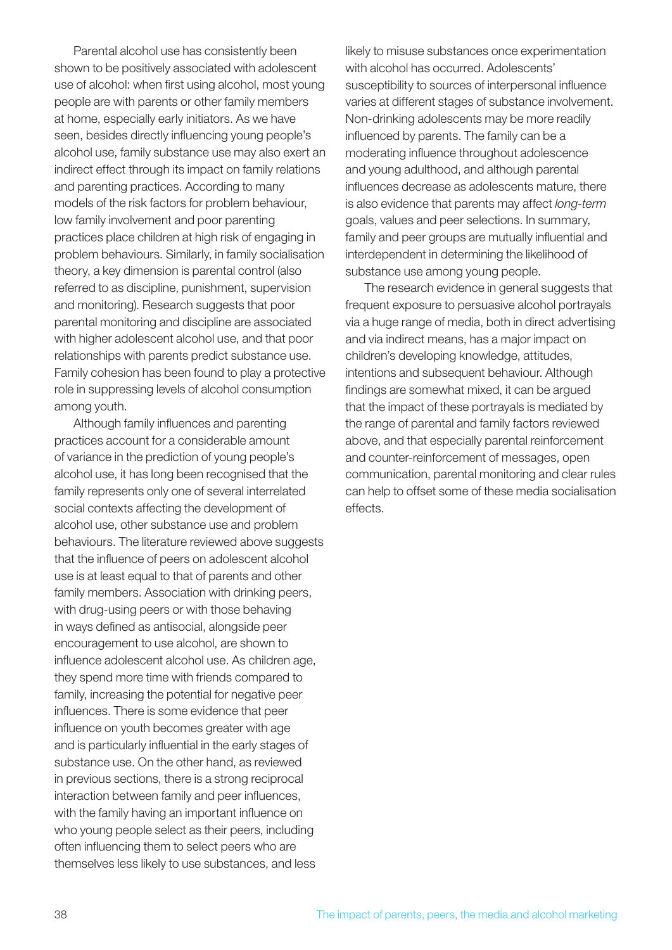Parental alcohol use has consistently been shown to be positively associated with adolescent use of alcohol: when first using alcohol, most young people are with parents or other family members at home, especially early initiators. As we have seen, besides directly influencing young people's alcohol use, family substance use may also exert an indirect effect through its impact on family relations and parenting practices. According to many models of the risk factors for problem behaviour, low family involvement and poor parenting practices place children at high risk of engaging in problem behaviours. Similarly, in family socialisation theory, a key dimension is parental control (also referred to as discipline, punishment, supervision and monitoring). Research suggests that poor parental monitoring and discipline are associated with higher adolescent alcohol use, and that poor relationships with parents predict substance use. Family cohesion has been found to play a protective role in suppressing levels of alcohol consumption among youth.

Although family influences and parenting practices account for a considerable amount of variance in the prediction of young people's alcohol use, it has long been recognised that the family represents only one of several interrelated social contexts affecting the development of alcohol use, other substance use and problem behaviours. The literature reviewed above suggests that the influence of peers on adolescent alcohol use is at least equal to that of parents and other family members. Association with drinking peers, with drug-using peers or with those behaving in ways defined as antisocial, alongside peer encouragement to use alcohol, are shown to influence adolescent alcohol use. As children age, they spend more time with friends compared to family, increasing the potential for negative peer influences. There is some evidence that peer influence on youth becomes greater with age and is particularly influential in the early stages of substance use. On the other hand, as reviewed in previous sections, there is a strong reciprocal interaction between family and peer influences, with the family having an important influence on who young people select as their peers, including often influencing them to select peers who are themselves less likely to use substances, and less

likely to misuse substances once experimentation with alcohol has occurred. Adolescents' susceptibility to sources of interpersonal influence varies at different stages of substance involvement. Non-drinking adolescents may be more readily influenced by parents. The family can be a moderating influence throughout adolescence and young adulthood, and although parental influences decrease as adolescents mature, there is also evidence that parents may affect *long-term* goals, values and peer selections. In summary, family and peer groups are mutually influential and interdependent in determining the likelihood of substance use among young people.

The research evidence in general suggests that frequent exposure to persuasive alcohol portrayals via a huge range of media, both in direct advertising and via indirect means, has a major impact on children's developing knowledge, attitudes, intentions and subsequent behaviour. Although findings are somewhat mixed, it can be argued that the impact of these portrayals is mediated by the range of parental and family factors reviewed above, and that especially parental reinforcement and counter-reinforcement of messages, open communication, parental monitoring and clear rules can help to offset some of these media socialisation effects.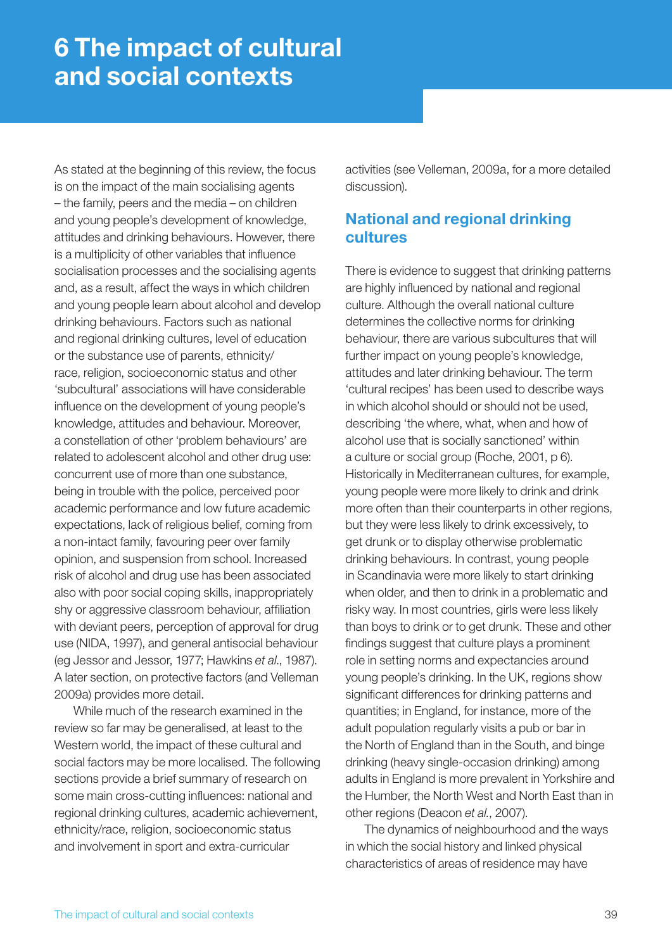## 6 The impact of cultural and social contexts

As stated at the beginning of this review, the focus is on the impact of the main socialising agents – the family, peers and the media – on children and young people's development of knowledge, attitudes and drinking behaviours. However, there is a multiplicity of other variables that influence socialisation processes and the socialising agents and, as a result, affect the ways in which children and young people learn about alcohol and develop drinking behaviours. Factors such as national and regional drinking cultures, level of education or the substance use of parents, ethnicity/ race, religion, socioeconomic status and other 'subcultural' associations will have considerable influence on the development of young people's knowledge, attitudes and behaviour. Moreover, a constellation of other 'problem behaviours' are related to adolescent alcohol and other drug use: concurrent use of more than one substance, being in trouble with the police, perceived poor academic performance and low future academic expectations, lack of religious belief, coming from a non-intact family, favouring peer over family opinion, and suspension from school. Increased risk of alcohol and drug use has been associated also with poor social coping skills, inappropriately shy or aggressive classroom behaviour, affiliation with deviant peers, perception of approval for drug use (NIDA, 1997), and general antisocial behaviour (eg Jessor and Jessor, 1977; Hawkins *et al*., 1987). A later section, on protective factors (and Velleman 2009a) provides more detail.

While much of the research examined in the review so far may be generalised, at least to the Western world, the impact of these cultural and social factors may be more localised. The following sections provide a brief summary of research on some main cross-cutting influences: national and regional drinking cultures, academic achievement, ethnicity/race, religion, socioeconomic status and involvement in sport and extra-curricular

activities (see Velleman, 2009a, for a more detailed discussion).

## National and regional drinking cultures

There is evidence to suggest that drinking patterns are highly influenced by national and regional culture. Although the overall national culture determines the collective norms for drinking behaviour, there are various subcultures that will further impact on young people's knowledge, attitudes and later drinking behaviour. The term 'cultural recipes' has been used to describe ways in which alcohol should or should not be used, describing 'the where, what, when and how of alcohol use that is socially sanctioned' within a culture or social group (Roche, 2001, p 6). Historically in Mediterranean cultures, for example, young people were more likely to drink and drink more often than their counterparts in other regions, but they were less likely to drink excessively, to get drunk or to display otherwise problematic drinking behaviours. In contrast, young people in Scandinavia were more likely to start drinking when older, and then to drink in a problematic and risky way. In most countries, girls were less likely than boys to drink or to get drunk. These and other findings suggest that culture plays a prominent role in setting norms and expectancies around young people's drinking. In the UK, regions show significant differences for drinking patterns and quantities; in England, for instance, more of the adult population regularly visits a pub or bar in the North of England than in the South, and binge drinking (heavy single-occasion drinking) among adults in England is more prevalent in Yorkshire and the Humber, the North West and North East than in other regions (Deacon *et al.*, 2007).

The dynamics of neighbourhood and the ways in which the social history and linked physical characteristics of areas of residence may have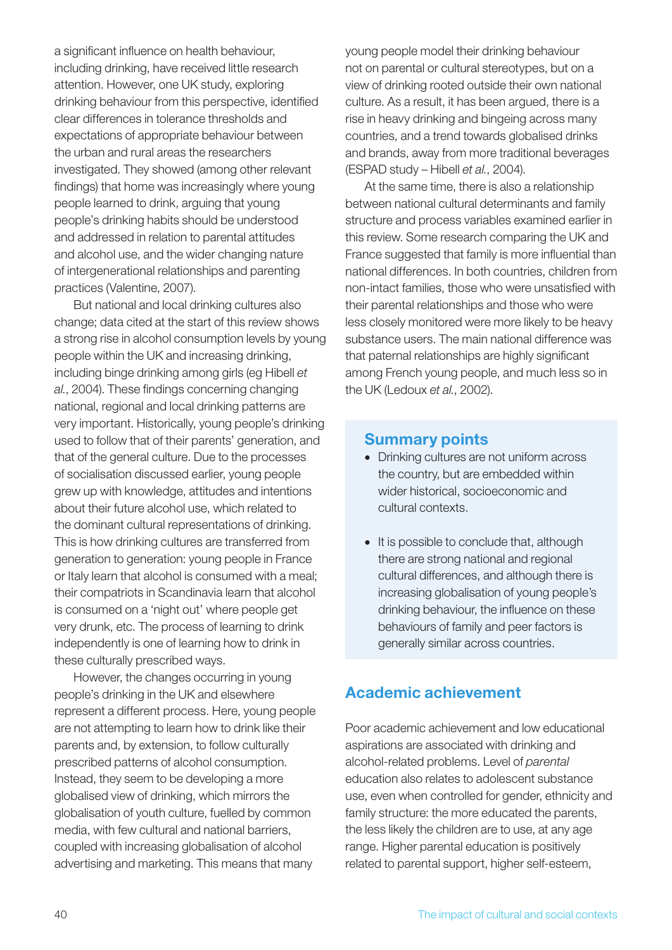a significant influence on health behaviour, including drinking, have received little research attention. However, one UK study, exploring drinking behaviour from this perspective, identified clear differences in tolerance thresholds and expectations of appropriate behaviour between the urban and rural areas the researchers investigated. They showed (among other relevant findings) that home was increasingly where young people learned to drink, arguing that young people's drinking habits should be understood and addressed in relation to parental attitudes and alcohol use, and the wider changing nature of intergenerational relationships and parenting practices (Valentine, 2007).

But national and local drinking cultures also change; data cited at the start of this review shows a strong rise in alcohol consumption levels by young people within the UK and increasing drinking, including binge drinking among girls (eg Hibell *et al.*, 2004). These findings concerning changing national, regional and local drinking patterns are very important. Historically, young people's drinking used to follow that of their parents' generation, and that of the general culture. Due to the processes of socialisation discussed earlier, young people grew up with knowledge, attitudes and intentions about their future alcohol use, which related to the dominant cultural representations of drinking. This is how drinking cultures are transferred from generation to generation: young people in France or Italy learn that alcohol is consumed with a meal; their compatriots in Scandinavia learn that alcohol is consumed on a 'night out' where people get very drunk, etc. The process of learning to drink independently is one of learning how to drink in these culturally prescribed ways.

However, the changes occurring in young people's drinking in the UK and elsewhere represent a different process. Here, young people are not attempting to learn how to drink like their parents and, by extension, to follow culturally prescribed patterns of alcohol consumption. Instead, they seem to be developing a more globalised view of drinking, which mirrors the globalisation of youth culture, fuelled by common media, with few cultural and national barriers, coupled with increasing globalisation of alcohol advertising and marketing. This means that many

young people model their drinking behaviour not on parental or cultural stereotypes, but on a view of drinking rooted outside their own national culture. As a result, it has been argued, there is a rise in heavy drinking and bingeing across many countries, and a trend towards globalised drinks and brands, away from more traditional beverages (ESPAD study – Hibell *et al.*, 2004).

At the same time, there is also a relationship between national cultural determinants and family structure and process variables examined earlier in this review. Some research comparing the UK and France suggested that family is more influential than national differences. In both countries, children from non-intact families, those who were unsatisfied with their parental relationships and those who were less closely monitored were more likely to be heavy substance users. The main national difference was that paternal relationships are highly significant among French young people, and much less so in the UK (Ledoux *et al.*, 2002).

### Summary points

- Drinking cultures are not uniform across the country, but are embedded within wider historical, socioeconomic and cultural contexts.
- It is possible to conclude that, although there are strong national and regional cultural differences, and although there is increasing globalisation of young people's drinking behaviour, the influence on these behaviours of family and peer factors is generally similar across countries.

## Academic achievement

Poor academic achievement and low educational aspirations are associated with drinking and alcohol-related problems. Level of *parental* education also relates to adolescent substance use, even when controlled for gender, ethnicity and family structure: the more educated the parents, the less likely the children are to use, at any age range. Higher parental education is positively related to parental support, higher self-esteem,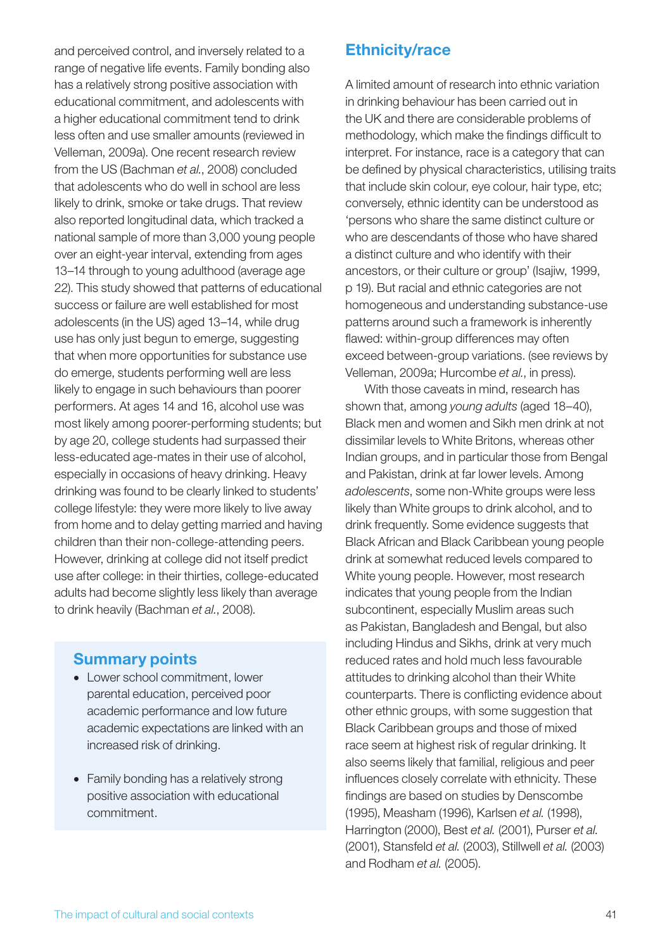and perceived control, and inversely related to a range of negative life events. Family bonding also has a relatively strong positive association with educational commitment, and adolescents with a higher educational commitment tend to drink less often and use smaller amounts (reviewed in Velleman, 2009a). One recent research review from the US (Bachman *et al.*, 2008) concluded that adolescents who do well in school are less likely to drink, smoke or take drugs. That review also reported longitudinal data, which tracked a national sample of more than 3,000 young people over an eight-year interval, extending from ages 13–14 through to young adulthood (average age 22). This study showed that patterns of educational success or failure are well established for most adolescents (in the US) aged 13–14, while drug use has only just begun to emerge, suggesting that when more opportunities for substance use do emerge, students performing well are less likely to engage in such behaviours than poorer performers. At ages 14 and 16, alcohol use was most likely among poorer-performing students; but by age 20, college students had surpassed their less-educated age-mates in their use of alcohol, especially in occasions of heavy drinking. Heavy drinking was found to be clearly linked to students' college lifestyle: they were more likely to live away from home and to delay getting married and having children than their non-college-attending peers. However, drinking at college did not itself predict use after college: in their thirties, college-educated adults had become slightly less likely than average to drink heavily (Bachman *et al.*, 2008).

### Summary points

- Lower school commitment, lower parental education, perceived poor academic performance and low future academic expectations are linked with an increased risk of drinking.
- Family bonding has a relatively strong positive association with educational

## Ethnicity/race

A limited amount of research into ethnic variation in drinking behaviour has been carried out in the UK and there are considerable problems of methodology, which make the findings difficult to interpret. For instance, race is a category that can be defined by physical characteristics, utilising traits that include skin colour, eye colour, hair type, etc; conversely, ethnic identity can be understood as 'persons who share the same distinct culture or who are descendants of those who have shared a distinct culture and who identify with their ancestors, or their culture or group' (Isajiw, 1999, p 19). But racial and ethnic categories are not homogeneous and understanding substance-use patterns around such a framework is inherently flawed: within-group differences may often exceed between-group variations. (see reviews by Velleman, 2009a; Hurcombe *et al.*, in press).

With those caveats in mind, research has shown that, among *young adults* (aged 18–40), Black men and women and Sikh men drink at not dissimilar levels to White Britons, whereas other Indian groups, and in particular those from Bengal and Pakistan, drink at far lower levels. Among *adolescents*, some non-White groups were less likely than White groups to drink alcohol, and to drink frequently. Some evidence suggests that Black African and Black Caribbean young people drink at somewhat reduced levels compared to White young people. However, most research indicates that young people from the Indian subcontinent, especially Muslim areas such as Pakistan, Bangladesh and Bengal, but also including Hindus and Sikhs, drink at very much reduced rates and hold much less favourable attitudes to drinking alcohol than their White counterparts. There is conflicting evidence about other ethnic groups, with some suggestion that Black Caribbean groups and those of mixed race seem at highest risk of regular drinking. It also seems likely that familial, religious and peer influences closely correlate with ethnicity. These findings are based on studies by Denscombe (1995), Measham (1996), Karlsen *et al.* (1998), Harrington (2000), Best *et al.* (2001), Purser *et al.* (2001), Stansfeld *et al.* (2003), Stillwell *et al.* (2003) and Rodham *et al.* (2005).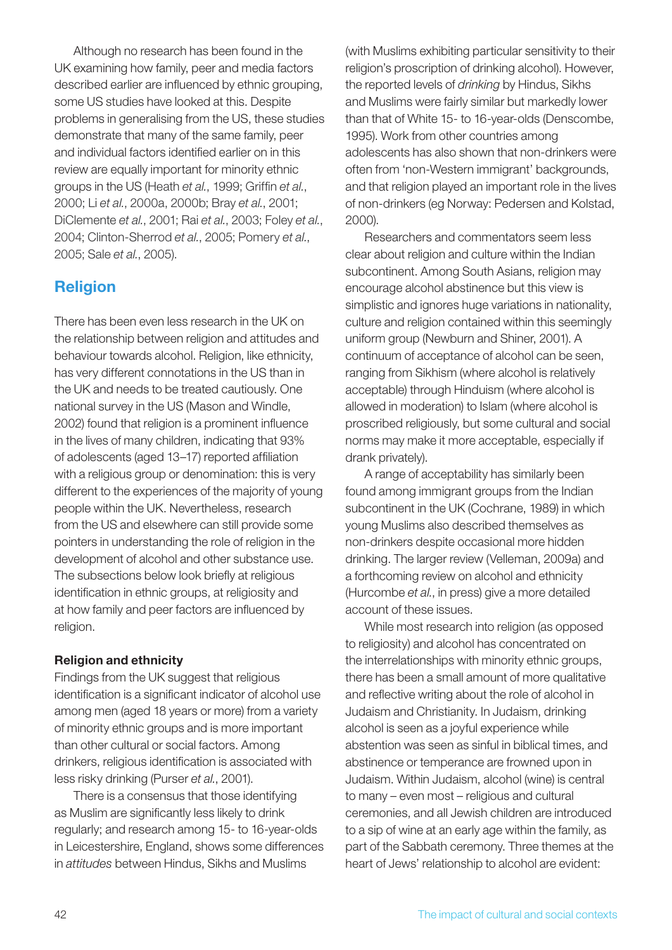Although no research has been found in the UK examining how family, peer and media factors described earlier are influenced by ethnic grouping, some US studies have looked at this. Despite problems in generalising from the US, these studies demonstrate that many of the same family, peer and individual factors identified earlier on in this review are equally important for minority ethnic groups in the US (Heath *et al.*, 1999; Griffin *et al.*, 2000; Li *et al.*, 2000a, 2000b; Bray *et al.*, 2001; DiClemente *et al.*, 2001; Rai *et al.*, 2003; Foley *et al.*, 2004; Clinton-Sherrod *et al.*, 2005; Pomery *et al.*, 2005; Sale *et al.*, 2005).

## Religion

There has been even less research in the UK on the relationship between religion and attitudes and behaviour towards alcohol. Religion, like ethnicity, has very different connotations in the US than in the UK and needs to be treated cautiously. One national survey in the US (Mason and Windle, 2002) found that religion is a prominent influence in the lives of many children, indicating that 93% of adolescents (aged 13–17) reported affiliation with a religious group or denomination: this is very different to the experiences of the majority of young people within the UK. Nevertheless, research from the US and elsewhere can still provide some pointers in understanding the role of religion in the development of alcohol and other substance use. The subsections below look briefly at religious identification in ethnic groups, at religiosity and at how family and peer factors are influenced by religion.

### Religion and ethnicity

Findings from the UK suggest that religious identification is a significant indicator of alcohol use among men (aged 18 years or more) from a variety of minority ethnic groups and is more important than other cultural or social factors. Among drinkers, religious identification is associated with less risky drinking (Purser *et al.*, 2001).

There is a consensus that those identifying as Muslim are significantly less likely to drink regularly; and research among 15- to 16-year-olds in Leicestershire, England, shows some differences in *attitudes* between Hindus, Sikhs and Muslims

(with Muslims exhibiting particular sensitivity to their religion's proscription of drinking alcohol). However, the reported levels of *drinking* by Hindus, Sikhs and Muslims were fairly similar but markedly lower than that of White 15- to 16-year-olds (Denscombe, 1995). Work from other countries among adolescents has also shown that non-drinkers were often from 'non-Western immigrant' backgrounds, and that religion played an important role in the lives of non-drinkers (eg Norway: Pedersen and Kolstad, 2000).

Researchers and commentators seem less clear about religion and culture within the Indian subcontinent. Among South Asians, religion may encourage alcohol abstinence but this view is simplistic and ignores huge variations in nationality, culture and religion contained within this seemingly uniform group (Newburn and Shiner, 2001). A continuum of acceptance of alcohol can be seen, ranging from Sikhism (where alcohol is relatively acceptable) through Hinduism (where alcohol is allowed in moderation) to Islam (where alcohol is proscribed religiously, but some cultural and social norms may make it more acceptable, especially if drank privately).

A range of acceptability has similarly been found among immigrant groups from the Indian subcontinent in the UK (Cochrane, 1989) in which young Muslims also described themselves as non-drinkers despite occasional more hidden drinking. The larger review (Velleman, 2009a) and a forthcoming review on alcohol and ethnicity (Hurcombe *et al.*, in press) give a more detailed account of these issues.

While most research into religion (as opposed to religiosity) and alcohol has concentrated on the interrelationships with minority ethnic groups, there has been a small amount of more qualitative and reflective writing about the role of alcohol in Judaism and Christianity. In Judaism, drinking alcohol is seen as a joyful experience while abstention was seen as sinful in biblical times, and abstinence or temperance are frowned upon in Judaism. Within Judaism, alcohol (wine) is central to many – even most – religious and cultural ceremonies, and all Jewish children are introduced to a sip of wine at an early age within the family, as part of the Sabbath ceremony. Three themes at the heart of Jews' relationship to alcohol are evident: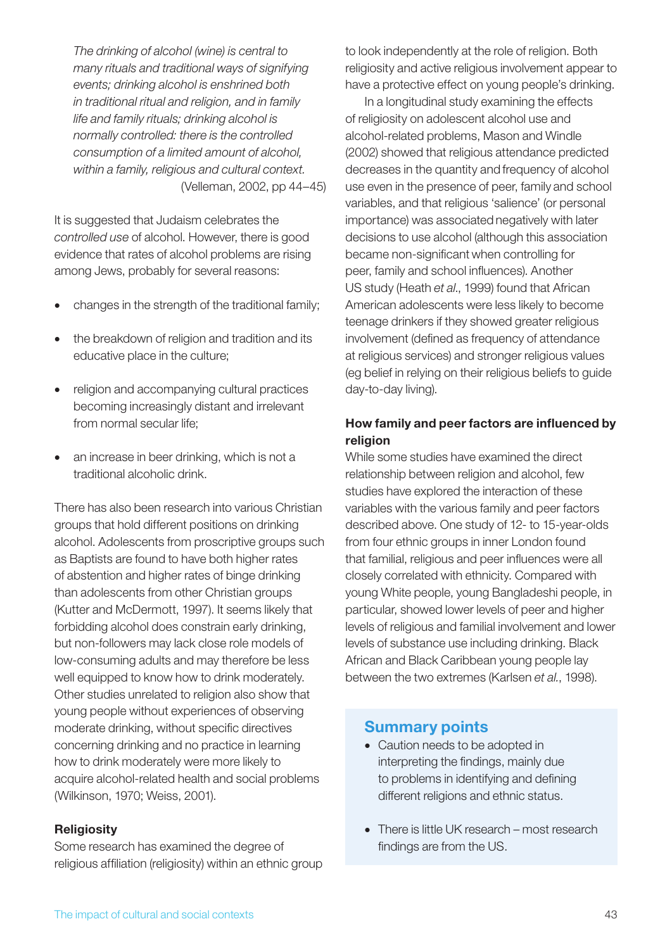*The drinking of alcohol (wine) is central to many rituals and traditional ways of signifying events; drinking alcohol is enshrined both in traditional ritual and religion, and in family life and family rituals; drinking alcohol is normally controlled: there is the controlled consumption of a limited amount of alcohol, within a family, religious and cultural context.* (Velleman, 2002, pp 44–45)

It is suggested that Judaism celebrates the *controlled use* of alcohol. However, there is good evidence that rates of alcohol problems are rising among Jews, probably for several reasons:

- changes in the strength of the traditional family;
- the breakdown of religion and tradition and its educative place in the culture;
- religion and accompanying cultural practices becoming increasingly distant and irrelevant from normal secular life;
- an increase in beer drinking, which is not a traditional alcoholic drink.

There has also been research into various Christian groups that hold different positions on drinking alcohol. Adolescents from proscriptive groups such as Baptists are found to have both higher rates of abstention and higher rates of binge drinking than adolescents from other Christian groups (Kutter and McDermott, 1997). It seems likely that forbidding alcohol does constrain early drinking, but non-followers may lack close role models of low-consuming adults and may therefore be less well equipped to know how to drink moderately. Other studies unrelated to religion also show that young people without experiences of observing moderate drinking, without specific directives concerning drinking and no practice in learning how to drink moderately were more likely to acquire alcohol-related health and social problems (Wilkinson, 1970; Weiss, 2001).

#### **Religiosity**

Some research has examined the degree of religious affiliation (religiosity) within an ethnic group to look independently at the role of religion. Both religiosity and active religious involvement appear to have a protective effect on young people's drinking.

In a longitudinal study examining the effects of religiosity on adolescent alcohol use and alcohol-related problems, Mason and Windle (2002) showed that religious attendance predicted decreases in the quantity and frequency of alcohol use even in the presence of peer, family and school variables, and that religious 'salience' (or personal importance) was associated negatively with later decisions to use alcohol (although this association became non-significant when controlling for peer, family and school influences). Another US study (Heath *et al*., 1999) found that African American adolescents were less likely to become teenage drinkers if they showed greater religious involvement (defined as frequency of attendance at religious services) and stronger religious values (eg belief in relying on their religious beliefs to guide day-to-day living).

### How family and peer factors are influenced by religion

While some studies have examined the direct relationship between religion and alcohol, few studies have explored the interaction of these variables with the various family and peer factors described above. One study of 12- to 15-year-olds from four ethnic groups in inner London found that familial, religious and peer influences were all closely correlated with ethnicity. Compared with young White people, young Bangladeshi people, in particular, showed lower levels of peer and higher levels of religious and familial involvement and lower levels of substance use including drinking. Black African and Black Caribbean young people lay between the two extremes (Karlsen *et al.*, 1998).

### Summary points

- Caution needs to be adopted in interpreting the findings, mainly due to problems in identifying and defining different religions and ethnic status.
- There is little UK research most research findings are from the US.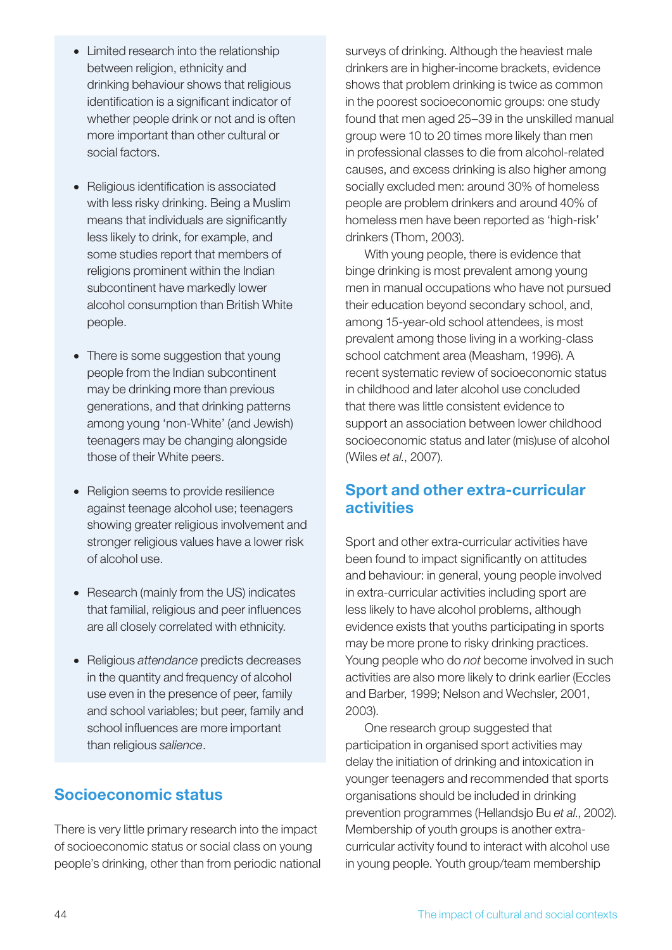- Limited research into the relationship between religion, ethnicity and drinking behaviour shows that religious identification is a significant indicator of whether people drink or not and is often more important than other cultural or social factors.
- Religious identification is associated with less risky drinking. Being a Muslim means that individuals are significantly less likely to drink, for example, and some studies report that members of religions prominent within the Indian subcontinent have markedly lower alcohol consumption than British White people.
- There is some suggestion that young people from the Indian subcontinent may be drinking more than previous generations, and that drinking patterns among young 'non-White' (and Jewish) teenagers may be changing alongside those of their White peers.
- Religion seems to provide resilience against teenage alcohol use; teenagers showing greater religious involvement and stronger religious values have a lower risk of alcohol use.
- Research (mainly from the US) indicates that familial, religious and peer influences are all closely correlated with ethnicity.
- • Religious *attendance* predicts decreases in the quantity and frequency of alcohol use even in the presence of peer, family and school variables; but peer, family and school influences are more important than religious *salience*.

## Socioeconomic status

There is very little primary research into the impact of socioeconomic status or social class on young people's drinking, other than from periodic national surveys of drinking. Although the heaviest male drinkers are in higher-income brackets, evidence shows that problem drinking is twice as common in the poorest socioeconomic groups: one study found that men aged 25–39 in the unskilled manual group were 10 to 20 times more likely than men in professional classes to die from alcohol-related causes, and excess drinking is also higher among socially excluded men: around 30% of homeless people are problem drinkers and around 40% of homeless men have been reported as 'high-risk' drinkers (Thom, 2003).

With young people, there is evidence that binge drinking is most prevalent among young men in manual occupations who have not pursued their education beyond secondary school, and, among 15-year-old school attendees, is most prevalent among those living in a working-class school catchment area (Measham, 1996). A recent systematic review of socioeconomic status in childhood and later alcohol use concluded that there was little consistent evidence to support an association between lower childhood socioeconomic status and later (mis)use of alcohol (Wiles *et al.*, 2007).

### Sport and other extra-curricular activities

Sport and other extra-curricular activities have been found to impact significantly on attitudes and behaviour: in general, young people involved in extra-curricular activities including sport are less likely to have alcohol problems, although evidence exists that youths participating in sports may be more prone to risky drinking practices. Young people who do *not* become involved in such activities are also more likely to drink earlier (Eccles and Barber, 1999; Nelson and Wechsler, 2001, 2003).

One research group suggested that participation in organised sport activities may delay the initiation of drinking and intoxication in younger teenagers and recommended that sports organisations should be included in drinking prevention programmes (Hellandsjo Bu *et al*., 2002). Membership of youth groups is another extracurricular activity found to interact with alcohol use in young people. Youth group/team membership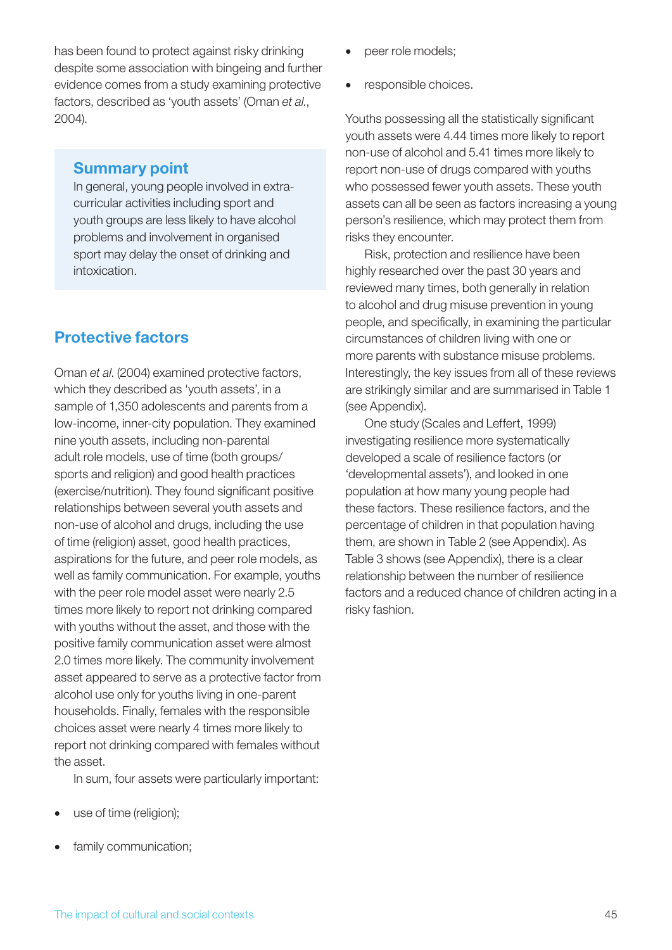has been found to protect against risky drinking despite some association with bingeing and further evidence comes from a study examining protective factors, described as 'youth assets' (Oman *et al.*, 2004).

#### Summary point

In general, young people involved in extracurricular activities including sport and youth groups are less likely to have alcohol problems and involvement in organised sport may delay the onset of drinking and intoxication.

## Protective factors

Oman *et al*. (2004) examined protective factors, which they described as 'youth assets', in a sample of 1,350 adolescents and parents from a low-income, inner-city population. They examined nine youth assets, including non-parental adult role models, use of time (both groups/ sports and religion) and good health practices (exercise/nutrition). They found significant positive relationships between several youth assets and non-use of alcohol and drugs, including the use of time (religion) asset, good health practices, aspirations for the future, and peer role models, as well as family communication. For example, youths with the peer role model asset were nearly 2.5 times more likely to report not drinking compared with youths without the asset, and those with the positive family communication asset were almost 2.0 times more likely. The community involvement asset appeared to serve as a protective factor from alcohol use only for youths living in one-parent households. Finally, females with the responsible choices asset were nearly 4 times more likely to report not drinking compared with females without the asset.

In sum, four assets were particularly important:

- use of time (religion);
- family communication;
- peer role models;
- responsible choices.

Youths possessing all the statistically significant youth assets were 4.44 times more likely to report non-use of alcohol and 5.41 times more likely to report non-use of drugs compared with youths who possessed fewer youth assets. These youth assets can all be seen as factors increasing a young person's resilience, which may protect them from risks they encounter.

Risk, protection and resilience have been highly researched over the past 30 years and reviewed many times, both generally in relation to alcohol and drug misuse prevention in young people, and specifically, in examining the particular circumstances of children living with one or more parents with substance misuse problems. Interestingly, the key issues from all of these reviews are strikingly similar and are summarised in Table 1 (see Appendix).

One study (Scales and Leffert, 1999) investigating resilience more systematically developed a scale of resilience factors (or 'developmental assets'), and looked in one population at how many young people had these factors. These resilience factors, and the percentage of children in that population having them, are shown in Table 2 (see Appendix). As Table 3 shows (see Appendix), there is a clear relationship between the number of resilience factors and a reduced chance of children acting in a risky fashion.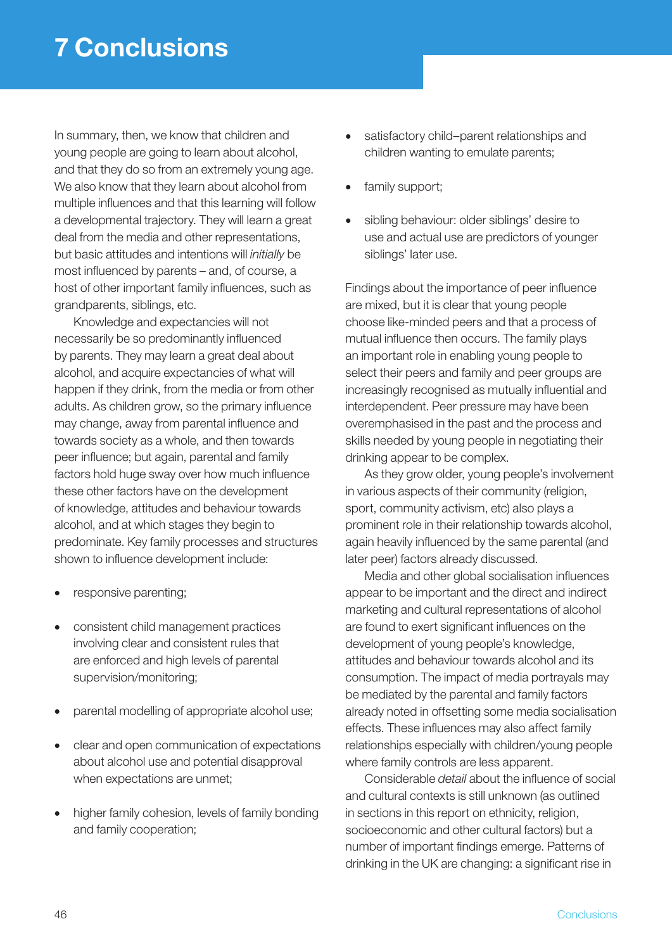In summary, then, we know that children and young people are going to learn about alcohol, and that they do so from an extremely young age. We also know that they learn about alcohol from multiple influences and that this learning will follow a developmental trajectory. They will learn a great deal from the media and other representations, but basic attitudes and intentions will *initially* be most influenced by parents – and, of course, a host of other important family influences, such as grandparents, siblings, etc.

Knowledge and expectancies will not necessarily be so predominantly influenced by parents. They may learn a great deal about alcohol, and acquire expectancies of what will happen if they drink, from the media or from other adults. As children grow, so the primary influence may change, away from parental influence and towards society as a whole, and then towards peer influence; but again, parental and family factors hold huge sway over how much influence these other factors have on the development of knowledge, attitudes and behaviour towards alcohol, and at which stages they begin to predominate. Key family processes and structures shown to influence development include:

- responsive parenting;
- consistent child management practices involving clear and consistent rules that are enforced and high levels of parental supervision/monitoring;
- parental modelling of appropriate alcohol use;
- clear and open communication of expectations about alcohol use and potential disapproval when expectations are unmet;
- higher family cohesion, levels of family bonding and family cooperation;
- satisfactory child–parent relationships and children wanting to emulate parents;
- family support;
- sibling behaviour: older siblings' desire to use and actual use are predictors of younger siblings' later use.

Findings about the importance of peer influence are mixed, but it is clear that young people choose like-minded peers and that a process of mutual influence then occurs. The family plays an important role in enabling young people to select their peers and family and peer groups are increasingly recognised as mutually influential and interdependent. Peer pressure may have been overemphasised in the past and the process and skills needed by young people in negotiating their drinking appear to be complex.

As they grow older, young people's involvement in various aspects of their community (religion, sport, community activism, etc) also plays a prominent role in their relationship towards alcohol, again heavily influenced by the same parental (and later peer) factors already discussed.

Media and other global socialisation influences appear to be important and the direct and indirect marketing and cultural representations of alcohol are found to exert significant influences on the development of young people's knowledge, attitudes and behaviour towards alcohol and its consumption. The impact of media portrayals may be mediated by the parental and family factors already noted in offsetting some media socialisation effects. These influences may also affect family relationships especially with children/young people where family controls are less apparent.

Considerable *detail* about the influence of social and cultural contexts is still unknown (as outlined in sections in this report on ethnicity, religion, socioeconomic and other cultural factors) but a number of important findings emerge. Patterns of drinking in the UK are changing: a significant rise in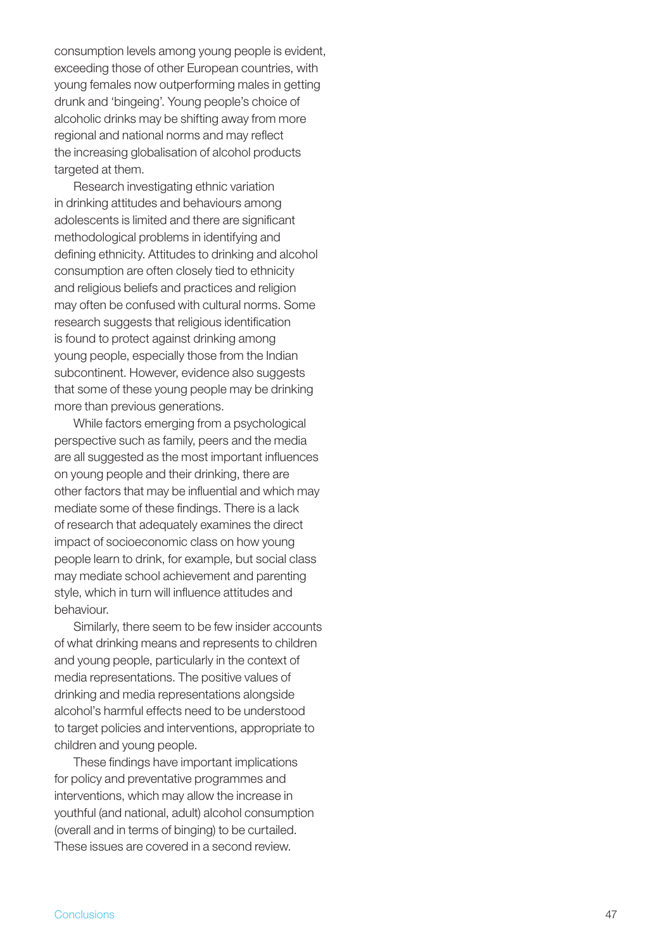consumption levels among young people is evident, exceeding those of other European countries, with young females now outperforming males in getting drunk and 'bingeing'. Young people's choice of alcoholic drinks may be shifting away from more regional and national norms and may reflect the increasing globalisation of alcohol products targeted at them.

Research investigating ethnic variation in drinking attitudes and behaviours among adolescents is limited and there are significant methodological problems in identifying and defining ethnicity. Attitudes to drinking and alcohol consumption are often closely tied to ethnicity and religious beliefs and practices and religion may often be confused with cultural norms. Some research suggests that religious identification is found to protect against drinking among young people, especially those from the Indian subcontinent. However, evidence also suggests that some of these young people may be drinking more than previous generations.

While factors emerging from a psychological perspective such as family, peers and the media are all suggested as the most important influences on young people and their drinking, there are other factors that may be influential and which may mediate some of these findings. There is a lack of research that adequately examines the direct impact of socioeconomic class on how young people learn to drink, for example, but social class may mediate school achievement and parenting style, which in turn will influence attitudes and behaviour.

Similarly, there seem to be few insider accounts of what drinking means and represents to children and young people, particularly in the context of media representations. The positive values of drinking and media representations alongside alcohol's harmful effects need to be understood to target policies and interventions, appropriate to children and young people.

These findings have important implications for policy and preventative programmes and interventions, which may allow the increase in youthful (and national, adult) alcohol consumption (overall and in terms of binging) to be curtailed. These issues are covered in a second review.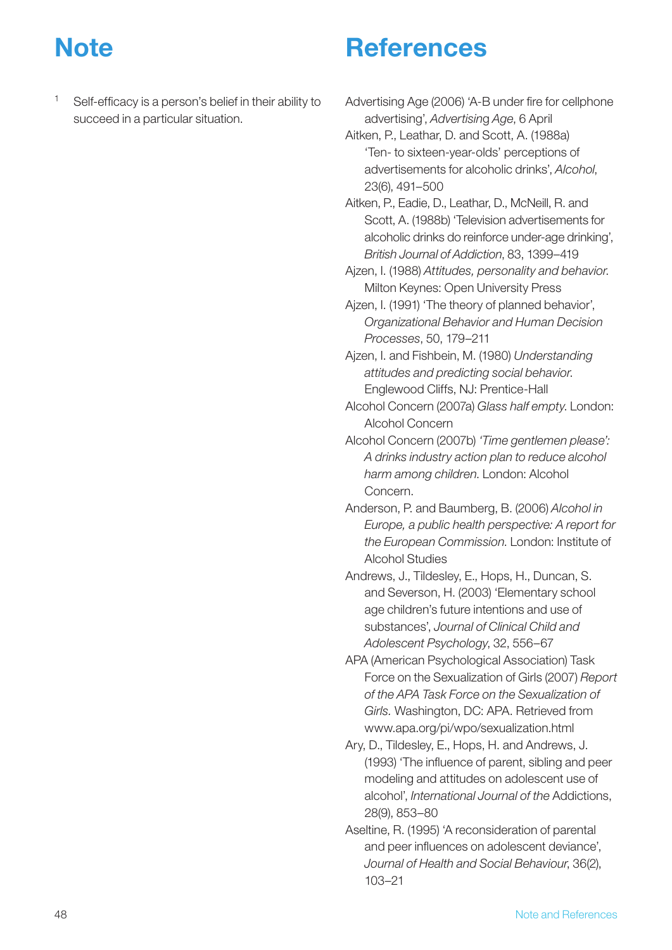## **Note**

- **References**
- Self-efficacy is a person's belief in their ability to succeed in a particular situation.
- Advertising Age (2006) 'A-B under fire for cellphone advertising', *Advertisin*g *Age*, 6 April
- Aitken, P., Leathar, D. and Scott, A. (1988a) 'Ten- to sixteen-year-olds' perceptions of advertisements for alcoholic drinks', *Alcohol*, 23(6), 491–500
- Aitken, P., Eadie, D., Leathar, D., McNeill, R. and Scott, A. (1988b) 'Television advertisements for alcoholic drinks do reinforce under-age drinking', *British Journal of Addiction*, 83, 1399–419
- Ajzen, I. (1988) *Attitudes, personality and behavior*. Milton Keynes: Open University Press
- Ajzen, I. (1991) 'The theory of planned behavior', *Organizational Behavior and Human Decision Processes*, 50, 179–211
- Ajzen, I. and Fishbein, M. (1980) *Understanding attitudes and predicting social behavior*. Englewood Cliffs, NJ: Prentice-Hall
- Alcohol Concern (2007a) *Glass half empty*. London: Alcohol Concern
- Alcohol Concern (2007b) *'Time gentlemen please': A drinks industry action plan to reduce alcohol harm among children*. London: Alcohol Concern.
- Anderson, P. and Baumberg, B. (2006) *Alcohol in Europe, a public health perspective: A report for the European Commission*. London: Institute of Alcohol Studies
- Andrews, J., Tildesley, E., Hops, H., Duncan, S. and Severson, H. (2003) 'Elementary school age children's future intentions and use of substances', *Journal of Clinical Child and Adolescent Psychology*, 32, 556–67
- APA (American Psychological Association) Task Force on the Sexualization of Girls (2007) *Report of the APA Task Force on the Sexualization of Girls.* Washington, DC: APA. Retrieved from www.apa.org/pi/wpo/sexualization.html
- Ary, D., Tildesley, E., Hops, H. and Andrews, J. (1993) 'The influence of parent, sibling and peer modeling and attitudes on adolescent use of alcohol', *International Journal of the* Addictions, 28(9), 853–80
- Aseltine, R. (1995) 'A reconsideration of parental and peer influences on adolescent deviance', *Journal of Health and Social Behaviour*, 36(2), 103–21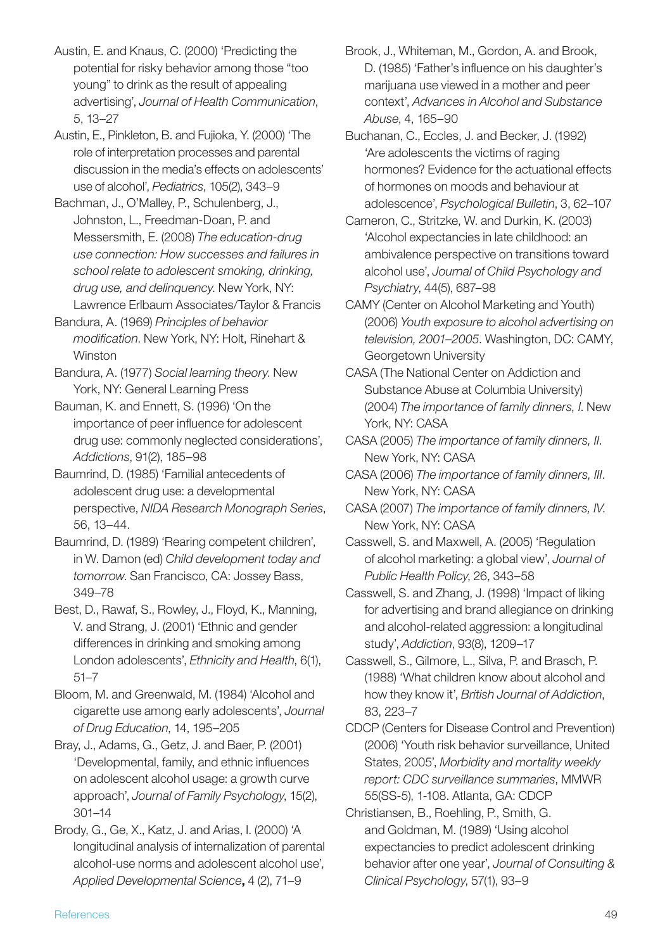Austin, E. and Knaus, C. (2000) 'Predicting the potential for risky behavior among those "too young" to drink as the result of appealing advertising', *Journal of Health Communication*, 5, 13–27

Austin, E., Pinkleton, B. and Fujioka, Y. (2000) 'The role of interpretation processes and parental discussion in the media's effects on adolescents' use of alcohol', *Pediatrics*, 105(2), 343–9

Bachman, J., O'Malley, P., Schulenberg, J., Johnston, L., Freedman-Doan, P. and Messersmith, E. (2008) *The education-drug use connection: How successes and failures in school relate to adolescent smoking, drinking, drug use, and delinquency*. New York, NY: Lawrence Erlbaum Associates/Taylor & Francis

Bandura, A. (1969) *Principles of behavior modification*. New York, NY: Holt, Rinehart & Winston

Bandura, A. (1977) *Social learning theory*. New York, NY: General Learning Press

Bauman, K. and Ennett, S. (1996) 'On the importance of peer influence for adolescent drug use: commonly neglected considerations', *Addictions*, 91(2), 185–98

Baumrind, D. (1985) 'Familial antecedents of adolescent drug use: a developmental perspective, *NIDA Research Monograph Series*, 56, 13–44.

Baumrind, D. (1989) 'Rearing competent children', in W. Damon (ed) *Child development today and tomorrow*. San Francisco, CA: Jossey Bass, 349–78

Best, D., Rawaf, S., Rowley, J., Floyd, K., Manning, V. and Strang, J. (2001) 'Ethnic and gender differences in drinking and smoking among London adolescents', *Ethnicity and Health*, 6(1), 51–7

Bloom, M. and Greenwald, M. (1984) 'Alcohol and cigarette use among early adolescents', *Journal of Drug Education*, 14, 195–205

Bray, J., Adams, G., Getz, J. and Baer, P. (2001) 'Developmental, family, and ethnic influences on adolescent alcohol usage: a growth curve approach', *Journal of Family Psychology*, 15(2), 301–14

Brody, G., Ge, X., Katz, J. and Arias, I. (2000) 'A longitudinal analysis of internalization of parental alcohol-use norms and adolescent alcohol use', *Applied Developmental Science*, 4 (2), 71–9

Buchanan, C., Eccles, J. and Becker, J. (1992) 'Are adolescents the victims of raging hormones? Evidence for the actuational effects of hormones on moods and behaviour at adolescence', *Psychological Bulletin*, 3, 62–107

Cameron, C., Stritzke, W. and Durkin, K. (2003) 'Alcohol expectancies in late childhood: an ambivalence perspective on transitions toward alcohol use', *Journal of Child Psychology and Psychiatry*, 44(5), 687–98

CAMY (Center on Alcohol Marketing and Youth) (2006) *Youth exposure to alcohol advertising on television, 2001–2005*. Washington, DC: CAMY, Georgetown University

CASA (The National Center on Addiction and Substance Abuse at Columbia University) (2004) *The importance of family dinners, I*. New York, NY: CASA

CASA (2005) *The importance of family dinners, II*. New York, NY: CASA

CASA (2006) *The importance of family dinners, III*. New York, NY: CASA

CASA (2007) *The importance of family dinners, IV*. New York, NY: CASA

Casswell, S. and Maxwell, A. (2005) 'Regulation of alcohol marketing: a global view', *Journal of Public Health Policy*, 26, 343–58

Casswell, S. and Zhang, J. (1998) 'Impact of liking for advertising and brand allegiance on drinking and alcohol-related aggression: a longitudinal study', *Addiction*, 93(8), 1209–17

Casswell, S., Gilmore, L., Silva, P. and Brasch, P. (1988) 'What children know about alcohol and how they know it', *British Journal of Addiction*, 83, 223–7

CDCP (Centers for Disease Control and Prevention) (2006) 'Youth risk behavior surveillance, United States, 2005', *Morbidity and mortality weekly report: CDC surveillance summaries*, MMWR 55(SS-5), 1-108. Atlanta, GA: CDCP

Christiansen, B., Roehling, P., Smith, G. and Goldman, M. (1989) 'Using alcohol expectancies to predict adolescent drinking behavior after one year', *Journal of Consulting & Clinical Psychology*, 57(1), 93–9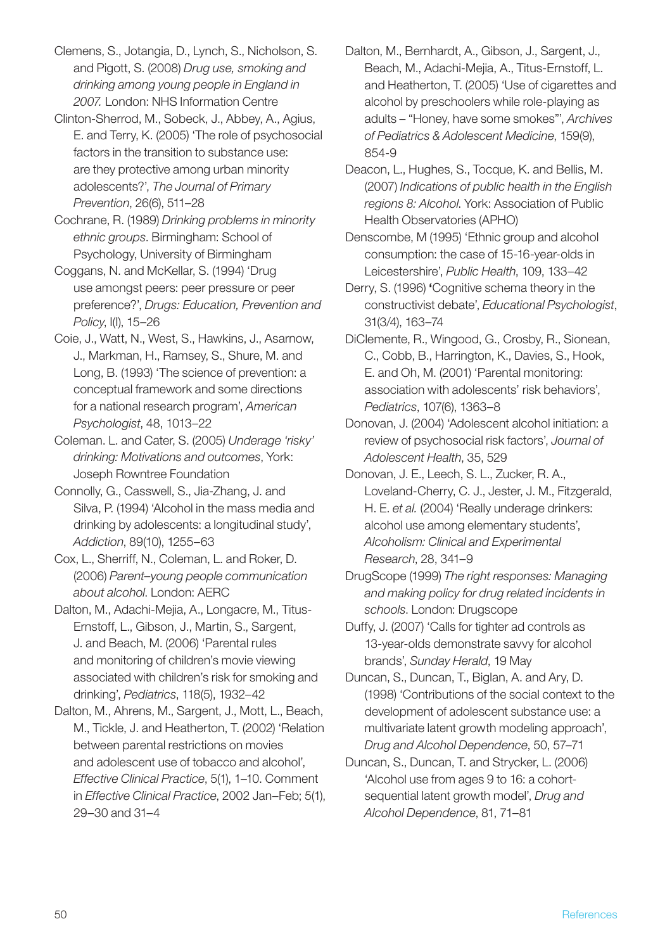Clemens, S., Jotangia, D., Lynch, S., Nicholson, S. and Pigott, S. (2008) *Drug use, smoking and drinking among young people in England in 2007.* London: NHS Information Centre

Clinton-Sherrod, M., Sobeck, J., Abbey, A., Agius, E. and Terry, K. (2005) 'The role of psychosocial factors in the transition to substance use: are they protective among urban minority adolescents?', *The Journal of Primary Prevention*, 26(6), 511–28

Cochrane, R. (1989) *Drinking problems in minority ethnic groups*. Birmingham: School of Psychology, University of Birmingham

Coggans, N. and McKellar, S. (1994) 'Drug use amongst peers: peer pressure or peer preference?', *Drugs: Education, Prevention and Policy*, I(I), 15–26

Coie, J., Watt, N., West, S., Hawkins, J., Asarnow, J., Markman, H., Ramsey, S., Shure, M. and Long, B. (1993) 'The science of prevention: a conceptual framework and some directions for a national research program', *American Psychologist*, 48, 1013–22

Coleman. L. and Cater, S. (2005) *Underage 'risky' drinking: Motivations and outcomes*, York: Joseph Rowntree Foundation

Connolly, G., Casswell, S., Jia-Zhang, J. and Silva, P. (1994) 'Alcohol in the mass media and drinking by adolescents: a longitudinal study', *Addiction*, 89(10), 1255–63

Cox, L., Sherriff, N., Coleman, L. and Roker, D. (2006) *Parent–young people communication about alcohol*. London: AERC

Dalton, M., Adachi-Mejia, A., Longacre, M., Titus-Ernstoff, L., Gibson, J., Martin, S., Sargent, J. and Beach, M. (2006) 'Parental rules and monitoring of children's movie viewing associated with children's risk for smoking and drinking', *Pediatrics*, 118(5), 1932–42

Dalton, M., Ahrens, M., Sargent, J., Mott, L., Beach, M., Tickle, J. and Heatherton, T. (2002) 'Relation between parental restrictions on movies and adolescent use of tobacco and alcohol', *Effective Clinical Practice*, 5(1), 1–10. Comment in *Effective Clinical Practice*, 2002 Jan–Feb; 5(1), 29–30 and 31–4

Dalton, M., Bernhardt, A., Gibson, J., Sargent, J., Beach, M., Adachi-Mejia, A., Titus-Ernstoff, L. and Heatherton, T. (2005) 'Use of cigarettes and alcohol by preschoolers while role-playing as adults – "Honey, have some smokes"', *Archives of Pediatrics & Adolescent Medicine*, 159(9), 854-9

Deacon, L., Hughes, S., Tocque, K. and Bellis, M. (2007) *Indications of public health in the English regions 8: Alcohol*. York: Association of Public Health Observatories (APHO)

Denscombe, M (1995) 'Ethnic group and alcohol consumption: the case of 15-16-year-olds in Leicestershire', *Public Health*, 109, 133–42

Derry, S. (1996) 'Cognitive schema theory in the constructivist debate', *Educational Psychologist*, 31(3/4), 163–74

DiClemente, R., Wingood, G., Crosby, R., Sionean, C., Cobb, B., Harrington, K., Davies, S., Hook, E. and Oh, M. (2001) 'Parental monitoring: association with adolescents' risk behaviors', *Pediatrics*, 107(6), 1363–8

Donovan, J. (2004) 'Adolescent alcohol initiation: a review of psychosocial risk factors', *Journal of Adolescent Health*, 35, 529

Donovan, J. E., Leech, S. L., Zucker, R. A., Loveland-Cherry, C. J., Jester, J. M., Fitzgerald, H. E. *et al.* (2004) 'Really underage drinkers: alcohol use among elementary students', *Alcoholism: Clinical and Experimental Research*, 28, 341–9

DrugScope (1999) *The right responses: Managing and making policy for drug related incidents in schools*. London: Drugscope

Duffy, J. (2007) 'Calls for tighter ad controls as 13-year-olds demonstrate savvy for alcohol brands', *Sunday Herald*, 19 May

Duncan, S., Duncan, T., Biglan, A. and Ary, D. (1998) 'Contributions of the social context to the development of adolescent substance use: a multivariate latent growth modeling approach', *Drug and Alcohol Dependence*, 50, 57–71

Duncan, S., Duncan, T. and Strycker, L. (2006) 'Alcohol use from ages 9 to 16: a cohortsequential latent growth model', *Drug and Alcohol Dependence*, 81, 71–81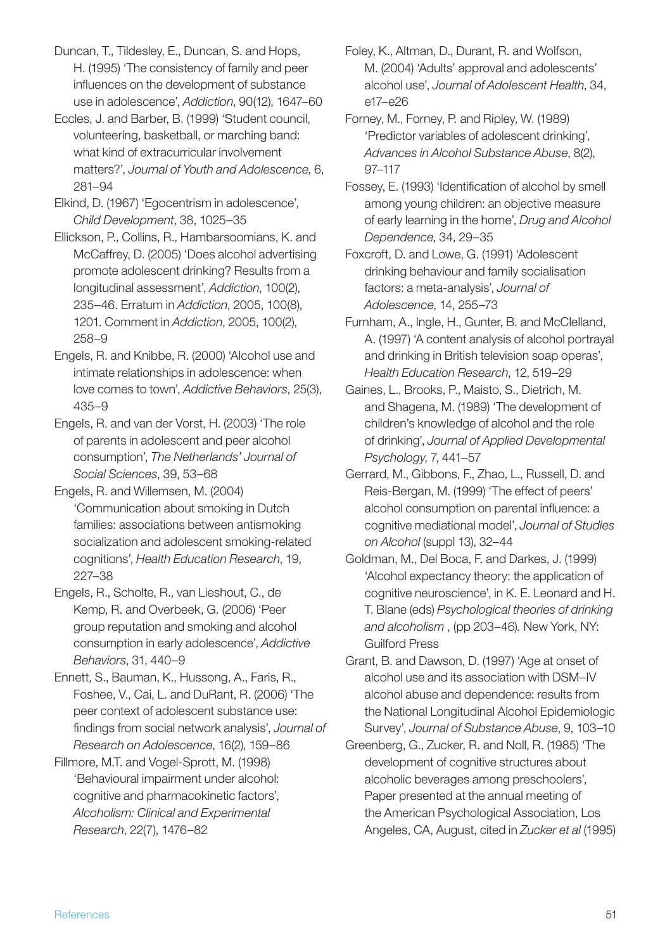Duncan, T., Tildesley, E., Duncan, S. and Hops, H. (1995) 'The consistency of family and peer influences on the development of substance use in adolescence', *Addiction*, 90(12), 1647–60

- Eccles, J. and Barber, B. (1999) 'Student council, volunteering, basketball, or marching band: what kind of extracurricular involvement matters?', *Journal of Youth and Adolescence*, 6, 281–94
- Elkind, D. (1967) 'Egocentrism in adolescence', *Child Development*, 38, 1025–35
- Ellickson, P., Collins, R., Hambarsoomians, K. and McCaffrey, D. (2005) 'Does alcohol advertising promote adolescent drinking? Results from a longitudinal assessment', *Addiction*, 100(2), 235–46. Erratum in *Addiction*, 2005, 100(8), 1201. Comment in *Addiction*, 2005, 100(2), 258–9
- Engels, R. and Knibbe, R. (2000) 'Alcohol use and intimate relationships in adolescence: when love comes to town', *Addictive Behaviors*, 25(3), 435–9
- Engels, R. and van der Vorst, H. (2003) 'The role of parents in adolescent and peer alcohol consumption', *The Netherlands' Journal of Social Sciences*, 39, 53–68
- Engels, R. and Willemsen, M. (2004) 'Communication about smoking in Dutch families: associations between antismoking socialization and adolescent smoking-related cognitions', *Health Education Research*, 19, 227–38
- Engels, R., Scholte, R., van Lieshout, C., de Kemp, R. and Overbeek, G. (2006) 'Peer group reputation and smoking and alcohol consumption in early adolescence', *Addictive Behaviors*, 31, 440–9
- Ennett, S., Bauman, K., Hussong, A., Faris, R., Foshee, V., Cai, L. and DuRant, R. (2006) 'The peer context of adolescent substance use: findings from social network analysis', *Journal of Research on Adolescence*, 16(2), 159–86
- Fillmore, M.T. and Vogel-Sprott, M. (1998) 'Behavioural impairment under alcohol: cognitive and pharmacokinetic factors', *Alcoholism: Clinical and Experimental Research*, 22(7), 1476–82
- Foley, K., Altman, D., Durant, R. and Wolfson, M. (2004) 'Adults' approval and adolescents' alcohol use', *Journal of Adolescent Health*, 34, e17–e26
- Forney, M., Forney, P. and Ripley, W. (1989) 'Predictor variables of adolescent drinking', *Advances in Alcohol Substance Abuse*, 8(2), 97–117
- Fossey, E. (1993) 'Identification of alcohol by smell among young children: an objective measure of early learning in the home', *Drug and Alcohol Dependence*, 34, 29–35
- Foxcroft, D. and Lowe, G. (1991) 'Adolescent drinking behaviour and family socialisation factors: a meta-analysis', *Journal of Adolescence*, 14, 255–73
- Furnham, A., Ingle, H., Gunter, B. and McClelland, A. (1997) 'A content analysis of alcohol portrayal and drinking in British television soap operas', *Health Education Research*, 12, 519–29
- Gaines, L., Brooks, P., Maisto, S., Dietrich, M. and Shagena, M. (1989) 'The development of children's knowledge of alcohol and the role of drinking', *Journal of Applied Developmental Psychology*, 7, 441–57
- Gerrard, M., Gibbons, F., Zhao, L., Russell, D. and Reis-Bergan, M. (1999) 'The effect of peers' alcohol consumption on parental influence: a cognitive mediational model', *Journal of Studies on Alcohol* (suppl 13), 32–44
- Goldman, M., Del Boca, F. and Darkes, J. (1999) 'Alcohol expectancy theory: the application of cognitive neuroscience', in K. E. Leonard and H. T. Blane (eds) *Psychological theories of drinking and alcoholism* , (pp 203–46)*.* New York, NY: Guilford Press
- Grant, B. and Dawson, D. (1997) 'Age at onset of alcohol use and its association with DSM–IV alcohol abuse and dependence: results from the National Longitudinal Alcohol Epidemiologic Survey', *Journal of Substance Abuse*, 9, 103–10
- Greenberg, G., Zucker, R. and Noll, R. (1985) 'The development of cognitive structures about alcoholic beverages among preschoolers', Paper presented at the annual meeting of the American Psychological Association, Los Angeles, CA, August, cited in *Zucker et al* (1995)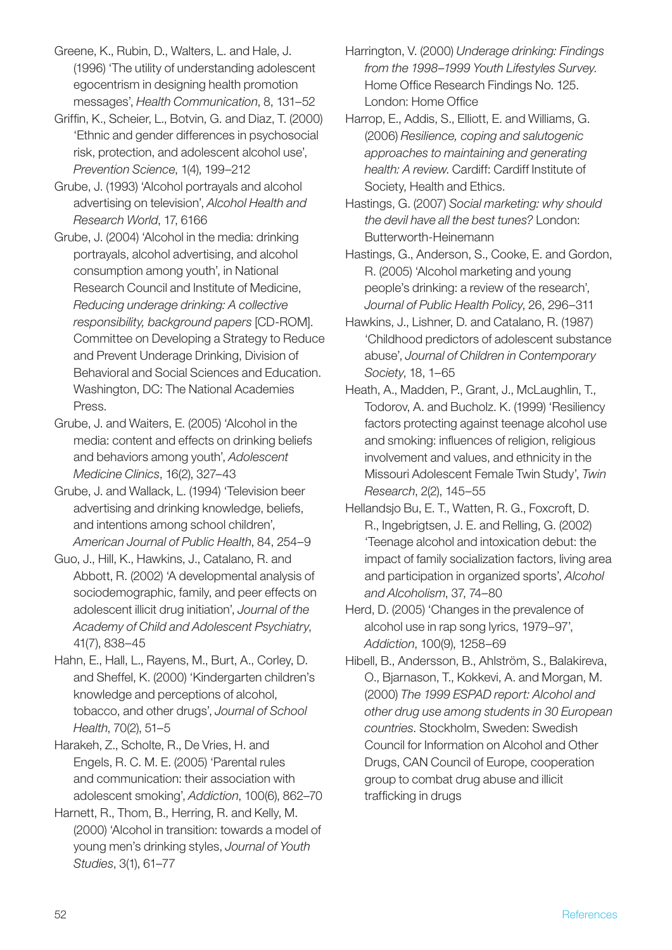Greene, K., Rubin, D., Walters, L. and Hale, J. (1996) 'The utility of understanding adolescent egocentrism in designing health promotion messages', *Health Communication*, 8, 131–52

- Griffin, K., Scheier, L., Botvin, G. and Diaz, T. (2000) 'Ethnic and gender differences in psychosocial risk, protection, and adolescent alcohol use', *Prevention Science*, 1(4), 199–212
- Grube, J. (1993) 'Alcohol portrayals and alcohol advertising on television', *Alcohol Health and Research World*, 17, 6166
- Grube, J. (2004) 'Alcohol in the media: drinking portrayals, alcohol advertising, and alcohol consumption among youth', in National Research Council and Institute of Medicine, *Reducing underage drinking: A collective responsibility, background papers* [CD-ROM]. Committee on Developing a Strategy to Reduce and Prevent Underage Drinking, Division of Behavioral and Social Sciences and Education. Washington, DC: The National Academies Press.
- Grube, J. and Waiters, E. (2005) 'Alcohol in the media: content and effects on drinking beliefs and behaviors among youth', *Adolescent Medicine Clinics*, 16(2), 327–43
- Grube, J. and Wallack, L. (1994) 'Television beer advertising and drinking knowledge, beliefs, and intentions among school children', *American Journal of Public Health*, 84, 254–9
- Guo, J., Hill, K., Hawkins, J., Catalano, R. and Abbott, R. (2002) 'A developmental analysis of sociodemographic, family, and peer effects on adolescent illicit drug initiation', *Journal of the Academy of Child and Adolescent Psychiatry*, 41(7), 838–45
- Hahn, E., Hall, L., Rayens, M., Burt, A., Corley, D. and Sheffel, K. (2000) 'Kindergarten children's knowledge and perceptions of alcohol, tobacco, and other drugs', *Journal of School Health*, 70(2), 51–5
- Harakeh, Z., Scholte, R., De Vries, H. and Engels, R. C. M. E. (2005) 'Parental rules and communication: their association with adolescent smoking', *Addiction*, 100(6), 862–70
- Harnett, R., Thom, B., Herring, R. and Kelly, M. (2000) 'Alcohol in transition: towards a model of young men's drinking styles, *Journal of Youth Studies*, 3(1), 61–77
- Harrington, V. (2000) *Underage drinking: Findings from the 1998–1999 Youth Lifestyles Survey*. Home Office Research Findings No. 125. London: Home Office
- Harrop, E., Addis, S., Elliott, E. and Williams, G. (2006) *Resilience, coping and salutogenic approaches to maintaining and generating health: A review*. Cardiff: Cardiff Institute of Society, Health and Ethics.
- Hastings, G. (2007) *Social marketing: why should the devil have all the best tunes?* London: Butterworth-Heinemann
- Hastings, G., Anderson, S., Cooke, E. and Gordon, R. (2005) 'Alcohol marketing and young people's drinking: a review of the research', *Journal of Public Health Policy*, 26, 296–311
- Hawkins, J., Lishner, D. and Catalano, R. (1987) 'Childhood predictors of adolescent substance abuse', *Journal of Children in Contemporary Society*, 18, 1–65
- Heath, A., Madden, P., Grant, J., McLaughlin, T., Todorov, A. and Bucholz. K. (1999) 'Resiliency factors protecting against teenage alcohol use and smoking: influences of religion, religious involvement and values, and ethnicity in the Missouri Adolescent Female Twin Study', *Twin Research*, 2(2), 145–55
- Hellandsjo Bu, E. T., Watten, R. G., Foxcroft, D. R., Ingebrigtsen, J. E. and Relling, G. (2002) 'Teenage alcohol and intoxication debut: the impact of family socialization factors, living area and participation in organized sports', *Alcohol and Alcoholism*, 37, 74–80
- Herd, D. (2005) 'Changes in the prevalence of alcohol use in rap song lyrics, 1979–97', *Addiction*, 100(9), 1258–69
- Hibell, B., Andersson, B., Ahlström, S., Balakireva, O., Bjarnason, T., Kokkevi, A. and Morgan, M. (2000) *The 1999 ESPAD report: Alcohol and other drug use among students in 30 European countries*. Stockholm, Sweden: Swedish Council for Information on Alcohol and Other Drugs, CAN Council of Europe, cooperation group to combat drug abuse and illicit trafficking in drugs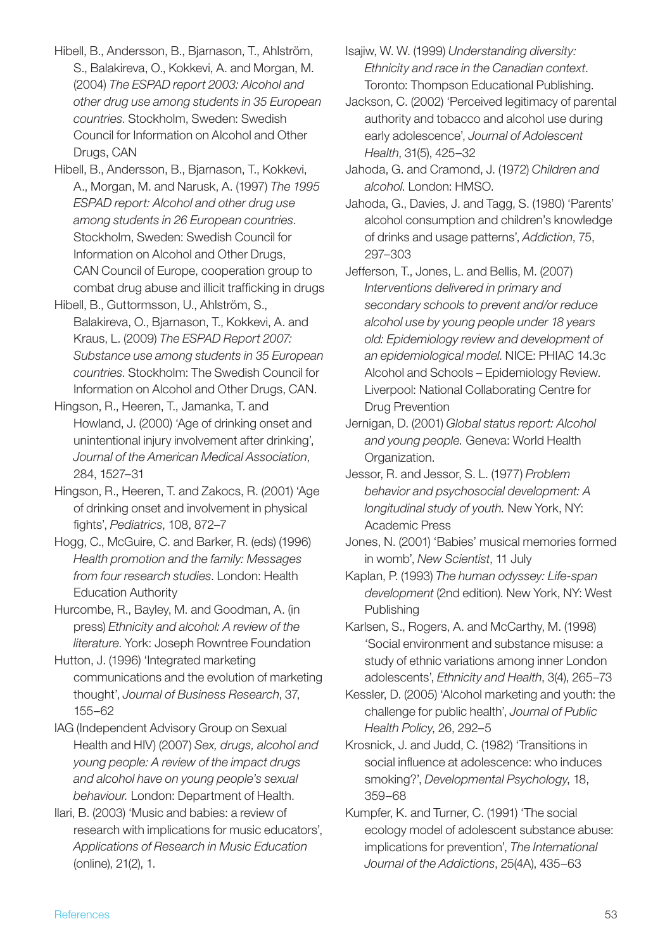Hibell, B., Andersson, B., Bjarnason, T., Ahlström, S., Balakireva, O., Kokkevi, A. and Morgan, M. (2004) *The ESPAD report 2003: Alcohol and other drug use among students in 35 European countries*. Stockholm, Sweden: Swedish Council for Information on Alcohol and Other Drugs, CAN

Hibell, B., Andersson, B., Bjarnason, T., Kokkevi, A., Morgan, M. and Narusk, A. (1997) *The 1995 ESPAD report: Alcohol and other drug use among students in 26 European countries*. Stockholm, Sweden: Swedish Council for Information on Alcohol and Other Drugs, CAN Council of Europe, cooperation group to combat drug abuse and illicit trafficking in drugs

Hibell, B., Guttormsson, U., Ahlström, S., Balakireva, O., Bjarnason, T., Kokkevi, A. and Kraus, L. (2009) *The ESPAD Report 2007: Substance use among students in 35 European countries*. Stockholm: The Swedish Council for Information on Alcohol and Other Drugs, CAN.

Hingson, R., Heeren, T., Jamanka, T. and Howland, J. (2000) 'Age of drinking onset and unintentional injury involvement after drinking', *Journal of the American Medical Association*, 284, 1527–31

Hingson, R., Heeren, T. and Zakocs, R. (2001) 'Age of drinking onset and involvement in physical fights', *Pediatrics*, 108, 872–7

Hogg, C., McGuire, C. and Barker, R. (eds) (1996) *Health promotion and the family: Messages from four research studies*. London: Health Education Authority

Hurcombe, R., Bayley, M. and Goodman, A. (in press) *Ethnicity and alcohol: A review of the literature*. York: Joseph Rowntree Foundation

Hutton, J. (1996) 'Integrated marketing communications and the evolution of marketing thought', *Journal of Business Research*, 37, 155–62

IAG (Independent Advisory Group on Sexual Health and HIV) (2007) *Sex, drugs, alcohol and young people: A review of the impact drugs and alcohol have on young people's sexual behaviour.* London: Department of Health.

Ilari, B. (2003) 'Music and babies: a review of research with implications for music educators', *Applications of Research in Music Education* (online), 21(2), 1.

Isajiw, W. W. (1999) *Understanding diversity: Ethnicity and race in the Canadian context*. Toronto: Thompson Educational Publishing.

Jackson, C. (2002) 'Perceived legitimacy of parental authority and tobacco and alcohol use during early adolescence', *Journal of Adolescent Health*, 31(5), 425–32

Jahoda, G. and Cramond, J. (1972) *Children and alcohol*. London: HMSO.

Jahoda, G., Davies, J. and Tagg, S. (1980) 'Parents' alcohol consumption and children's knowledge of drinks and usage patterns', *Addiction*, 75, 297–303

Jefferson, T., Jones, L. and Bellis, M. (2007) *Interventions delivered in primary and secondary schools to prevent and/or reduce alcohol use by young people under 18 years old: Epidemiology review and development of an epidemiological model*. NICE: PHIAC 14.3c Alcohol and Schools – Epidemiology Review. Liverpool: National Collaborating Centre for Drug Prevention

Jernigan, D. (2001) *Global status report: Alcohol and young people.* Geneva: World Health Organization.

Jessor, R. and Jessor, S. L. (1977) *Problem behavior and psychosocial development: A longitudinal study of youth.* New York, NY: Academic Press

Jones, N. (2001) 'Babies' musical memories formed in womb', *New Scientist*, 11 July

Kaplan, P. (1993) *The human odyssey: Life-span development* (2nd edition). New York, NY: West Publishing

Karlsen, S., Rogers, A. and McCarthy, M. (1998) 'Social environment and substance misuse: a study of ethnic variations among inner London adolescents', *Ethnicity and Health*, 3(4), 265–73

Kessler, D. (2005) 'Alcohol marketing and youth: the challenge for public health', *Journal of Public Health Policy*, 26, 292–5

Krosnick, J. and Judd, C. (1982) 'Transitions in social influence at adolescence: who induces smoking?', *Developmental Psychology*, 18, 359–68

Kumpfer, K. and Turner, C. (1991) 'The social ecology model of adolescent substance abuse: implications for prevention', *The International Journal of the Addictions*, 25(4A), 435–63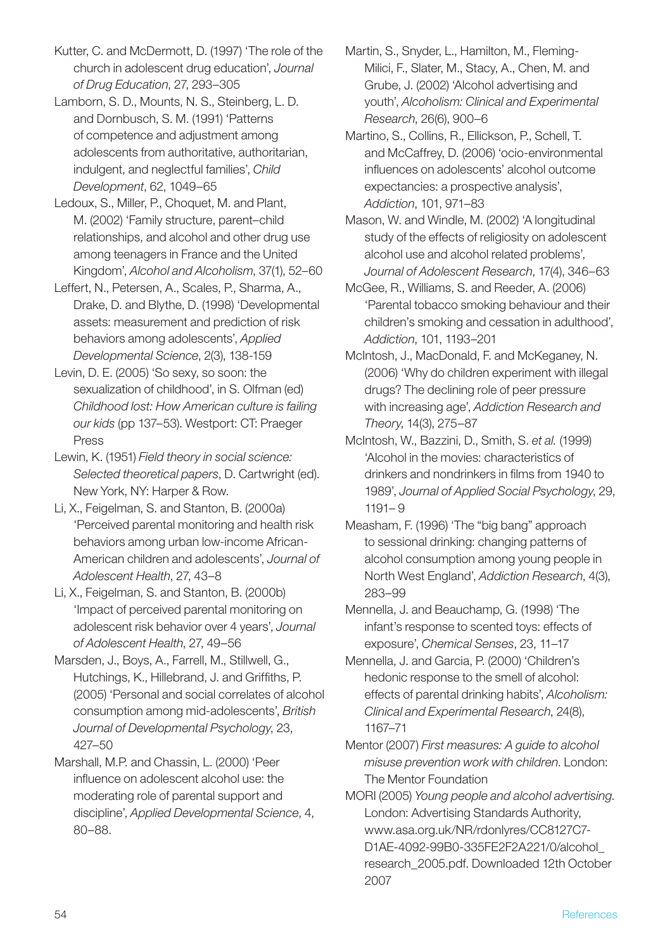Kutter, C. and McDermott, D. (1997) 'The role of the church in adolescent drug education', *Journal of Drug Education*, 27, 293–305

Lamborn, S. D., Mounts, N. S., Steinberg, L. D. and Dornbusch, S. M. (1991) 'Patterns of competence and adjustment among adolescents from authoritative, authoritarian, indulgent, and neglectful families', *Child Development*, 62, 1049–65

Ledoux, S., Miller, P., Choquet, M. and Plant, M. (2002) 'Family structure, parent–child relationships, and alcohol and other drug use among teenagers in France and the United Kingdom', *Alcohol and Alcoholism*, 37(1), 52–60

Leffert, N., Petersen, A., Scales, P., Sharma, A., Drake, D. and Blythe, D. (1998) 'Developmental assets: measurement and prediction of risk behaviors among adolescents', *Applied Developmental Science*, 2(3), 138-159

Levin, D. E. (2005) 'So sexy, so soon: the sexualization of childhood', in S. Olfman (ed) *Childhood lost: How American culture is failing our kids* (pp 137–53). Westport: CT: Praeger Press

Lewin, K. (1951) *Field theory in social science: Selected theoretical papers*, D. Cartwright (ed). New York, NY: Harper & Row.

Li, X., Feigelman, S. and Stanton, B. (2000a) 'Perceived parental monitoring and health risk behaviors among urban low-income African-American children and adolescents', *Journal of Adolescent Health*, 27, 43–8

Li, X., Feigelman, S. and Stanton, B. (2000b) 'Impact of perceived parental monitoring on adolescent risk behavior over 4 years', *Journal of Adolescent Health*, 27, 49–56

Marsden, J., Boys, A., Farrell, M., Stillwell, G., Hutchings, K., Hillebrand, J. and Griffiths, P. (2005) 'Personal and social correlates of alcohol consumption among mid-adolescents', *British Journal of Developmental Psychology*, 23, 427–50

Marshall, M.P. and Chassin, L. (2000) 'Peer influence on adolescent alcohol use: the moderating role of parental support and discipline', *Applied Developmental Science*, 4, 80–88.

Martin, S., Snyder, L., Hamilton, M., Fleming-Milici, F., Slater, M., Stacy, A., Chen, M. and Grube, J. (2002) 'Alcohol advertising and youth', *Alcoholism: Clinical and Experimental Research*, 26(6), 900–6

Martino, S., Collins, R., Ellickson, P., Schell, T. and McCaffrey, D. (2006) 'ocio-environmental influences on adolescents' alcohol outcome expectancies: a prospective analysis', *Addiction*, 101, 971–83

Mason, W. and Windle, M. (2002) 'A longitudinal study of the effects of religiosity on adolescent alcohol use and alcohol related problems', *Journal of Adolescent Research*, 17(4), 346–63

McGee, R., Williams, S. and Reeder, A. (2006) 'Parental tobacco smoking behaviour and their children's smoking and cessation in adulthood', *Addiction*, 101, 1193–201

McIntosh, J., MacDonald, F. and McKeganey, N. (2006) 'Why do children experiment with illegal drugs? The declining role of peer pressure with increasing age', *Addiction Research and Theory*, 14(3), 275–87

McIntosh, W., Bazzini, D., Smith, S. *et al.* (1999) 'Alcohol in the movies: characteristics of drinkers and nondrinkers in films from 1940 to 1989', *Journal of Applied Social Psychology*, 29, 1191– 9

Measham, F. (1996) 'The "big bang" approach to sessional drinking: changing patterns of alcohol consumption among young people in North West England', *Addiction Research*, 4(3), 283–99

Mennella, J. and Beauchamp, G. (1998) 'The infant's response to scented toys: effects of exposure', *Chemical Senses*, 23, 11–17

Mennella, J. and Garcia, P. (2000) 'Children's hedonic response to the smell of alcohol: effects of parental drinking habits', *Alcoholism: Clinical and Experimental Research*, 24(8), 1167–71

Mentor (2007) *First measures: A guide to alcohol misuse prevention work with children*. London: The Mentor Foundation

MORI (2005) *Young people and alcohol advertising*. London: Advertising Standards Authority, www.asa.org.uk/NR/rdonlyres/CC8127C7- D1AE-4092-99B0-335FE2F2A221/0/alcohol\_ research\_2005.pdf. Downloaded 12th October 2007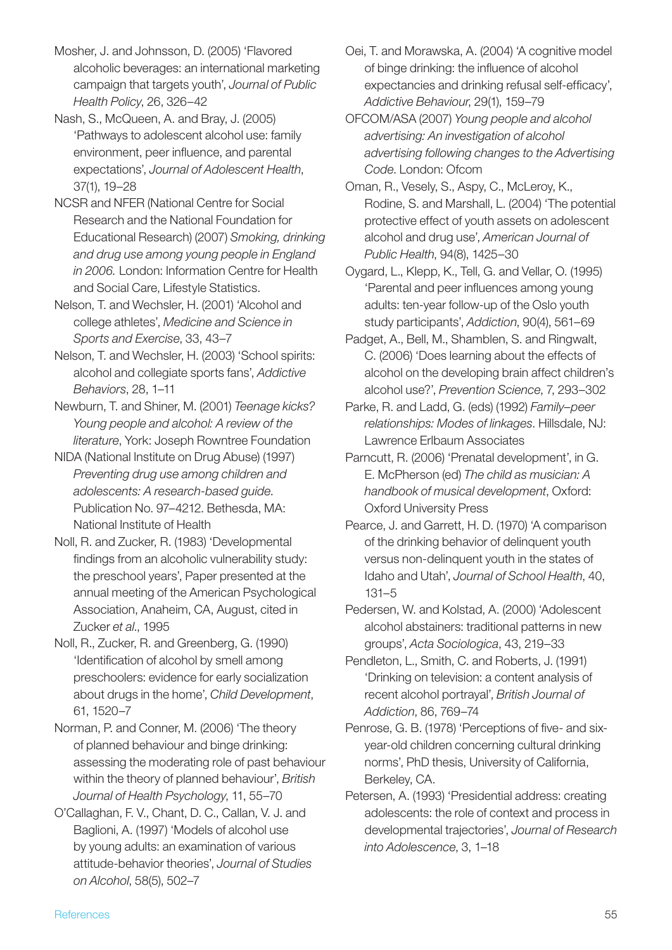Mosher, J. and Johnsson, D. (2005) 'Flavored alcoholic beverages: an international marketing campaign that targets youth', *Journal of Public Health Policy*, 26, 326–42

Nash, S., McQueen, A. and Bray, J. (2005) 'Pathways to adolescent alcohol use: family environment, peer influence, and parental expectations', *Journal of Adolescent Health*, 37(1), 19–28

NCSR and NFER (National Centre for Social Research and the National Foundation for Educational Research) (2007) *Smoking, drinking and drug use among young people in England in 2006.* London: Information Centre for Health and Social Care, Lifestyle Statistics.

Nelson, T. and Wechsler, H. (2001) 'Alcohol and college athletes', *Medicine and Science in Sports and Exercise*, 33, 43–7

Nelson, T. and Wechsler, H. (2003) 'School spirits: alcohol and collegiate sports fans', *Addictive Behaviors*, 28, 1–11

Newburn, T. and Shiner, M. (2001) *Teenage kicks? Young people and alcohol: A review of the literature*, York: Joseph Rowntree Foundation

NIDA (National Institute on Drug Abuse) (1997) *Preventing drug use among children and adolescents: A research-based guide*. Publication No. 97–4212. Bethesda, MA: National Institute of Health

Noll, R. and Zucker, R. (1983) 'Developmental findings from an alcoholic vulnerability study: the preschool years', Paper presented at the annual meeting of the American Psychological Association, Anaheim, CA, August, cited in Zucker *et al*., 1995

Noll, R., Zucker, R. and Greenberg, G. (1990) 'Identification of alcohol by smell among preschoolers: evidence for early socialization about drugs in the home', *Child Development*, 61, 1520–7

Norman, P. and Conner, M. (2006) 'The theory of planned behaviour and binge drinking: assessing the moderating role of past behaviour within the theory of planned behaviour', *British Journal of Health Psychology*, 11, 55–70

O'Callaghan, F. V., Chant, D. C., Callan, V. J. and Baglioni, A. (1997) 'Models of alcohol use by young adults: an examination of various attitude-behavior theories', *Journal of Studies on Alcohol*, 58(5), 502–7

Oei, T. and Morawska, A. (2004) 'A cognitive model of binge drinking: the influence of alcohol expectancies and drinking refusal self-efficacy', *Addictive Behaviour*, 29(1), 159–79

OFCOM/ASA (2007) *Young people and alcohol advertising: An investigation of alcohol advertising following changes to the Advertising Code*. London: Ofcom

Oman, R., Vesely, S., Aspy, C., McLeroy, K., Rodine, S. and Marshall, L. (2004) 'The potential protective effect of youth assets on adolescent alcohol and drug use', *American Journal of Public Health*, 94(8), 1425–30

Oygard, L., Klepp, K., Tell, G. and Vellar, O. (1995) 'Parental and peer influences among young adults: ten-year follow-up of the Oslo youth study participants', *Addiction*, 90(4), 561–69

Padget, A., Bell, M., Shamblen, S. and Ringwalt, C. (2006) 'Does learning about the effects of alcohol on the developing brain affect children's alcohol use?', *Prevention Science*, 7, 293–302

Parke, R. and Ladd, G. (eds) (1992) *Family–peer relationships: Modes of linkages*. Hillsdale, NJ: Lawrence Erlbaum Associates

Parncutt, R. (2006) 'Prenatal development', in G. E. McPherson (ed) *The child as musician: A handbook of musical development*, Oxford: Oxford University Press

Pearce, J. and Garrett, H. D. (1970) 'A comparison of the drinking behavior of delinquent youth versus non-delinquent youth in the states of Idaho and Utah', *Journal of School Health*, 40, 131–5

Pedersen, W. and Kolstad, A. (2000) 'Adolescent alcohol abstainers: traditional patterns in new groups', *Acta Sociologica*, 43, 219–33

Pendleton, L., Smith, C. and Roberts, J. (1991) 'Drinking on television: a content analysis of recent alcohol portrayal', *British Journal of Addiction*, 86, 769–74

Penrose, G. B. (1978) 'Perceptions of five- and sixyear-old children concerning cultural drinking norms', PhD thesis, University of California, Berkeley, CA.

Petersen, A. (1993) 'Presidential address: creating adolescents: the role of context and process in developmental trajectories', *Journal of Research into Adolescence*, 3, 1–18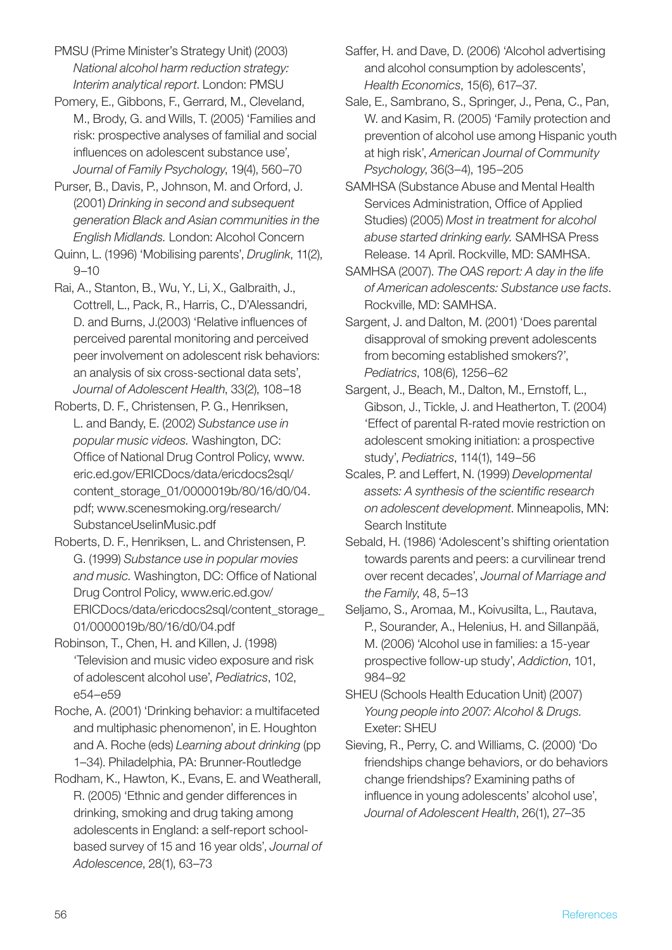PMSU (Prime Minister's Strategy Unit) (2003) *National alcohol harm reduction strategy: Interim analytical report*. London: PMSU

Pomery, E., Gibbons, F., Gerrard, M., Cleveland, M., Brody, G. and Wills, T. (2005) 'Families and risk: prospective analyses of familial and social influences on adolescent substance use', *Journal of Family Psychology*, 19(4), 560–70

Purser, B., Davis, P., Johnson, M. and Orford, J. (2001) *Drinking in second and subsequent generation Black and Asian communities in the English Midlands.* London: Alcohol Concern

Quinn, L. (1996) 'Mobilising parents', *Druglink*, 11(2), 9–10

Rai, A., Stanton, B., Wu, Y., Li, X., Galbraith, J., Cottrell, L., Pack, R., Harris, C., D'Alessandri, D. and Burns, J.(2003) 'Relative influences of perceived parental monitoring and perceived peer involvement on adolescent risk behaviors: an analysis of six cross-sectional data sets', *Journal of Adolescent Health*, 33(2), 108–18

Roberts, D. F., Christensen, P. G., Henriksen, L. and Bandy, E. (2002) *Substance use in popular music videos.* Washington, DC: Office of National Drug Control Policy, www. eric.ed.gov/ERICDocs/data/ericdocs2sql/ content\_storage\_01/0000019b/80/16/d0/04. pdf; www.scenesmoking.org/research/ SubstanceUseIinMusic.pdf

Roberts, D. F., Henriksen, L. and Christensen, P. G. (1999) *Substance use in popular movies and music.* Washington, DC: Office of National Drug Control Policy, www.eric.ed.gov/ ERICDocs/data/ericdocs2sql/content\_storage\_ 01/0000019b/80/16/d0/04.pdf

Robinson, T., Chen, H. and Killen, J. (1998) 'Television and music video exposure and risk of adolescent alcohol use', *Pediatrics*, 102, e54–e59

Roche, A. (2001) 'Drinking behavior: a multifaceted and multiphasic phenomenon', in E. Houghton and A. Roche (eds) *Learning about drinking* (pp 1–34). Philadelphia, PA: Brunner-Routledge

Rodham, K., Hawton, K., Evans, E. and Weatherall, R. (2005) 'Ethnic and gender differences in drinking, smoking and drug taking among adolescents in England: a self-report schoolbased survey of 15 and 16 year olds', *Journal of Adolescence*, 28(1), 63–73

Saffer, H. and Dave, D. (2006) 'Alcohol advertising and alcohol consumption by adolescents', *Health Economics*, 15(6), 617–37.

Sale, E., Sambrano, S., Springer, J., Pena, C., Pan, W. and Kasim, R. (2005) 'Family protection and prevention of alcohol use among Hispanic youth at high risk', *American Journal of Community Psychology*, 36(3–4), 195–205

SAMHSA (Substance Abuse and Mental Health Services Administration, Office of Applied Studies) (2005) *Most in treatment for alcohol abuse started drinking early.* SAMHSA Press Release. 14 April. Rockville, MD: SAMHSA.

SAMHSA (2007). *The OAS report: A day in the life of American adolescents: Substance use facts*. Rockville, MD: SAMHSA.

Sargent, J. and Dalton, M. (2001) 'Does parental disapproval of smoking prevent adolescents from becoming established smokers?', *Pediatrics*, 108(6), 1256–62

Sargent, J., Beach, M., Dalton, M., Ernstoff, L., Gibson, J., Tickle, J. and Heatherton, T. (2004) 'Effect of parental R-rated movie restriction on adolescent smoking initiation: a prospective study', *Pediatrics*, 114(1), 149–56

Scales, P. and Leffert, N. (1999) *Developmental assets: A synthesis of the scientific research on adolescent development*. Minneapolis, MN: Search Institute

Sebald, H. (1986) 'Adolescent's shifting orientation towards parents and peers: a curvilinear trend over recent decades', *Journal of Marriage and the Family*, 48, 5–13

Seljamo, S., Aromaa, M., Koivusilta, L., Rautava, P., Sourander, A., Helenius, H. and Sillanpää, M. (2006) 'Alcohol use in families: a 15-year prospective follow-up study', *Addiction*, 101, 984–92

SHEU (Schools Health Education Unit) (2007) *Young people into 2007: Alcohol & Drugs.* Exeter: SHEU

Sieving, R., Perry, C. and Williams, C. (2000) 'Do friendships change behaviors, or do behaviors change friendships? Examining paths of influence in young adolescents' alcohol use', *Journal of Adolescent Health*, 26(1), 27–35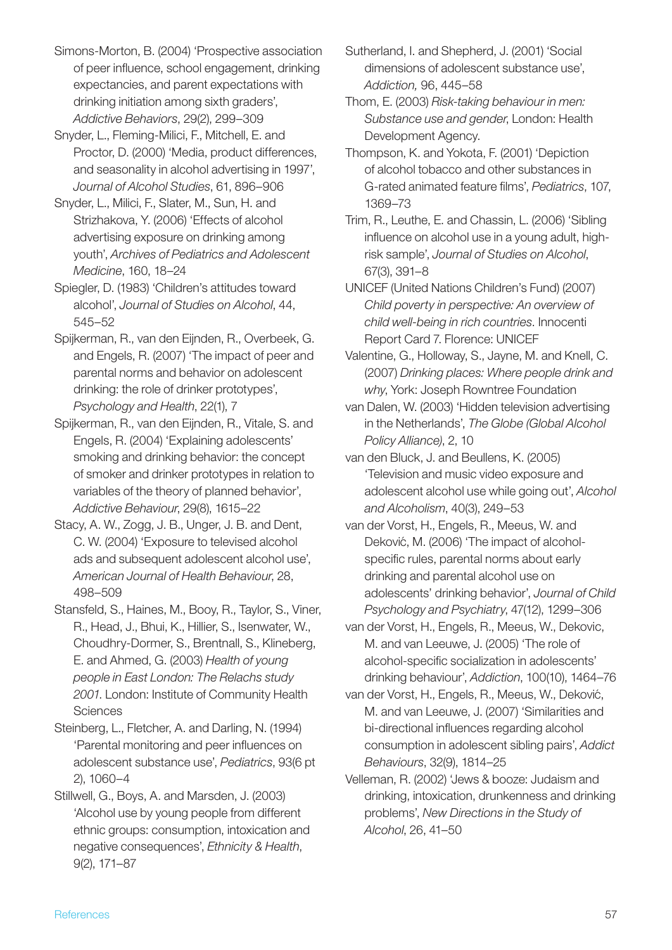Simons-Morton, B. (2004) 'Prospective association of peer influence, school engagement, drinking expectancies, and parent expectations with drinking initiation among sixth graders', *Addictive Behaviors*, 29(2), 299–309

Snyder, L., Fleming-Milici, F., Mitchell, E. and Proctor, D. (2000) 'Media, product differences, and seasonality in alcohol advertising in 1997', *Journal of Alcohol Studies*, 61, 896–906

Snyder, L., Milici, F., Slater, M., Sun, H. and Strizhakova, Y. (2006) 'Effects of alcohol advertising exposure on drinking among youth', *Archives of Pediatrics and Adolescent Medicine*, 160, 18–24

Spiegler, D. (1983) 'Children's attitudes toward alcohol', *Journal of Studies on Alcohol*, 44, 545–52

Spijkerman, R., van den Eijnden, R., Overbeek, G. and Engels, R. (2007) 'The impact of peer and parental norms and behavior on adolescent drinking: the role of drinker prototypes', *Psychology and Health*, 22(1), 7

Spijkerman, R., van den Eijnden, R., Vitale, S. and Engels, R. (2004) 'Explaining adolescents' smoking and drinking behavior: the concept of smoker and drinker prototypes in relation to variables of the theory of planned behavior', *Addictive Behaviour*, 29(8), 1615–22

Stacy, A. W., Zogg, J. B., Unger, J. B. and Dent, C. W. (2004) 'Exposure to televised alcohol ads and subsequent adolescent alcohol use', *American Journal of Health Behaviour*, 28, 498–509

Stansfeld, S., Haines, M., Booy, R., Taylor, S., Viner, R., Head, J., Bhui, K., Hillier, S., Isenwater, W., Choudhry-Dormer, S., Brentnall, S., Klineberg, E. and Ahmed, G. (2003) *Health of young people in East London: The Relachs study 2001*. London: Institute of Community Health **Sciences** 

Steinberg, L., Fletcher, A. and Darling, N. (1994) 'Parental monitoring and peer influences on adolescent substance use', *Pediatrics*, 93(6 pt 2), 1060–4

Stillwell, G., Boys, A. and Marsden, J. (2003) 'Alcohol use by young people from different ethnic groups: consumption, intoxication and negative consequences', *Ethnicity & Health*, 9(2), 171–87

Sutherland, I. and Shepherd, J. (2001) 'Social dimensions of adolescent substance use', *Addiction,* 96, 445–58

Thom, E. (2003) *Risk-taking behaviour in men: Substance use and gender*, London: Health Development Agency.

Thompson, K. and Yokota, F. (2001) 'Depiction of alcohol tobacco and other substances in G-rated animated feature films', *Pediatrics*, 107, 1369–73

Trim, R., Leuthe, E. and Chassin, L. (2006) 'Sibling influence on alcohol use in a young adult, highrisk sample', *Journal of Studies on Alcohol*, 67(3), 391–8

Unicef (United Nations Children's Fund) (2007) *Child poverty in perspective: An overview of child well-being in rich countries*. Innocenti Report Card 7. Florence: UNICEF

Valentine, G., Holloway, S., Jayne, M. and Knell, C. (2007) *Drinking places: Where people drink and why*, York: Joseph Rowntree Foundation

van Dalen, W. (2003) 'Hidden television advertising in the Netherlands', *The Globe (Global Alcohol Policy Alliance)*, 2, 10

van den Bluck, J. and Beullens, K. (2005) 'Television and music video exposure and adolescent alcohol use while going out', *Alcohol and Alcoholism*, 40(3), 249–53

van der Vorst, H., Engels, R., Meeus, W. and Deković, M. (2006) 'The impact of alcoholspecific rules, parental norms about early drinking and parental alcohol use on adolescents' drinking behavior', *Journal of Child Psychology and Psychiatry*, 47(12), 1299–306

van der Vorst, H., Engels, R., Meeus, W., Dekovic, M. and van Leeuwe, J. (2005) 'The role of alcohol-specific socialization in adolescents' drinking behaviour', *Addiction*, 100(10), 1464–76

van der Vorst, H., Engels, R., Meeus, W., Deković, M. and van Leeuwe, J. (2007) 'Similarities and bi-directional influences regarding alcohol consumption in adolescent sibling pairs', *Addict Behaviours*, 32(9), 1814–25

Velleman, R. (2002) 'Jews & booze: Judaism and drinking, intoxication, drunkenness and drinking problems', *New Directions in the Study of Alcohol*, 26, 41–50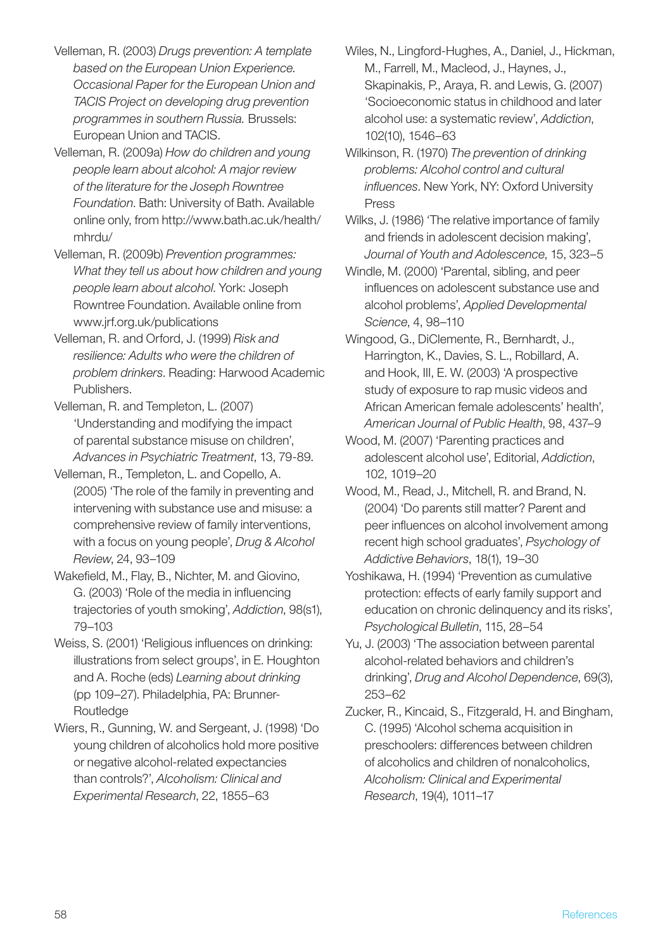- Velleman, R. (2003) *Drugs prevention: A template based on the European Union Experience. Occasional Paper for the European Union and TACIS Project on developing drug prevention programmes in southern Russia.* Brussels: European Union and TACIS.
- Velleman, R. (2009a) *How do children and young people learn about alcohol: A major review of the literature for the Joseph Rowntree Foundation*. Bath: University of Bath. Available online only, from http://www.bath.ac.uk/health/ mhrdu/
- Velleman, R. (2009b) *Prevention programmes: What they tell us about how children and young people learn about alcohol*. York: Joseph Rowntree Foundation. Available online from www.jrf.org.uk/publications
- Velleman, R. and Orford, J. (1999) *Risk and resilience: Adults who were the children of problem drinkers*. Reading: Harwood Academic Publishers.
- Velleman, R. and Templeton, L. (2007) 'Understanding and modifying the impact of parental substance misuse on children', *Advances in Psychiatric Treatment*, 13, 79-89.
- Velleman, R., Templeton, L. and Copello, A. (2005) 'The role of the family in preventing and intervening with substance use and misuse: a comprehensive review of family interventions, with a focus on young people', *Drug & Alcohol Review*, 24, 93–109
- Wakefield, M., Flay, B., Nichter, M. and Giovino, G. (2003) 'Role of the media in influencing trajectories of youth smoking', *Addiction*, 98(s1), 79–103
- Weiss, S. (2001) 'Religious influences on drinking: illustrations from select groups', in E. Houghton and A. Roche (eds) *Learning about drinking*  (pp 109–27). Philadelphia, PA: Brunner-Routledge
- Wiers, R., Gunning, W. and Sergeant, J. (1998) 'Do young children of alcoholics hold more positive or negative alcohol-related expectancies than controls?', *Alcoholism: Clinical and Experimental Research*, 22, 1855–63

Wiles, N., Lingford-Hughes, A., Daniel, J., Hickman, M., Farrell, M., Macleod, J., Haynes, J., Skapinakis, P., Araya, R. and Lewis, G. (2007) 'Socioeconomic status in childhood and later alcohol use: a systematic review', *Addiction*, 102(10), 1546–63

- Wilkinson, R. (1970) *The prevention of drinking problems: Alcohol control and cultural influences*. New York, NY: Oxford University Press
- Wilks, J. (1986) 'The relative importance of family and friends in adolescent decision making', *Journal of Youth and Adolescence*, 15, 323–5
- Windle, M. (2000) 'Parental, sibling, and peer influences on adolescent substance use and alcohol problems', *Applied Developmental Science*, 4, 98–110
- Wingood, G., DiClemente, R., Bernhardt, J., Harrington, K., Davies, S. L., Robillard, A. and Hook, III, E. W. (2003) 'A prospective study of exposure to rap music videos and African American female adolescents' health', *American Journal of Public Health*, 98, 437–9
- Wood, M. (2007) 'Parenting practices and adolescent alcohol use', Editorial, *Addiction*, 102, 1019–20
- Wood, M., Read, J., Mitchell, R. and Brand, N. (2004) 'Do parents still matter? Parent and peer influences on alcohol involvement among recent high school graduates', *Psychology of Addictive Behaviors*, 18(1), 19–30
- Yoshikawa, H. (1994) 'Prevention as cumulative protection: effects of early family support and education on chronic delinquency and its risks', *Psychological Bulletin*, 115, 28–54
- Yu, J. (2003) 'The association between parental alcohol-related behaviors and children's drinking', *Drug and Alcohol Dependence*, 69(3), 253–62
- Zucker, R., Kincaid, S., Fitzgerald, H. and Bingham, C. (1995) 'Alcohol schema acquisition in preschoolers: differences between children of alcoholics and children of nonalcoholics, *Alcoholism: Clinical and Experimental Research*, 19(4), 1011–17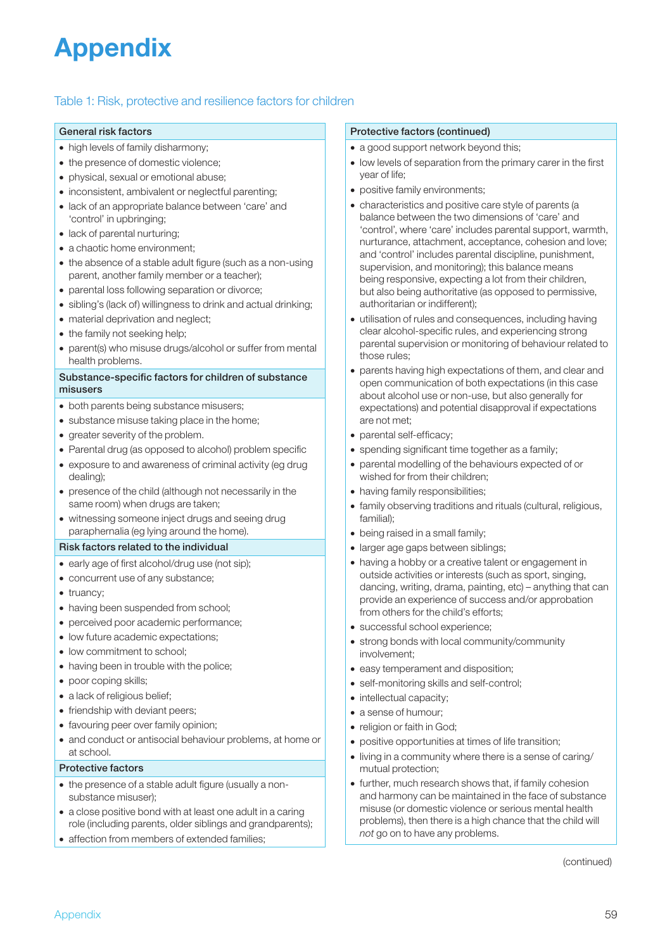## Appendix

#### Table 1: Risk, protective and resilience factors for children

#### General risk factors

- high levels of family disharmony;
- the presence of domestic violence;
- physical, sexual or emotional abuse;
- inconsistent, ambivalent or neglectful parenting;
- lack of an appropriate balance between 'care' and 'control' in upbringing;
- lack of parental nurturing;
- a chaotic home environment;
- the absence of a stable adult figure (such as a non-using parent, another family member or a teacher);
- parental loss following separation or divorce;
- sibling's (lack of) willingness to drink and actual drinking;
- material deprivation and neglect;
- the family not seeking help;
- parent(s) who misuse drugs/alcohol or suffer from mental health problems.

#### Substance-specific factors for children of substance misusers

- both parents being substance misusers;
- substance misuse taking place in the home;
- greater severity of the problem.
- Parental drug (as opposed to alcohol) problem specific
- exposure to and awareness of criminal activity (eg drug dealing);
- presence of the child (although not necessarily in the same room) when drugs are taken;
- witnessing someone inject drugs and seeing drug paraphernalia (eg lying around the home).

#### Risk factors related to the individual

- early age of first alcohol/drug use (not sip);
- concurrent use of any substance;
- truancy:
- having been suspended from school;
- perceived poor academic performance;
- low future academic expectations;
- low commitment to school;
- having been in trouble with the police;
- poor coping skills;
- a lack of religious belief;
- friendship with deviant peers;
- favouring peer over family opinion;
- and conduct or antisocial behaviour problems, at home or at school.

#### Protective factors

- the presence of a stable adult figure (usually a nonsubstance misuser);
- a close positive bond with at least one adult in a caring role (including parents, older siblings and grandparents);
- affection from members of extended families;

#### Protective factors (continued)

- a good support network beyond this;
- low levels of separation from the primary carer in the first year of life;
- positive family environments;
- characteristics and positive care style of parents (a balance between the two dimensions of 'care' and 'control', where 'care' includes parental support, warmth, nurturance, attachment, acceptance, cohesion and love; and 'control' includes parental discipline, punishment, supervision, and monitoring); this balance means being responsive, expecting a lot from their children, but also being authoritative (as opposed to permissive, authoritarian or indifferent);
- utilisation of rules and consequences, including having clear alcohol-specific rules, and experiencing strong parental supervision or monitoring of behaviour related to those rules;
- parents having high expectations of them, and clear and open communication of both expectations (in this case about alcohol use or non-use, but also generally for expectations) and potential disapproval if expectations are not met;
- parental self-efficacy;
- spending significant time together as a family;
- parental modelling of the behaviours expected of or wished for from their children;
- having family responsibilities:
- family observing traditions and rituals (cultural, religious, familial);
- being raised in a small family;
- larger age gaps between siblings;
- having a hobby or a creative talent or engagement in outside activities or interests (such as sport, singing, dancing, writing, drama, painting, etc) – anything that can provide an experience of success and/or approbation from others for the child's efforts;
- successful school experience;
- strong bonds with local community/community involvement;
- easy temperament and disposition:
- self-monitoring skills and self-control;
- intellectual capacity;
- a sense of humour;
- religion or faith in God;
- positive opportunities at times of life transition;
- living in a community where there is a sense of caring/ mutual protection;
- further, much research shows that, if family cohesion and harmony can be maintained in the face of substance misuse (or domestic violence or serious mental health problems), then there is a high chance that the child will *not* go on to have any problems.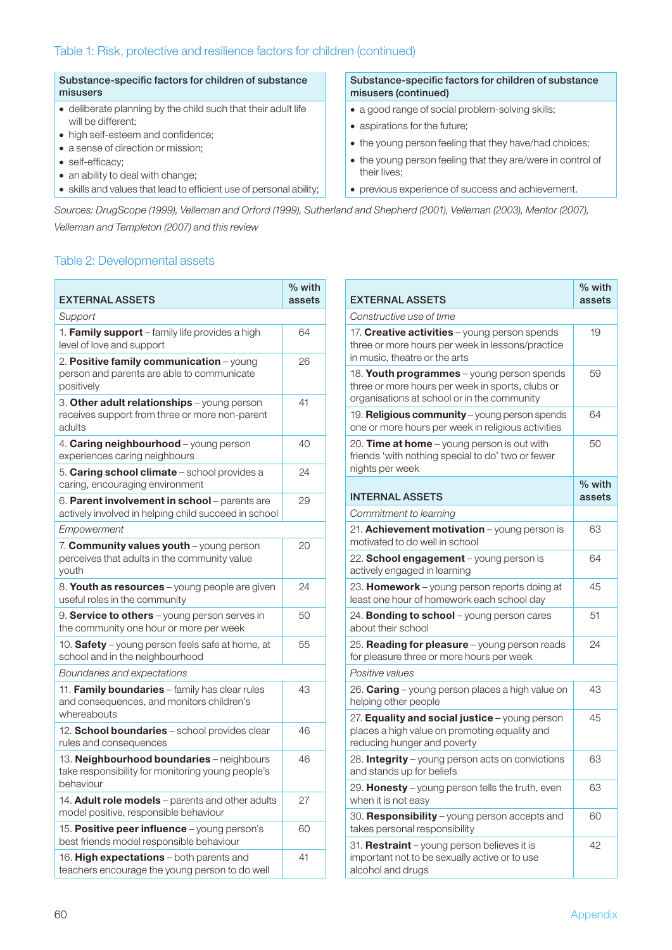#### Substance-specific factors for children of substance misusers

- deliberate planning by the child such that their adult life will be different;
- high self-esteem and confidence;
- a sense of direction or mission;
- self-efficacy;
- an ability to deal with change;
- skills and values that lead to efficient use of personal ability;

#### Substance-specific factors for children of substance misusers (continued)

- a good range of social problem-solving skills;
- aspirations for the future;
- the young person feeling that they have/had choices;
- the young person feeling that they are/were in control of their lives;
- previous experience of success and achievement.

*Sources: DrugScope (1999), Velleman and Orford (1999), Sutherland and Shepherd (2001), Velleman (2003), Mentor (2007), Velleman and Templeton (2007) and this review*

#### Table 2: Developmental assets

| <b>EXTERNAL ASSETS</b>                                                                                      | % with<br>assets |
|-------------------------------------------------------------------------------------------------------------|------------------|
| Support                                                                                                     |                  |
| 1. Family support - family life provides a high<br>level of love and support                                | 64               |
| 2. Positive family communication - young<br>person and parents are able to communicate<br>positively        | 26               |
| 3. Other adult relationships - young person<br>receives support from three or more non-parent<br>adults     | 41               |
| 4. Caring neighbourhood - young person<br>experiences caring neighbours                                     | 40               |
| 5. Caring school climate - school provides a<br>caring, encouraging environment                             | 24               |
| 6. Parent involvement in school - parents are<br>actively involved in helping child succeed in school       | 29               |
| Empowerment                                                                                                 |                  |
| 7. Community values youth - young person<br>perceives that adults in the community value<br>youth           | 20               |
| 8. Youth as resources - young people are given<br>useful roles in the community                             | 24               |
| 9. Service to others - young person serves in<br>the community one hour or more per week                    | 50               |
| 10. Safety – young person feels safe at home, at<br>school and in the neighbourhood                         | 55               |
| Boundaries and expectations                                                                                 |                  |
| 11. Family boundaries - family has clear rules<br>and consequences, and monitors children's<br>whereabouts  | 43               |
| 12. School boundaries - school provides clear<br>rules and consequences                                     | 46               |
| 13. Neighbourhood boundaries - neighbours<br>take responsibility for monitoring young people's<br>behaviour | 46               |
| 14. Adult role models - parents and other adults<br>model positive, responsible behaviour                   | 27               |
| 15. Positive peer influence - young person's<br>best friends model responsible behaviour                    | 60               |
| 16. High expectations - both parents and<br>teachers encourage the young person to do well                  | 41               |

| <b>EXTERNAL ASSETS</b>                                                                                                                        | $%$ with<br>assets |  |  |
|-----------------------------------------------------------------------------------------------------------------------------------------------|--------------------|--|--|
| Constructive use of time                                                                                                                      |                    |  |  |
| 17. Creative activities - young person spends<br>three or more hours per week in lessons/practice<br>in music, theatre or the arts            | 19                 |  |  |
| 18. Youth programmes - young person spends<br>three or more hours per week in sports, clubs or<br>organisations at school or in the community | 59                 |  |  |
| 19. Religious community - young person spends<br>one or more hours per week in religious activities                                           | 64                 |  |  |
| 20. Time at home - young person is out with<br>friends 'with nothing special to do' two or fewer<br>nights per week                           | 50                 |  |  |
| <b>INTERNAL ASSETS</b>                                                                                                                        | % with<br>assets   |  |  |
| Commitment to learning                                                                                                                        |                    |  |  |
| 21. Achievement motivation - young person is<br>motivated to do well in school                                                                | 63                 |  |  |
| 22. School engagement - young person is<br>actively engaged in learning                                                                       | 64                 |  |  |
| 23. Homework - young person reports doing at<br>least one hour of homework each school day                                                    | 45                 |  |  |
| 24. Bonding to school - young person cares<br>about their school                                                                              | 51                 |  |  |
| 25. Reading for pleasure - young person reads<br>for pleasure three or more hours per week                                                    | 24                 |  |  |
| Positive values                                                                                                                               |                    |  |  |
| 26. Caring - young person places a high value on<br>helping other people                                                                      | 43                 |  |  |
| 27. Equality and social justice - young person<br>places a high value on promoting equality and<br>reducing hunger and poverty                | 45                 |  |  |
| 28. Integrity – young person acts on convictions<br>and stands up for beliefs                                                                 | 63                 |  |  |
| 29. Honesty - young person tells the truth, even<br>when it is not easy                                                                       | 63                 |  |  |
| 30. Responsibility - young person accepts and<br>takes personal responsibility                                                                | 60                 |  |  |
| 31. Restraint - young person believes it is<br>important not to be sexually active or to use<br>alcohol and drugs                             | 42                 |  |  |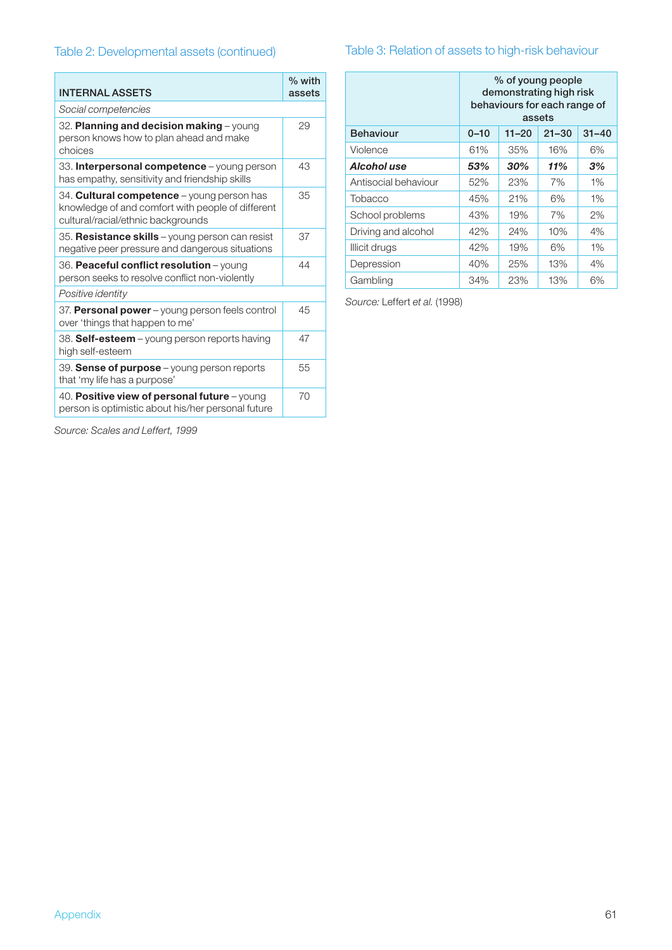| <b>INTERNAL ASSETS</b>                                                                                                                       | $%$ with<br>assets |  |  |
|----------------------------------------------------------------------------------------------------------------------------------------------|--------------------|--|--|
| Social competencies                                                                                                                          |                    |  |  |
| 32. Planning and decision making - young<br>person knows how to plan ahead and make<br>choices                                               | 29                 |  |  |
| 33. Interpersonal competence - young person<br>has empathy, sensitivity and friendship skills                                                | 43                 |  |  |
| 34. <b>Cultural competence</b> – young person has<br>knowledge of and comfort with people of different<br>cultural/racial/ethnic backgrounds | 35                 |  |  |
| 35. Resistance skills - young person can resist<br>negative peer pressure and dangerous situations                                           | 37                 |  |  |
| 36. Peaceful conflict resolution - young<br>person seeks to resolve conflict non-violently                                                   | 44                 |  |  |
| Positive identity                                                                                                                            |                    |  |  |
| 37. Personal power - young person feels control<br>over 'things that happen to me'                                                           | 45                 |  |  |
| 38. Self-esteem – young person reports having<br>high self-esteem                                                                            | 47                 |  |  |
| 39. Sense of purpose - young person reports<br>that 'my life has a purpose'                                                                  | 55                 |  |  |
| 40. Positive view of personal future - young<br>person is optimistic about his/her personal future                                           | 70                 |  |  |

## Table 2: Developmental assets (continued) Table 3: Relation of assets to high-risk behaviour

|                      | % of young people<br>demonstrating high risk<br>behaviours for each range of<br>assets |           |           |           |
|----------------------|----------------------------------------------------------------------------------------|-----------|-----------|-----------|
| <b>Behaviour</b>     | $0 - 10$                                                                               | $11 - 20$ | $21 - 30$ | $31 - 40$ |
| Violence             | 61%                                                                                    | 35%       | 16%       | 6%        |
| Alcohol use          | 53%                                                                                    | 30%       | 11%       | 3%        |
| Antisocial behaviour | 52%                                                                                    | 23%       | 7%        | 1%        |
| Tobacco              | 45%                                                                                    | 21%       | 6%        | 1%        |
| School problems      | 43%                                                                                    | 19%       | 7%        | $2\%$     |
| Driving and alcohol  | 42%                                                                                    | 24%       | 10%       | 4%        |
| Illicit drugs        | 42%                                                                                    | 19%       | 6%        | $1\%$     |
| Depression           | 40%                                                                                    | 25%       | 13%       | 4%        |
| Gambling             | 34%                                                                                    | 23%       | 13%       | 6%        |

*Source:* Leffert *et al.* (1998)

*Source: Scales and Leffert, 1999*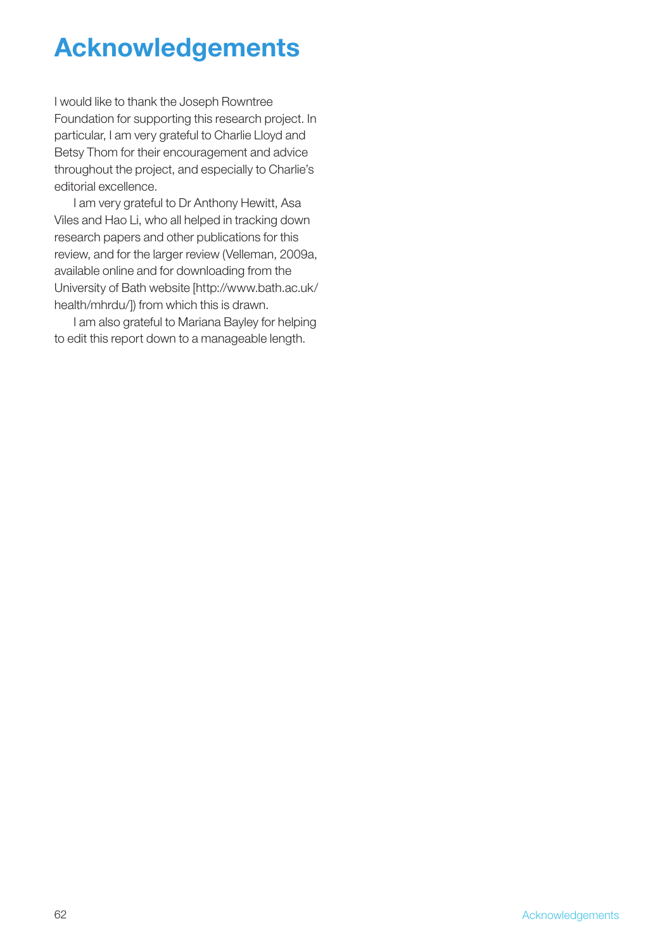## Acknowledgements

I would like to thank the Joseph Rowntree Foundation for supporting this research project. In particular, I am very grateful to Charlie Lloyd and Betsy Thom for their encouragement and advice throughout the project, and especially to Charlie's editorial excellence.

I am very grateful to Dr Anthony Hewitt, Asa Viles and Hao Li, who all helped in tracking down research papers and other publications for this review, and for the larger review (Velleman, 2009a, available online and for downloading from the University of Bath website [http://www.bath.ac.uk/ health/mhrdu/]) from which this is drawn.

I am also grateful to Mariana Bayley for helping to edit this report down to a manageable length.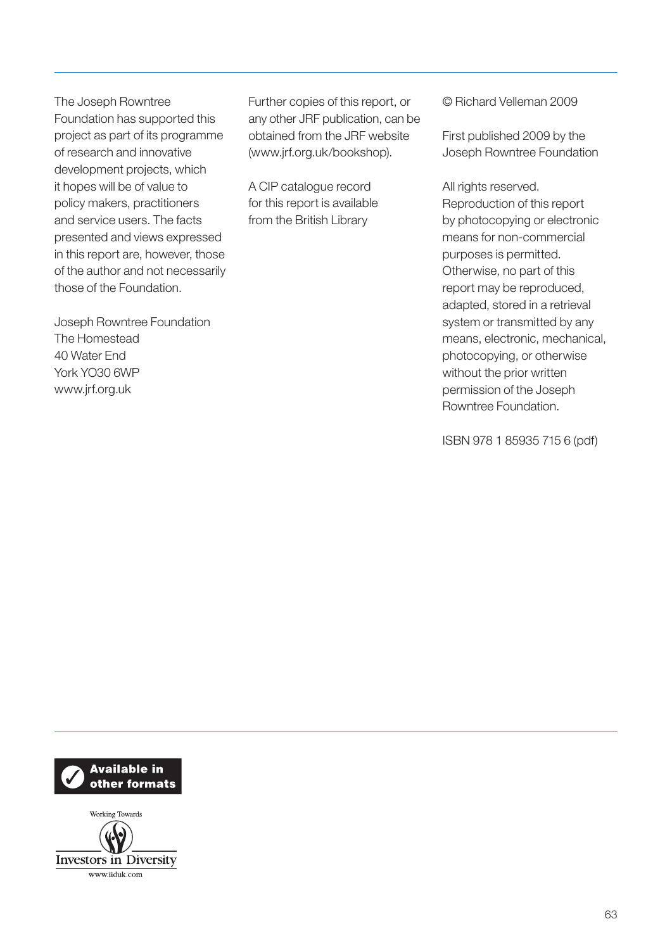The Joseph Rowntree Foundation has supported this project as part of its programme of research and innovative development projects, which it hopes will be of value to policy makers, practitioners and service users. The facts presented and views expressed in this report are, however, those of the author and not necessarily those of the Foundation.

Joseph Rowntree Foundation The Homestead 40 Water End York YO30 6WP www.jrf.org.uk

Further copies of this report, or any other JRF publication, can be obtained from the JRF website (www.jrf.org.uk/bookshop).

A CIP catalogue record for this report is available from the British Library

© Richard Velleman 2009

First published 2009 by the Joseph Rowntree Foundation

All rights reserved. Reproduction of this report by photocopying or electronic means for non-commercial purposes is permitted. Otherwise, no part of this report may be reproduced, adapted, stored in a retrieval system or transmitted by any means, electronic, mechanical, photocopying, or otherwise without the prior written permission of the Joseph Rowntree Foundation.

ISBN 978 1 85935 715 6 (pdf)